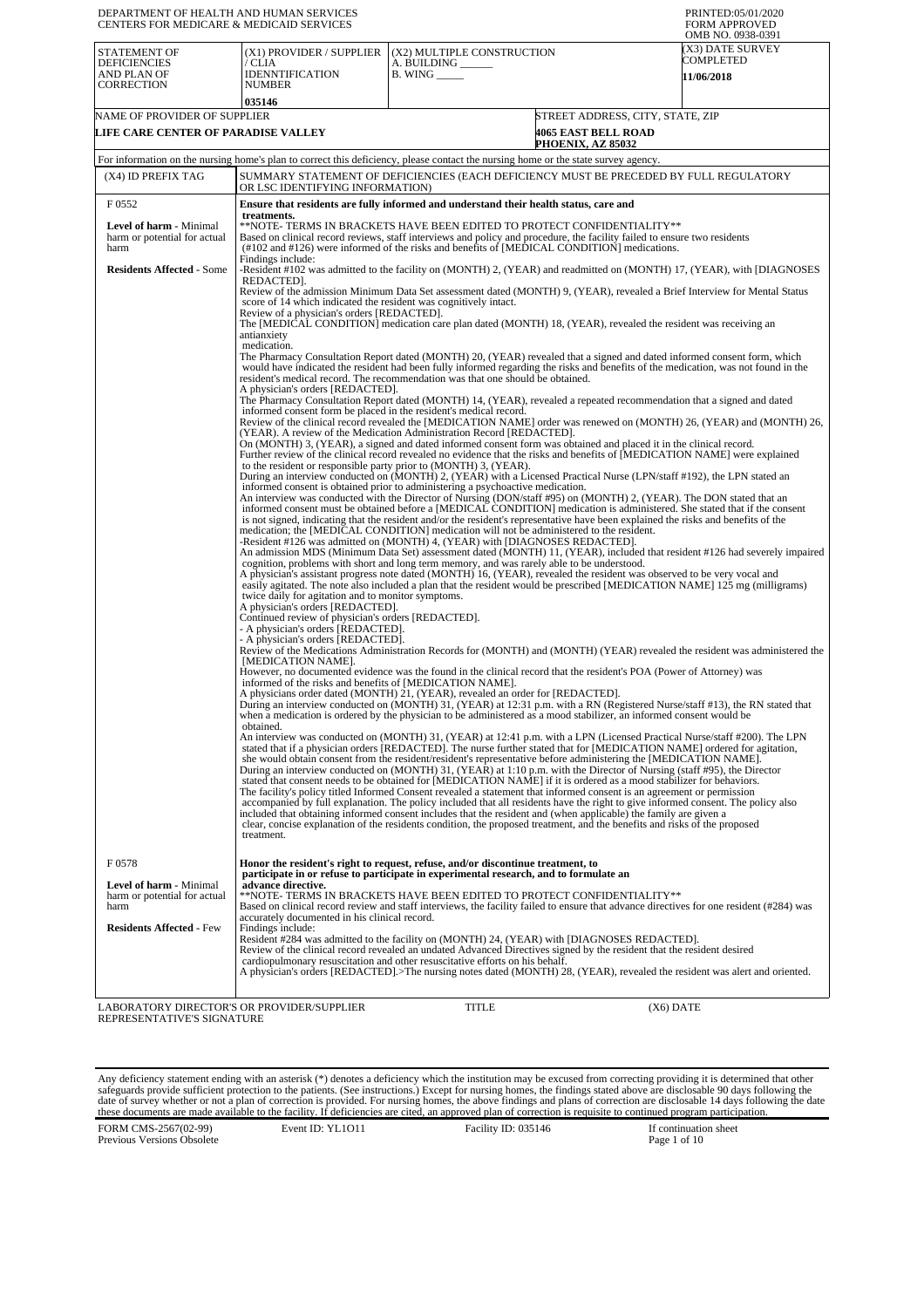| DEPARTMENT OF HEALTH AND HUMAN SERVICES<br><b>CENTERS FOR MEDICARE &amp; MEDICAID SERVICES</b> |                                                                                                                                |                                                                                                                                                                                                                                                                                                                                                                                                                                                                                                                                                                                                                                                                                                                                                                                                                                                                                                                                                                                                                                                                                                                                           | PRINTED:05/01/2020<br><b>FORM APPROVED</b><br>OMB NO. 0938-0391 |
|------------------------------------------------------------------------------------------------|--------------------------------------------------------------------------------------------------------------------------------|-------------------------------------------------------------------------------------------------------------------------------------------------------------------------------------------------------------------------------------------------------------------------------------------------------------------------------------------------------------------------------------------------------------------------------------------------------------------------------------------------------------------------------------------------------------------------------------------------------------------------------------------------------------------------------------------------------------------------------------------------------------------------------------------------------------------------------------------------------------------------------------------------------------------------------------------------------------------------------------------------------------------------------------------------------------------------------------------------------------------------------------------|-----------------------------------------------------------------|
| STATEMENT OF<br><b>DEFICIENCIES</b><br>AND PLAN OF<br><b>CORRECTION</b>                        | (X1) PROVIDER / SUPPLIER<br>/ CLIA<br><b>IDENNTIFICATION</b><br><b>NUMBER</b><br>035146                                        | (X2) MULTIPLE CONSTRUCTION<br>A. BUILDING ______<br>$B.$ WING $\_\_\_\_\_\_\_\$                                                                                                                                                                                                                                                                                                                                                                                                                                                                                                                                                                                                                                                                                                                                                                                                                                                                                                                                                                                                                                                           | (X3) DATE SURVEY<br>COMPLETED<br><b>11/06/2018</b>              |
| NAME OF PROVIDER OF SUPPLIER<br><b>LIFE CARE CENTER OF PARADISE VALLEY</b>                     |                                                                                                                                | <b>4065 EAST BELL ROAD</b><br><b>PHOENIX, AZ 85032</b>                                                                                                                                                                                                                                                                                                                                                                                                                                                                                                                                                                                                                                                                                                                                                                                                                                                                                                                                                                                                                                                                                    | STREET ADDRESS, CITY, STATE, ZIP                                |
|                                                                                                |                                                                                                                                | For information on the nursing home's plan to correct this deficiency, please contact the nursing home or the state survey agency.                                                                                                                                                                                                                                                                                                                                                                                                                                                                                                                                                                                                                                                                                                                                                                                                                                                                                                                                                                                                        |                                                                 |
| (X4) ID PREFIX TAG                                                                             | OR LSC IDENTIFYING INFORMATION)                                                                                                | SUMMARY STATEMENT OF DEFICIENCIES (EACH DEFICIENCY MUST BE PRECEDED BY FULL REGULATORY                                                                                                                                                                                                                                                                                                                                                                                                                                                                                                                                                                                                                                                                                                                                                                                                                                                                                                                                                                                                                                                    |                                                                 |
| F 0552                                                                                         | treatments.                                                                                                                    | Ensure that residents are fully informed and understand their health status, care and                                                                                                                                                                                                                                                                                                                                                                                                                                                                                                                                                                                                                                                                                                                                                                                                                                                                                                                                                                                                                                                     |                                                                 |
| Level of harm - Minimal<br>harm or potential for actual<br>harm                                | Findings include:                                                                                                              | **NOTE- TERMS IN BRACKETS HAVE BEEN EDITED TO PROTECT CONFIDENTIALITY**<br>Based on clinical record reviews, staff interviews and policy and procedure, the facility failed to ensure two residents<br>(#102 and #126) were informed of the risks and benefits of [MEDICAL CONDITION] medications.                                                                                                                                                                                                                                                                                                                                                                                                                                                                                                                                                                                                                                                                                                                                                                                                                                        |                                                                 |
| <b>Residents Affected - Some</b>                                                               | REDACTED].                                                                                                                     | -Resident #102 was admitted to the facility on (MONTH) 2, (YEAR) and readmitted on (MONTH) 17, (YEAR), with [DIAGNOSES                                                                                                                                                                                                                                                                                                                                                                                                                                                                                                                                                                                                                                                                                                                                                                                                                                                                                                                                                                                                                    |                                                                 |
|                                                                                                | score of 14 which indicated the resident was cognitively intact.<br>Review of a physician's orders [REDACTED].                 | Review of the admission Minimum Data Set assessment dated (MONTH) 9, (YEAR), revealed a Brief Interview for Mental Status                                                                                                                                                                                                                                                                                                                                                                                                                                                                                                                                                                                                                                                                                                                                                                                                                                                                                                                                                                                                                 |                                                                 |
|                                                                                                | antianxiety                                                                                                                    | The [MEDICAL CONDITION] medication care plan dated (MONTH) 18, (YEAR), revealed the resident was receiving an                                                                                                                                                                                                                                                                                                                                                                                                                                                                                                                                                                                                                                                                                                                                                                                                                                                                                                                                                                                                                             |                                                                 |
|                                                                                                | medication.                                                                                                                    | The Pharmacy Consultation Report dated (MONTH) 20, (YEAR) revealed that a signed and dated informed consent form, which<br>would have indicated the resident had been fully informed regarding the risks and benefits of the medication, was not found in the<br>resident's medical record. The recommendation was that one should be obtained.                                                                                                                                                                                                                                                                                                                                                                                                                                                                                                                                                                                                                                                                                                                                                                                           |                                                                 |
|                                                                                                | A physician's orders [REDACTED].<br>informed consent form be placed in the resident's medical record.                          | The Pharmacy Consultation Report dated (MONTH) 14, (YEAR), revealed a repeated recommendation that a signed and dated<br>Review of the clinical record revealed the [MEDICATION NAME] order was renewed on (MONTH) 26, (YEAR) and (MONTH) 26,                                                                                                                                                                                                                                                                                                                                                                                                                                                                                                                                                                                                                                                                                                                                                                                                                                                                                             |                                                                 |
|                                                                                                |                                                                                                                                | (YEAR). A review of the Medication Administration Record [REDACTED].<br>On (MONTH) 3, (YEAR), a signed and dated informed consent form was obtained and placed it in the clinical record.<br>Further review of the clinical record revealed no evidence that the risks and benefits of [MEDICATION NAME] were explained                                                                                                                                                                                                                                                                                                                                                                                                                                                                                                                                                                                                                                                                                                                                                                                                                   |                                                                 |
|                                                                                                | to the resident or responsible party prior to (MONTH) 3, (YEAR).                                                               | During an interview conducted on (MONTH) 2, (YEÁR) with a Licensed Practical Nurse (LPN/staff #192), the LPN stated an<br>informed consent is obtained prior to administering a psychoactive medication.                                                                                                                                                                                                                                                                                                                                                                                                                                                                                                                                                                                                                                                                                                                                                                                                                                                                                                                                  |                                                                 |
|                                                                                                |                                                                                                                                | An interview was conducted with the Director of Nursing (DON/staff #95) on (MONTH) 2, (YEAR). The DON stated that an<br>informed consent must be obtained before a [MEDICAL CONDITION] medication is administered. She stated that if the consent<br>is not signed, indicating that the resident and/or the resident's representative have been explained the risks and benefits of the<br>medication; the [MEDICAL CONDITION] medication will not be administered to the resident.<br>-Resident #126 was admitted on (MONTH) 4, (YEAR) with [DIAGNOSES REDACTED].<br>An admission MDS (Minimum Data Set) assessment dated (MONTH) 11, (YEAR), included that resident #126 had severely impaired<br>cognition, problems with short and long term memory, and was rarely able to be understood.                                                                                                                                                                                                                                                                                                                                            |                                                                 |
|                                                                                                | twice daily for agitation and to monitor symptoms.<br>A physician's orders [REDACTED].                                         | A physician's assistant progress note dated (MONTH) 16, (YEAR), revealed the resident was observed to be very vocal and<br>easily agitated. The note also included a plan that the resident would be prescribed [MEDICATION NAME] 125 mg (milligrams)                                                                                                                                                                                                                                                                                                                                                                                                                                                                                                                                                                                                                                                                                                                                                                                                                                                                                     |                                                                 |
|                                                                                                | Continued review of physician's orders [REDACTED].<br>- A physician's orders [REDACTED].<br>- A physician's orders [REDACTED]. |                                                                                                                                                                                                                                                                                                                                                                                                                                                                                                                                                                                                                                                                                                                                                                                                                                                                                                                                                                                                                                                                                                                                           |                                                                 |
|                                                                                                | [MEDICATION NAME].                                                                                                             | Review of the Medications Administration Records for (MONTH) and (MONTH) (YEAR) revealed the resident was administered the<br>However, no documented evidence was the found in the clinical record that the resident's POA (Power of Attorney) was                                                                                                                                                                                                                                                                                                                                                                                                                                                                                                                                                                                                                                                                                                                                                                                                                                                                                        |                                                                 |
|                                                                                                | informed of the risks and benefits of [MEDICATION NAME].                                                                       | A physicians order dated (MONTH) 21, (YEAR), revealed an order for [REDACTED].<br>During an interview conducted on (MONTH) 31, (YEAR) at 12:31 p.m. with a RN (Registered Nurse/staff #13), the RN stated that<br>when a medication is ordered by the physician to be administered as a mood stabilizer, an informed consent would be                                                                                                                                                                                                                                                                                                                                                                                                                                                                                                                                                                                                                                                                                                                                                                                                     |                                                                 |
|                                                                                                | obtained.<br>treatment.                                                                                                        | An interview was conducted on (MONTH) 31, (YEAR) at 12:41 p.m. with a LPN (Licensed Practical Nurse/staff #200). The LPN<br>stated that if a physician orders [REDACTED]. The nurse further stated that for [MEDICATION NAME] ordered for agitation,<br>she would obtain consent from the resident/resident's representative before administering the [MEDICATION NAME].<br>During an interview conducted on (MONTH) 31, (YEAR) at 1:10 p.m. with the Director of Nursing (staff #95), the Director<br>stated that consent needs to be obtained for [MEDICATION NAME] if it is ordered as a mood stabilizer for behaviors.<br>The facility's policy titled Informed Consent revealed a statement that informed consent is an agreement or permission<br>accompanied by full explanation. The policy included that all residents have the right to give informed consent. The policy also<br>included that obtaining informed consent includes that the resident and (when applicable) the family are given a<br>clear, concise explanation of the residents condition, the proposed treatment, and the benefits and risks of the proposed |                                                                 |
| F0578                                                                                          |                                                                                                                                | Honor the resident's right to request, refuse, and/or discontinue treatment, to<br>participate in or refuse to participate in experimental research, and to formulate an                                                                                                                                                                                                                                                                                                                                                                                                                                                                                                                                                                                                                                                                                                                                                                                                                                                                                                                                                                  |                                                                 |
| <b>Level of harm - Minimal</b><br>harm or potential for actual<br>harm                         | advance directive.<br>accurately documented in his clinical record.                                                            | **NOTE- TERMS IN BRACKETS HAVE BEEN EDITED TO PROTECT CONFIDENTIALITY**<br>Based on clinical record review and staff interviews, the facility failed to ensure that advance directives for one resident (#284) was                                                                                                                                                                                                                                                                                                                                                                                                                                                                                                                                                                                                                                                                                                                                                                                                                                                                                                                        |                                                                 |
| <b>Residents Affected - Few</b>                                                                | Findings include:                                                                                                              | Resident #284 was admitted to the facility on (MONTH) 24, (YEAR) with [DIAGNOSES REDACTED].<br>Review of the clinical record revealed an undated Advanced Directives signed by the resident that the resident desired<br>cardiopulmonary resuscitation and other resuscitative efforts on his behalf.<br>A physician's orders [REDACTED].>The nursing notes dated (MONTH) 28, (YEAR), revealed the resident was alert and oriented.                                                                                                                                                                                                                                                                                                                                                                                                                                                                                                                                                                                                                                                                                                       |                                                                 |
| LABORATORY DIRECTOR'S OR PROVIDER/SUPPLIER<br>REPRESENTATIVE'S SIGNATURE                       |                                                                                                                                | <b>TITLE</b>                                                                                                                                                                                                                                                                                                                                                                                                                                                                                                                                                                                                                                                                                                                                                                                                                                                                                                                                                                                                                                                                                                                              | $(X6)$ DATE                                                     |

Any deficiency statement ending with an asterisk (\*) denotes a deficiency which the institution may be excused from correcting providing it is determined that other safeguards provide sufficient protection to the patients.

FORM CMS-2567(02-99) Previous Versions Obsolete

Event ID: YL1O11 Facility ID: 035146 If continuation sheet<br>Page 1 of 10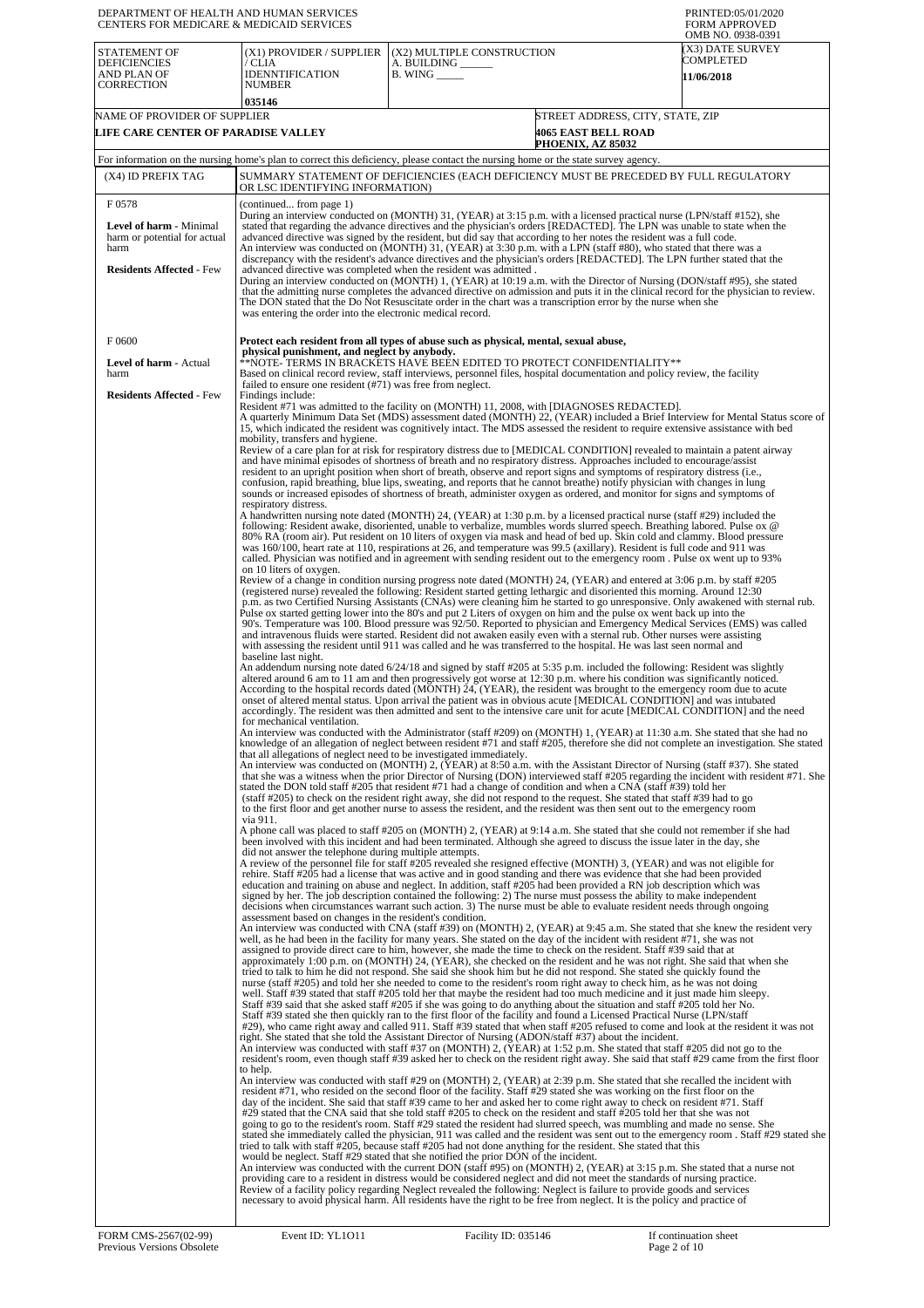| DEPARTMENT OF HEALTH AND HUMAN SERVICES<br>CENTERS FOR MEDICARE & MEDICAID SERVICES                         |                                                                                                                                                                                                                                                                                                                                                                                                                                                                                                                                                                                                                                                                                                                                                                                                                                                                                                                                                                                                                                                                                                                                                                                                                                                                                                                                                                                                                                                                                                                                                                                                                                                                                                                                                                                                                                                                                                                                                                                                                                                                                                                                                                                                                                                                                                                                                                                                                                                                                                                                                                                                                                                                                                                                                                                                                                                                                                                                                                                                                                                                                                                                                                                                                                                                                                                                                                                                                                                                                                                                                                                                                                                                                                                                                                                                                                                                                                                                                                                                                                                                                                                                                                                                                                                                                                                                                                                                                                                                                                                                                                                                                                                                                                                                                                                                                                                                                                                                                                                                                                                                                                                                                                                                                                                                                                                                                                                                                                                                                                                                                                                                                                                                                                                                                                                                                                                                                                                                                                                                                                                                                                                                                                                                                                                                                                                                                                                                                                                                                                                                                                                                                                                                                                                                                                                                                                                                                                                                                                                                                                                                                                                                                                                                                                                                                                                                                                                                                                                                                                                                                                                                                                                                                                                                                                                                                                                                                                                                                                                                                                                                                                                                                                                                                                                                                                                                                                                                                                                                                                                                                                                                                                                                                                                                                                                                                                                                                                                                                                                                                                                |                                                                                                                                    | PRINTED:05/01/2020<br><b>FORM APPROVED</b><br>OMB NO. 0938-0391 |  |
|-------------------------------------------------------------------------------------------------------------|------------------------------------------------------------------------------------------------------------------------------------------------------------------------------------------------------------------------------------------------------------------------------------------------------------------------------------------------------------------------------------------------------------------------------------------------------------------------------------------------------------------------------------------------------------------------------------------------------------------------------------------------------------------------------------------------------------------------------------------------------------------------------------------------------------------------------------------------------------------------------------------------------------------------------------------------------------------------------------------------------------------------------------------------------------------------------------------------------------------------------------------------------------------------------------------------------------------------------------------------------------------------------------------------------------------------------------------------------------------------------------------------------------------------------------------------------------------------------------------------------------------------------------------------------------------------------------------------------------------------------------------------------------------------------------------------------------------------------------------------------------------------------------------------------------------------------------------------------------------------------------------------------------------------------------------------------------------------------------------------------------------------------------------------------------------------------------------------------------------------------------------------------------------------------------------------------------------------------------------------------------------------------------------------------------------------------------------------------------------------------------------------------------------------------------------------------------------------------------------------------------------------------------------------------------------------------------------------------------------------------------------------------------------------------------------------------------------------------------------------------------------------------------------------------------------------------------------------------------------------------------------------------------------------------------------------------------------------------------------------------------------------------------------------------------------------------------------------------------------------------------------------------------------------------------------------------------------------------------------------------------------------------------------------------------------------------------------------------------------------------------------------------------------------------------------------------------------------------------------------------------------------------------------------------------------------------------------------------------------------------------------------------------------------------------------------------------------------------------------------------------------------------------------------------------------------------------------------------------------------------------------------------------------------------------------------------------------------------------------------------------------------------------------------------------------------------------------------------------------------------------------------------------------------------------------------------------------------------------------------------------------------------------------------------------------------------------------------------------------------------------------------------------------------------------------------------------------------------------------------------------------------------------------------------------------------------------------------------------------------------------------------------------------------------------------------------------------------------------------------------------------------------------------------------------------------------------------------------------------------------------------------------------------------------------------------------------------------------------------------------------------------------------------------------------------------------------------------------------------------------------------------------------------------------------------------------------------------------------------------------------------------------------------------------------------------------------------------------------------------------------------------------------------------------------------------------------------------------------------------------------------------------------------------------------------------------------------------------------------------------------------------------------------------------------------------------------------------------------------------------------------------------------------------------------------------------------------------------------------------------------------------------------------------------------------------------------------------------------------------------------------------------------------------------------------------------------------------------------------------------------------------------------------------------------------------------------------------------------------------------------------------------------------------------------------------------------------------------------------------------------------------------------------------------------------------------------------------------------------------------------------------------------------------------------------------------------------------------------------------------------------------------------------------------------------------------------------------------------------------------------------------------------------------------------------------------------------------------------------------------------------------------------------------------------------------------------------------------------------------------------------------------------------------------------------------------------------------------------------------------------------------------------------------------------------------------------------------------------------------------------------------------------------------------------------------------------------------------------------------------------------------------------------------------------------------------------------------------------------------------------------------------------------------------------------------------------------------------------------------------------------------------------------------------------------------------------------------------------------------------------------------------------------------------------------------------------------------------------------------------------------------------------------------------------------------------------------------------------------------------------------------------------------------------------------------------------------------------------------------------------------------------------------------------------------------------------------------------------------------------------------------------------------------------------------------------------------------------------------------------------------------------------------------------------------------------------------------------------------------------------------------------------------------------------------------------------------------------------------------------------------------------------------------------------------------------------------------------------------------------------------------------------------------------------------------------------------------------------------------------------------------------------------------------------------------------------------------------------------------------------------------------------------------|------------------------------------------------------------------------------------------------------------------------------------|-----------------------------------------------------------------|--|
| STATEMENT OF<br><b>DEFICIENCIES</b><br>AND PLAN OF<br><b>CORRECTION</b>                                     | (X1) PROVIDER / SUPPLIER<br>/ CLIA<br><b>IDENNTIFICATION</b><br><b>NUMBER</b><br>035146                                                                                                                                                                                                                                                                                                                                                                                                                                                                                                                                                                                                                                                                                                                                                                                                                                                                                                                                                                                                                                                                                                                                                                                                                                                                                                                                                                                                                                                                                                                                                                                                                                                                                                                                                                                                                                                                                                                                                                                                                                                                                                                                                                                                                                                                                                                                                                                                                                                                                                                                                                                                                                                                                                                                                                                                                                                                                                                                                                                                                                                                                                                                                                                                                                                                                                                                                                                                                                                                                                                                                                                                                                                                                                                                                                                                                                                                                                                                                                                                                                                                                                                                                                                                                                                                                                                                                                                                                                                                                                                                                                                                                                                                                                                                                                                                                                                                                                                                                                                                                                                                                                                                                                                                                                                                                                                                                                                                                                                                                                                                                                                                                                                                                                                                                                                                                                                                                                                                                                                                                                                                                                                                                                                                                                                                                                                                                                                                                                                                                                                                                                                                                                                                                                                                                                                                                                                                                                                                                                                                                                                                                                                                                                                                                                                                                                                                                                                                                                                                                                                                                                                                                                                                                                                                                                                                                                                                                                                                                                                                                                                                                                                                                                                                                                                                                                                                                                                                                                                                                                                                                                                                                                                                                                                                                                                                                                                                                                                                                        | (X2) MULTIPLE CONSTRUCTION<br>A. BUILDING _<br>$B.$ WING $\_\_\_\_\_\_\_\$                                                         | (X3) DATE SURVEY<br>COMPLETED<br>11/06/2018                     |  |
| NAME OF PROVIDER OF SUPPLIER<br><b>LIFE CARE CENTER OF PARADISE VALLEY</b>                                  |                                                                                                                                                                                                                                                                                                                                                                                                                                                                                                                                                                                                                                                                                                                                                                                                                                                                                                                                                                                                                                                                                                                                                                                                                                                                                                                                                                                                                                                                                                                                                                                                                                                                                                                                                                                                                                                                                                                                                                                                                                                                                                                                                                                                                                                                                                                                                                                                                                                                                                                                                                                                                                                                                                                                                                                                                                                                                                                                                                                                                                                                                                                                                                                                                                                                                                                                                                                                                                                                                                                                                                                                                                                                                                                                                                                                                                                                                                                                                                                                                                                                                                                                                                                                                                                                                                                                                                                                                                                                                                                                                                                                                                                                                                                                                                                                                                                                                                                                                                                                                                                                                                                                                                                                                                                                                                                                                                                                                                                                                                                                                                                                                                                                                                                                                                                                                                                                                                                                                                                                                                                                                                                                                                                                                                                                                                                                                                                                                                                                                                                                                                                                                                                                                                                                                                                                                                                                                                                                                                                                                                                                                                                                                                                                                                                                                                                                                                                                                                                                                                                                                                                                                                                                                                                                                                                                                                                                                                                                                                                                                                                                                                                                                                                                                                                                                                                                                                                                                                                                                                                                                                                                                                                                                                                                                                                                                                                                                                                                                                                                                                                | <b>4065 EAST BELL ROAD</b><br>PHOENIX, AZ 85032                                                                                    | STREET ADDRESS, CITY, STATE, ZIP                                |  |
|                                                                                                             |                                                                                                                                                                                                                                                                                                                                                                                                                                                                                                                                                                                                                                                                                                                                                                                                                                                                                                                                                                                                                                                                                                                                                                                                                                                                                                                                                                                                                                                                                                                                                                                                                                                                                                                                                                                                                                                                                                                                                                                                                                                                                                                                                                                                                                                                                                                                                                                                                                                                                                                                                                                                                                                                                                                                                                                                                                                                                                                                                                                                                                                                                                                                                                                                                                                                                                                                                                                                                                                                                                                                                                                                                                                                                                                                                                                                                                                                                                                                                                                                                                                                                                                                                                                                                                                                                                                                                                                                                                                                                                                                                                                                                                                                                                                                                                                                                                                                                                                                                                                                                                                                                                                                                                                                                                                                                                                                                                                                                                                                                                                                                                                                                                                                                                                                                                                                                                                                                                                                                                                                                                                                                                                                                                                                                                                                                                                                                                                                                                                                                                                                                                                                                                                                                                                                                                                                                                                                                                                                                                                                                                                                                                                                                                                                                                                                                                                                                                                                                                                                                                                                                                                                                                                                                                                                                                                                                                                                                                                                                                                                                                                                                                                                                                                                                                                                                                                                                                                                                                                                                                                                                                                                                                                                                                                                                                                                                                                                                                                                                                                                                                                | For information on the nursing home's plan to correct this deficiency, please contact the nursing home or the state survey agency. |                                                                 |  |
| (X4) ID PREFIX TAG                                                                                          | OR LSC IDENTIFYING INFORMATION)                                                                                                                                                                                                                                                                                                                                                                                                                                                                                                                                                                                                                                                                                                                                                                                                                                                                                                                                                                                                                                                                                                                                                                                                                                                                                                                                                                                                                                                                                                                                                                                                                                                                                                                                                                                                                                                                                                                                                                                                                                                                                                                                                                                                                                                                                                                                                                                                                                                                                                                                                                                                                                                                                                                                                                                                                                                                                                                                                                                                                                                                                                                                                                                                                                                                                                                                                                                                                                                                                                                                                                                                                                                                                                                                                                                                                                                                                                                                                                                                                                                                                                                                                                                                                                                                                                                                                                                                                                                                                                                                                                                                                                                                                                                                                                                                                                                                                                                                                                                                                                                                                                                                                                                                                                                                                                                                                                                                                                                                                                                                                                                                                                                                                                                                                                                                                                                                                                                                                                                                                                                                                                                                                                                                                                                                                                                                                                                                                                                                                                                                                                                                                                                                                                                                                                                                                                                                                                                                                                                                                                                                                                                                                                                                                                                                                                                                                                                                                                                                                                                                                                                                                                                                                                                                                                                                                                                                                                                                                                                                                                                                                                                                                                                                                                                                                                                                                                                                                                                                                                                                                                                                                                                                                                                                                                                                                                                                                                                                                                                                                | SUMMARY STATEMENT OF DEFICIENCIES (EACH DEFICIENCY MUST BE PRECEDED BY FULL REGULATORY                                             |                                                                 |  |
| F0578<br>Level of harm - Minimal<br>harm or potential for actual<br>harm<br><b>Residents Affected - Few</b> | (continued from page 1)<br>During an interview conducted on (MONTH) 31, (YEAR) at 3:15 p.m. with a licensed practical nurse (LPN/staff #152), she<br>stated that regarding the advance directives and the physician's orders [REDACTED]. The LPN was unable to state when the<br>advanced directive was signed by the resident, but did say that according to her notes the resident was a full code.<br>An interview was conducted on (MONTH) 31, (YEAR) at 3:30 p.m. with a LPN (staff #80), who stated that there was a<br>discrepancy with the resident's advance directives and the physician's orders [REDACTED]. The LPN further stated that the<br>advanced directive was completed when the resident was admitted.<br>During an interview conducted on (MONTH) 1, (YEAR) at 10:19 a.m. with the Director of Nursing (DON/staff #95), she stated<br>that the admitting nurse completes the advanced directive on admission and puts it in the clinical record for the physician to review.<br>The DON stated that the Do Not Resuscitate order in the chart was a transcription error by the nurse when she<br>was entering the order into the electronic medical record.                                                                                                                                                                                                                                                                                                                                                                                                                                                                                                                                                                                                                                                                                                                                                                                                                                                                                                                                                                                                                                                                                                                                                                                                                                                                                                                                                                                                                                                                                                                                                                                                                                                                                                                                                                                                                                                                                                                                                                                                                                                                                                                                                                                                                                                                                                                                                                                                                                                                                                                                                                                                                                                                                                                                                                                                                                                                                                                                                                                                                                                                                                                                                                                                                                                                                                                                                                                                                                                                                                                                                                                                                                                                                                                                                                                                                                                                                                                                                                                                                                                                                                                                                                                                                                                                                                                                                                                                                                                                                                                                                                                                                                                                                                                                                                                                                                                                                                                                                                                                                                                                                                                                                                                                                                                                                                                                                                                                                                                                                                                                                                                                                                                                                                                                                                                                                                                                                                                                                                                                                                                                                                                                                                                                                                                                                                                                                                                                                                                                                                                                                                                                                                                                                                                                                                                                                                                                                                                                                                                                                                                                                                                                                                                                                                                                                                                                                                                                                                                                                                                                                                                                                                                                                                                                                                                                                                                              |                                                                                                                                    |                                                                 |  |
| F0600<br>Level of harm - Actual<br>harm<br><b>Residents Affected - Few</b>                                  | Protect each resident from all types of abuse such as physical, mental, sexual abuse,<br>physical punishment, and neglect by anybody.<br>**NOTE-TERMS IN BRACKETS HAVE BEEN EDITED TO PROTECT CONFIDENTIALITY**<br>Based on clinical record review, staff interviews, personnel files, hospital documentation and policy review, the facility<br>failed to ensure one resident (#71) was free from neglect.<br>Findings include:<br>Resident #71 was admitted to the facility on (MONTH) 11, 2008, with [DIAGNOSES REDACTED].<br>A quarterly Minimum Data Set (MDS) assessment dated (MONTH) 22, (YEAR) included a Brief Interview for Mental Status score of<br>15, which indicated the resident was cognitively intact. The MDS assessed the resident to require extensive assistance with bed<br>mobility, transfers and hygiene.<br>Review of a care plan for at risk for respiratory distress due to [MEDICAL CONDITION] revealed to maintain a patent airway<br>and have minimal episodes of shortness of breath and no respiratory distress. Approaches included to encourage/assist<br>resident to an upright position when short of breath, observe and report signs and symptoms of respiratory distress (i.e.,<br>confusion, rapid breathing, blue lips, sweating, and reports that he cannot breathe) notify physician with changes in lung<br>sounds or increased episodes of shortness of breath, administer oxygen as ordered, and monitor for signs and symptoms of<br>respiratory distress.<br>A handwritten nursing note dated (MONTH) 24, (YEAR) at 1:30 p.m. by a licensed practical nurse (staff #29) included the<br>following: Resident awake, disoriented, unable to verbalize, mumbles words slurred speech. Breathing labored. Pulse ox @<br>80% RA (room air). Put resident on 10 liters of oxygen via mask and head of bed up. Skin cold and clammy. Blood pressure<br>was 160/100, heart rate at 110, respirations at 26, and temperature was 99.5 (axillary). Resident is full code and 911 was<br>called. Physician was notified and in agreement with sending resident out to the emergency room. Pulse ox went up to 93%<br>on 10 liters of oxygen.<br>Review of a change in condition nursing progress note dated (MONTH) 24, (YEAR) and entered at 3:06 p.m. by staff #205<br>(registered nurse) revealed the following: Resident started getting lethargic and disoriented this morning. Around 12:30<br>p.m. as two Certified Nursing Assistants (CNAs) were cleaning him he started to go unresponsive. Only awakened with sternal rub.<br>Pulse ox started getting lower into the 80's and put 2 Liters of oxygen on him and the pulse ox went back up into the<br>90's. Temperature was 100. Blood pressure was 92/50. Reported to physician and Emergency Medical Services (EMS) was called<br>and intravenous fluids were started. Resident did not awaken easily even with a sternal rub. Other nurses were assisting<br>with assessing the resident until 911 was called and he was transferred to the hospital. He was last seen normal and<br>baseline last night.<br>An addendum nursing note dated 6/24/18 and signed by staff #205 at 5:35 p.m. included the following: Resident was slightly<br>altered around 6 am to 11 am and then progressively got worse at 12:30 p.m. where his condition was significantly noticed.<br>According to the hospital records dated (MONTH) 24, (YEAR), the resident was brought to the emergency room due to acute<br>onset of altered mental status. Upon arrival the patient was in obvious acute [MEDICAL CONDITION] and was intubated<br>accordingly. The resident was then admitted and sent to the intensive care unit for acute [MEDICAL CONDITION] and the need<br>for mechanical ventilation.<br>An interview was conducted with the Administrator (staff #209) on (MONTH) 1, (YEAR) at 11:30 a.m. She stated that she had no<br>knowledge of an allegation of neglect between resident #71 and staff #205, therefore she did not complete an investigation. She stated<br>that all allegations of neglect need to be investigated immediately.<br>An interview was conducted on (MONTH) 2, (YEAR) at 8:50 a.m. with the Assistant Director of Nursing (staff #37). She stated<br>that she was a witness when the prior Director of Nursing (DON) interviewed staff #205 regarding the incident with resident #71. She<br>stated the DON told staff #205 that resident #71 had a change of condition and when a CNA (staff #39) told her<br>(staff #205) to check on the resident right away, she did not respond to the request. She stated that staff #39 had to go<br>to the first floor and get another nurse to assess the resident, and the resident was then sent out to the emergency room<br>via 911.<br>A phone call was placed to staff #205 on (MONTH) 2, (YEAR) at 9:14 a.m. She stated that she could not remember if she had<br>been involved with this incident and had been terminated. Although she agreed to discuss the issue later in the day, she<br>did not answer the telephone during multiple attempts.<br>A review of the personnel file for staff #205 revealed she resigned effective (MONTH) 3, (YEAR) and was not eligible for<br>rehire. Staff #205 had a license that was active and in good standing and there was evidence that she had been provided<br>education and training on abuse and neglect. In addition, staff #205 had been provided a RN job description which was<br>signed by her. The job description contained the following: 2) The nurse must possess the ability to make independent<br>decisions when circumstances warrant such action. 3) The nurse must be able to evaluate resident needs through ongoing<br>assessment based on changes in the resident's condition.<br>An interview was conducted with CNA (staff #39) on (MONTH) 2, (YEAR) at 9:45 a.m. She stated that she knew the resident very<br>well, as he had been in the facility for many years. She stated on the day of the incident with resident #71, she was not<br>assigned to provide direct care to him, however, she made the time to check on the resident. Staff #39 said that at<br>approximately 1:00 p.m. on (MONTH) 24, (YEAR), she checked on the resident and he was not right. She said that when she<br>tried to talk to him he did not respond. She said she shook him but he did not respond. She stated she quickly found the<br>nurse (staff #205) and told her she needed to come to the resident's room right away to check him, as he was not doing<br>well. Staff #39 stated that staff #205 told her that maybe the resident had too much medicine and it just made him sleepy.<br>Staff #39 said that she asked staff #205 if she was going to do anything about the situation and staff #205 told her No.<br>Staff #39 stated she then quickly ran to the first floor of the facility and found a Licensed Practical Nurse (LPN/staff<br>#29), who came right away and called 911. Staff #39 stated that when staff #205 refused to come and look at the resident it was not<br>right. She stated that she told the Assistant Director of Nursing (ADON/staff #37) about the incident.<br>An interview was conducted with staff #37 on (MONTH) 2, (YEAR) at 1:52 p.m. She stated that staff #205 did not go to the<br>resident's room, even though staff #39 asked her to check on the resident right away. She said that staff #29 came from the first floor<br>to help.<br>An interview was conducted with staff #29 on (MONTH) 2, (YEAR) at 2:39 p.m. She stated that she recalled the incident with<br>resident #71, who resided on the second floor of the facility. Staff #29 stated she was working on the first floor on the<br>day of the incident. She said that staff #39 came to her and asked her to come right away to check on resident #71. Staff<br>#29 stated that the CNA said that she told staff #205 to check on the resident and staff #205 told her that she was not<br>going to go to the resident's room. Staff #29 stated the resident had slurred speech, was mumbling and made no sense. She<br>stated she immediately called the physician, 911 was called and the resident was sent out to the emergency room. Staff #29 stated she<br>tried to talk with staff #205, because staff #205 had not done anything for the resident. She stated that this<br>would be neglect. Staff #29 stated that she notified the prior DON of the incident.<br>An interview was conducted with the current DON (staff #95) on (MONTH) 2, (YEAR) at 3:15 p.m. She stated that a nurse not<br>providing care to a resident in distress would be considered neglect and did not meet the standards of nursing practice.<br>Review of a facility policy regarding Neglect revealed the following: Neglect is failure to provide goods and services<br>necessary to avoid physical harm. All residents have the right to be free from neglect. It is the policy and practice of |                                                                                                                                    |                                                                 |  |
|                                                                                                             |                                                                                                                                                                                                                                                                                                                                                                                                                                                                                                                                                                                                                                                                                                                                                                                                                                                                                                                                                                                                                                                                                                                                                                                                                                                                                                                                                                                                                                                                                                                                                                                                                                                                                                                                                                                                                                                                                                                                                                                                                                                                                                                                                                                                                                                                                                                                                                                                                                                                                                                                                                                                                                                                                                                                                                                                                                                                                                                                                                                                                                                                                                                                                                                                                                                                                                                                                                                                                                                                                                                                                                                                                                                                                                                                                                                                                                                                                                                                                                                                                                                                                                                                                                                                                                                                                                                                                                                                                                                                                                                                                                                                                                                                                                                                                                                                                                                                                                                                                                                                                                                                                                                                                                                                                                                                                                                                                                                                                                                                                                                                                                                                                                                                                                                                                                                                                                                                                                                                                                                                                                                                                                                                                                                                                                                                                                                                                                                                                                                                                                                                                                                                                                                                                                                                                                                                                                                                                                                                                                                                                                                                                                                                                                                                                                                                                                                                                                                                                                                                                                                                                                                                                                                                                                                                                                                                                                                                                                                                                                                                                                                                                                                                                                                                                                                                                                                                                                                                                                                                                                                                                                                                                                                                                                                                                                                                                                                                                                                                                                                                                                                |                                                                                                                                    |                                                                 |  |
| FORM CMS-2567(02-99)                                                                                        | Event ID: YL1011                                                                                                                                                                                                                                                                                                                                                                                                                                                                                                                                                                                                                                                                                                                                                                                                                                                                                                                                                                                                                                                                                                                                                                                                                                                                                                                                                                                                                                                                                                                                                                                                                                                                                                                                                                                                                                                                                                                                                                                                                                                                                                                                                                                                                                                                                                                                                                                                                                                                                                                                                                                                                                                                                                                                                                                                                                                                                                                                                                                                                                                                                                                                                                                                                                                                                                                                                                                                                                                                                                                                                                                                                                                                                                                                                                                                                                                                                                                                                                                                                                                                                                                                                                                                                                                                                                                                                                                                                                                                                                                                                                                                                                                                                                                                                                                                                                                                                                                                                                                                                                                                                                                                                                                                                                                                                                                                                                                                                                                                                                                                                                                                                                                                                                                                                                                                                                                                                                                                                                                                                                                                                                                                                                                                                                                                                                                                                                                                                                                                                                                                                                                                                                                                                                                                                                                                                                                                                                                                                                                                                                                                                                                                                                                                                                                                                                                                                                                                                                                                                                                                                                                                                                                                                                                                                                                                                                                                                                                                                                                                                                                                                                                                                                                                                                                                                                                                                                                                                                                                                                                                                                                                                                                                                                                                                                                                                                                                                                                                                                                                                               | Facility ID: 035146                                                                                                                | If continuation sheet                                           |  |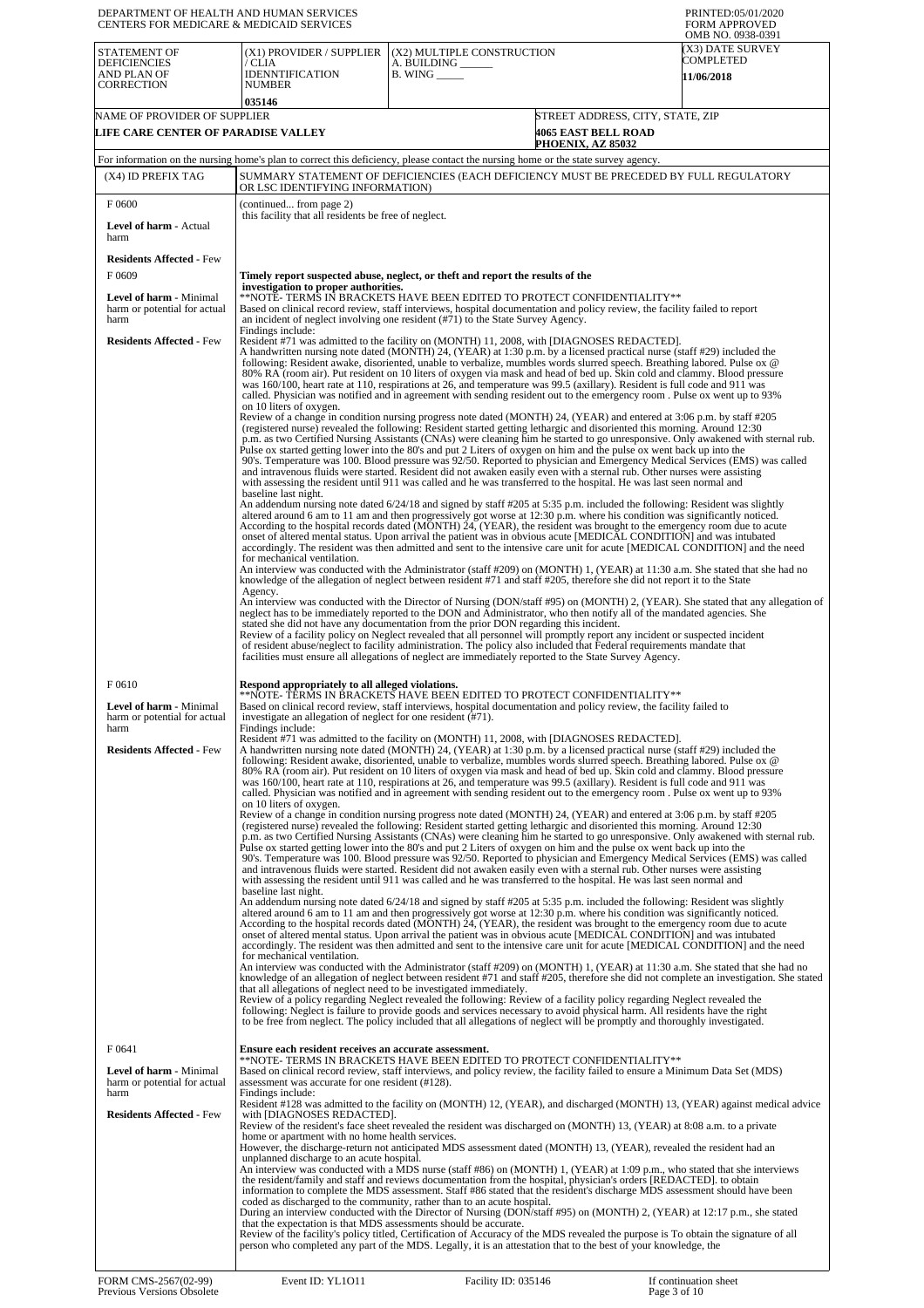| DEPARTMENT OF HEALTH AND HUMAN SERVICES<br>CENTERS FOR MEDICARE & MEDICAID SERVICES                         |                                                                                                                                                                                                                                                                         |                                                                                                                                                                                                                                                                                                                                                                                                                                                                                                                                                                                                                                                                                                                                                                                                                                                                                                                                                                                                                                                                                                                                                                                                                                                                                                                                                                                                                                                                                                                                                                                                                                            | PRINTED:05/01/2020<br><b>FORM APPROVED</b><br>OMB NO. 0938-0391                                                                        |
|-------------------------------------------------------------------------------------------------------------|-------------------------------------------------------------------------------------------------------------------------------------------------------------------------------------------------------------------------------------------------------------------------|--------------------------------------------------------------------------------------------------------------------------------------------------------------------------------------------------------------------------------------------------------------------------------------------------------------------------------------------------------------------------------------------------------------------------------------------------------------------------------------------------------------------------------------------------------------------------------------------------------------------------------------------------------------------------------------------------------------------------------------------------------------------------------------------------------------------------------------------------------------------------------------------------------------------------------------------------------------------------------------------------------------------------------------------------------------------------------------------------------------------------------------------------------------------------------------------------------------------------------------------------------------------------------------------------------------------------------------------------------------------------------------------------------------------------------------------------------------------------------------------------------------------------------------------------------------------------------------------------------------------------------------------|----------------------------------------------------------------------------------------------------------------------------------------|
| <b>STATEMENT OF</b><br><b>DEFICIENCIES</b><br>AND PLAN OF<br><b>CORRECTION</b>                              | (X1) PROVIDER / SUPPLIER<br>/ CLIA<br><b>IDENNTIFICATION</b><br><b>NUMBER</b><br>035146                                                                                                                                                                                 | (X2) MULTIPLE CONSTRUCTION<br>A. BUILDING<br>$B.$ WING $\_\_\_\_\_\_\_\$                                                                                                                                                                                                                                                                                                                                                                                                                                                                                                                                                                                                                                                                                                                                                                                                                                                                                                                                                                                                                                                                                                                                                                                                                                                                                                                                                                                                                                                                                                                                                                   | (X3) DATE SURVEY<br>COMPLETED<br><b>11/06/2018</b>                                                                                     |
| NAME OF PROVIDER OF SUPPLIER<br>LIFE CARE CENTER OF PARADISE VALLEY                                         |                                                                                                                                                                                                                                                                         | <b>4065 EAST BELL ROAD</b><br><b>PHOENIX, AZ 85032</b>                                                                                                                                                                                                                                                                                                                                                                                                                                                                                                                                                                                                                                                                                                                                                                                                                                                                                                                                                                                                                                                                                                                                                                                                                                                                                                                                                                                                                                                                                                                                                                                     | STREET ADDRESS, CITY, STATE, ZIP                                                                                                       |
| (X4) ID PREFIX TAG                                                                                          |                                                                                                                                                                                                                                                                         | For information on the nursing home's plan to correct this deficiency, please contact the nursing home or the state survey agency.<br>SUMMARY STATEMENT OF DEFICIENCIES (EACH DEFICIENCY MUST BE PRECEDED BY FULL REGULATORY                                                                                                                                                                                                                                                                                                                                                                                                                                                                                                                                                                                                                                                                                                                                                                                                                                                                                                                                                                                                                                                                                                                                                                                                                                                                                                                                                                                                               |                                                                                                                                        |
| F0600<br>Level of harm - Actual                                                                             | OR LSC IDENTIFYING INFORMATION)<br>(continued from page 2)<br>this facility that all residents be free of neglect.                                                                                                                                                      |                                                                                                                                                                                                                                                                                                                                                                                                                                                                                                                                                                                                                                                                                                                                                                                                                                                                                                                                                                                                                                                                                                                                                                                                                                                                                                                                                                                                                                                                                                                                                                                                                                            |                                                                                                                                        |
| harm<br><b>Residents Affected - Few</b>                                                                     |                                                                                                                                                                                                                                                                         |                                                                                                                                                                                                                                                                                                                                                                                                                                                                                                                                                                                                                                                                                                                                                                                                                                                                                                                                                                                                                                                                                                                                                                                                                                                                                                                                                                                                                                                                                                                                                                                                                                            |                                                                                                                                        |
| F0609<br>Level of harm - Minimal                                                                            | investigation to proper authorities.                                                                                                                                                                                                                                    | Timely report suspected abuse, neglect, or theft and report the results of the<br>**NOTĒ- TERMŠ IN BRACKETS HAVE BEEN EDITED TO PROTECT CONFIDENTIALITY**                                                                                                                                                                                                                                                                                                                                                                                                                                                                                                                                                                                                                                                                                                                                                                                                                                                                                                                                                                                                                                                                                                                                                                                                                                                                                                                                                                                                                                                                                  |                                                                                                                                        |
| harm or potential for actual<br>harm                                                                        | Findings include:                                                                                                                                                                                                                                                       | Based on clinical record review, staff interviews, hospital documentation and policy review, the facility failed to report<br>an incident of neglect involving one resident (#71) to the State Survey Agency.                                                                                                                                                                                                                                                                                                                                                                                                                                                                                                                                                                                                                                                                                                                                                                                                                                                                                                                                                                                                                                                                                                                                                                                                                                                                                                                                                                                                                              |                                                                                                                                        |
| <b>Residents Affected - Few</b>                                                                             | on 10 liters of oxygen.<br>baseline last night.                                                                                                                                                                                                                         | Resident #71 was admitted to the facility on (MONTH) 11, 2008, with [DIAGNOSES REDACTED].<br>A handwritten nursing note dated (MONTH) 24, (YEAR) at 1:30 p.m. by a licensed practical nurse (staff #29) included the<br>following: Resident awake, disoriented, unable to verbalize, mumbles words slurred speech. Breathing labored. Pulse ox @<br>80% RA (room air). Put resident on 10 liters of oxygen via mask and head of bed up. Skin cold and clammy. Blood pressure<br>was 160/100, heart rate at 110, respirations at 26, and temperature was 99.5 (axillary). Resident is full code and 911 was<br>called. Physician was notified and in agreement with sending resident out to the emergency room. Pulse ox went up to 93%<br>Review of a change in condition nursing progress note dated (MONTH) 24, (YEAR) and entered at 3:06 p.m. by staff #205<br>(registered nurse) revealed the following: Resident started getting lethargic and disoriented this morning. Around 12:30<br>p.m. as two Certified Nursing Assistants (CNAs) were cleaning him he started to go unresponsive. Only awakened with sternal rub.<br>Pulse ox started getting lower into the 80's and put 2 Liters of oxygen on him and the pulse ox went back up into the<br>90's. Temperature was 100. Blood pressure was 92/50. Reported to physician and Emergency Medical Services (EMS) was called<br>and intravenous fluids were started. Resident did not awaken easily even with a sternal rub. Other nurses were assisting<br>with assessing the resident until 911 was called and he was transferred to the hospital. He was last seen normal and |                                                                                                                                        |
|                                                                                                             | for mechanical ventilation.                                                                                                                                                                                                                                             | An addendum nursing note dated 6/24/18 and signed by staff #205 at 5:35 p.m. included the following: Resident was slightly<br>altered around 6 am to 11 am and then progressively got worse at 12:30 p.m. where his condition was significantly noticed.<br>According to the hospital records dated (MONTH) 24, (YEAR), the resident was brought to the emergency room due to acute<br>onset of altered mental status. Upon arrival the patient was in obvious acute [MEDICAL CONDITION] and was intubated<br>accordingly. The resident was then admitted and sent to the intensive care unit for acute [MEDICAL CONDITION] and the need<br>An interview was conducted with the Administrator (staff #209) on (MONTH) 1, (YEAR) at 11:30 a.m. She stated that she had no                                                                                                                                                                                                                                                                                                                                                                                                                                                                                                                                                                                                                                                                                                                                                                                                                                                                   |                                                                                                                                        |
|                                                                                                             | Agency.                                                                                                                                                                                                                                                                 | knowledge of the allegation of neglect between resident #71 and staff #205, therefore she did not report it to the State<br>neglect has to be immediately reported to the DON and Administrator, who then notify all of the mandated agencies. She<br>stated she did not have any documentation from the prior DON regarding this incident.<br>Review of a facility policy on Neglect revealed that all personnel will promptly report any incident or suspected incident<br>of resident abuse/neglect to facility administration. The policy also included that Federal requirements mandate that<br>facilities must ensure all allegations of neglect are immediately reported to the State Survey Agency.                                                                                                                                                                                                                                                                                                                                                                                                                                                                                                                                                                                                                                                                                                                                                                                                                                                                                                                               | An interview was conducted with the Director of Nursing (DON/staff #95) on (MONTH) 2, (YEAR). She stated that any allegation of        |
| F0610<br>Level of harm - Minimal<br>harm or potential for actual<br>harm<br><b>Residents Affected - Few</b> | Respond appropriately to all alleged violations.<br>investigate an allegation of neglect for one resident (#71).<br>Findings include:                                                                                                                                   | **NOTE- TĒRMS IN BRACKETS HAVE BEEN EDITED TO PROTECT CONFIDENTIALITY**<br>Based on clinical record review, staff interviews, hospital documentation and policy review, the facility failed to<br>Resident #71 was admitted to the facility on (MONTH) 11, 2008, with [DIAGNOSES REDACTED].<br>A handwritten nursing note dated (MONTH) 24, (YEAR) at 1:30 p.m. by a licensed practical nurse (staff #29) included the<br>following: Resident awake, disoriented, unable to verbalize, mumbles words slurred speech. Breathing labored. Pulse ox @                                                                                                                                                                                                                                                                                                                                                                                                                                                                                                                                                                                                                                                                                                                                                                                                                                                                                                                                                                                                                                                                                         |                                                                                                                                        |
|                                                                                                             | on 10 liters of oxygen.<br>baseline last night.                                                                                                                                                                                                                         | 80% RA (room air). Put resident on 10 liters of oxygen via mask and head of bed up. Skin cold and clammy. Blood pressure<br>was 160/100, heart rate at 110, respirations at 26, and temperature was 99.5 (axillary). Resident is full code and 911 was<br>called. Physician was notified and in agreement with sending resident out to the emergency room. Pulse ox went up to 93%<br>Review of a change in condition nursing progress note dated (MONTH) 24, (YEAR) and entered at 3:06 p.m. by staff #205<br>(registered nurse) revealed the following: Resident started getting lethargic and disoriented this morning. Around 12:30<br>p.m. as two Certified Nursing Assistants (CNAs) were cleaning him he started to go unresponsive. Only awakened with sternal rub.<br>Pulse ox started getting lower into the 80's and put 2 Liters of oxygen on him and the pulse ox went back up into the<br>90's. Temperature was 100. Blood pressure was 92/50. Reported to physician and Emergency Medical Services (EMS) was called<br>and intravenous fluids were started. Resident did not awaken easily even with a sternal rub. Other nurses were assisting<br>with assessing the resident until 911 was called and he was transferred to the hospital. He was last seen normal and                                                                                                                                                                                                                                                                                                                                                     |                                                                                                                                        |
|                                                                                                             | for mechanical ventilation.<br>that all allegations of neglect need to be investigated immediately.                                                                                                                                                                     | An addendum nursing note dated 6/24/18 and signed by staff #205 at 5:35 p.m. included the following: Resident was slightly<br>altered around 6 am to 11 am and then progressively got worse at 12:30 p.m. where his condition was significantly noticed.<br>According to the hospital records dated (MONTH) 24, (YEAR), the resident was brought to the emergency room due to acute<br>onset of altered mental status. Upon arrival the patient was in obvious acute [MEDICAL CONDITION] and was intubated<br>accordingly. The resident was then admitted and sent to the intensive care unit for acute [MEDICAL CONDITION] and the need<br>An interview was conducted with the Administrator (staff #209) on (MONTH) 1, (YEAR) at 11:30 a.m. She stated that she had no<br>Review of a policy regarding Neglect revealed the following: Review of a facility policy regarding Neglect revealed the<br>following: Neglect is failure to provide goods and services necessary to avoid physical harm. All residents have the right<br>to be free from neglect. The policy included that all allegations of neglect will be promptly and thoroughly investigated.                                                                                                                                                                                                                                                                                                                                                                                                                                                                            | knowledge of an allegation of neglect between resident #71 and staff #205, therefore she did not complete an investigation. She stated |
| F0641<br>Level of harm - Minimal                                                                            | Ensure each resident receives an accurate assessment.                                                                                                                                                                                                                   | **NOTE- TERMS IN BRACKETS HAVE BEEN EDITED TO PROTECT CONFIDENTIALITY**<br>Based on clinical record review, staff interviews, and policy review, the facility failed to ensure a Minimum Data Set (MDS)                                                                                                                                                                                                                                                                                                                                                                                                                                                                                                                                                                                                                                                                                                                                                                                                                                                                                                                                                                                                                                                                                                                                                                                                                                                                                                                                                                                                                                    |                                                                                                                                        |
| harm or potential for actual<br>harm<br><b>Residents Affected - Few</b>                                     | assessment was accurate for one resident (#128).<br>Findings include:<br>with [DIAGNOSES REDACTED].<br>home or apartment with no home health services.<br>unplanned discharge to an acute hospital.<br>that the expectation is that MDS assessments should be accurate. | Review of the resident's face sheet revealed the resident was discharged on (MONTH) 13, (YEAR) at 8:08 a.m. to a private<br>However, the discharge-return not anticipated MDS assessment dated (MONTH) 13, (YEAR), revealed the resident had an<br>An interview was conducted with a MDS nurse (staff #86) on (MONTH) 1, (YEAR) at 1:09 p.m., who stated that she interviews<br>the resident/family and staff and reviews documentation from the hospital, physician's orders [REDACTED]. to obtain<br>information to complete the MDS assessment. Staff #86 stated that the resident's discharge MDS assessment should have been<br>coded as discharged to the community, rather than to an acute hospital.<br>During an interview conducted with the Director of Nursing (DON/staff #95) on (MONTH) 2, (YEAR) at 12:17 p.m., she stated<br>Review of the facility's policy titled, Certification of Accuracy of the MDS revealed the purpose is To obtain the signature of all<br>person who completed any part of the MDS. Legally, it is an attestation that to the best of your knowledge, the                                                                                                                                                                                                                                                                                                                                                                                                                                                                                                                                        | Resident #128 was admitted to the facility on (MONTH) 12, (YEAR), and discharged (MONTH) 13, (YEAR) against medical advice             |
| FORM CMS-2567(02-99)<br>Previous Versions Obsolete                                                          | Event ID: YL1011                                                                                                                                                                                                                                                        | Facility ID: 035146                                                                                                                                                                                                                                                                                                                                                                                                                                                                                                                                                                                                                                                                                                                                                                                                                                                                                                                                                                                                                                                                                                                                                                                                                                                                                                                                                                                                                                                                                                                                                                                                                        | If continuation sheet<br>Page 3 of 10                                                                                                  |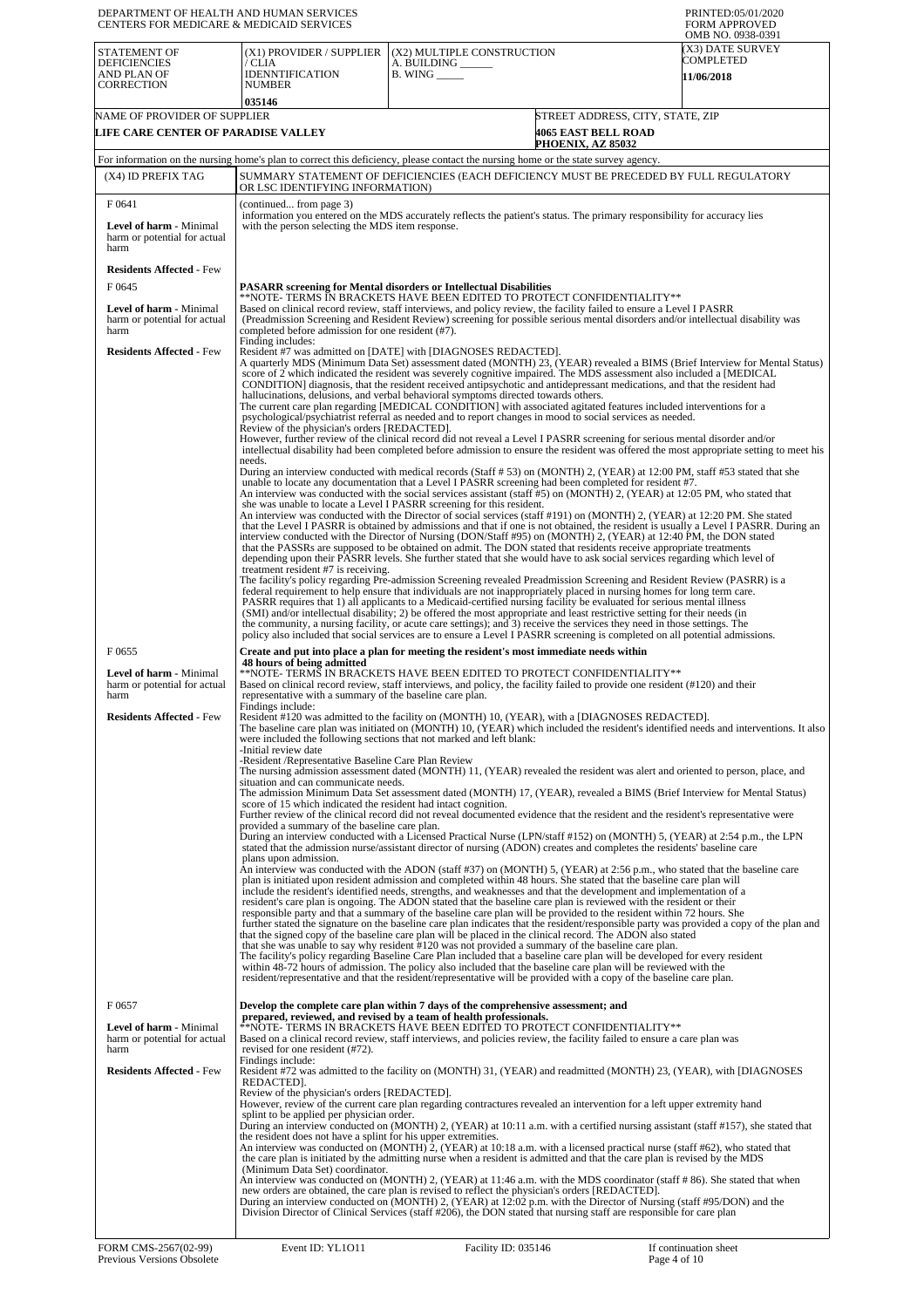| DEPARTMENT OF HEALTH AND HUMAN SERVICES<br>CENTERS FOR MEDICARE & MEDICAID SERVICES                                                            |                                                                                                                                                                                                                                                                                                                                                                                                                                                                                                                                                                               |                                                                                                                                                                                                                                                                                                                                                                                                                                                                                                                                                                                                                                                                                                                                                                                                                                                                                                                                                                                                                                                                                                                                                                                                                                                                                                                                                                                                                                                                                                                                                                                                                                                                                                                                                                                                                                                                                                                                                                                                                                                                                                                                                                                                                                                                                                                                                                                                                                                                                                                                                                                                                                                                                                                                                                                                                                                                                                                                                                                                                                                                                                                                                                                                                                                                                                                                                                                                                                                                                                                                                                                                                                                                                                                                                                                                                                                                                                                                                                                                                                                                                                                                                                                                                                                                                                                | PRINTED:05/01/2020<br><b>FORM APPROVED</b><br>OMB NO. 0938-0391                                                                                                                                                                                                                                                                                                                                                                                                                                                                                                                                                                                                                                   |
|------------------------------------------------------------------------------------------------------------------------------------------------|-------------------------------------------------------------------------------------------------------------------------------------------------------------------------------------------------------------------------------------------------------------------------------------------------------------------------------------------------------------------------------------------------------------------------------------------------------------------------------------------------------------------------------------------------------------------------------|----------------------------------------------------------------------------------------------------------------------------------------------------------------------------------------------------------------------------------------------------------------------------------------------------------------------------------------------------------------------------------------------------------------------------------------------------------------------------------------------------------------------------------------------------------------------------------------------------------------------------------------------------------------------------------------------------------------------------------------------------------------------------------------------------------------------------------------------------------------------------------------------------------------------------------------------------------------------------------------------------------------------------------------------------------------------------------------------------------------------------------------------------------------------------------------------------------------------------------------------------------------------------------------------------------------------------------------------------------------------------------------------------------------------------------------------------------------------------------------------------------------------------------------------------------------------------------------------------------------------------------------------------------------------------------------------------------------------------------------------------------------------------------------------------------------------------------------------------------------------------------------------------------------------------------------------------------------------------------------------------------------------------------------------------------------------------------------------------------------------------------------------------------------------------------------------------------------------------------------------------------------------------------------------------------------------------------------------------------------------------------------------------------------------------------------------------------------------------------------------------------------------------------------------------------------------------------------------------------------------------------------------------------------------------------------------------------------------------------------------------------------------------------------------------------------------------------------------------------------------------------------------------------------------------------------------------------------------------------------------------------------------------------------------------------------------------------------------------------------------------------------------------------------------------------------------------------------------------------------------------------------------------------------------------------------------------------------------------------------------------------------------------------------------------------------------------------------------------------------------------------------------------------------------------------------------------------------------------------------------------------------------------------------------------------------------------------------------------------------------------------------------------------------------------------------------------------------------------------------------------------------------------------------------------------------------------------------------------------------------------------------------------------------------------------------------------------------------------------------------------------------------------------------------------------------------------------------------------------------------------------------------------------------------------------------|---------------------------------------------------------------------------------------------------------------------------------------------------------------------------------------------------------------------------------------------------------------------------------------------------------------------------------------------------------------------------------------------------------------------------------------------------------------------------------------------------------------------------------------------------------------------------------------------------------------------------------------------------------------------------------------------------|
| <b>STATEMENT OF</b><br><b>DEFICIENCIES</b><br>AND PLAN OF<br><b>CORRECTION</b>                                                                 | (X1) PROVIDER / SUPPLIER<br>/ CLIA<br><b>IDENNTIFICATION</b><br><b>NUMBER</b>                                                                                                                                                                                                                                                                                                                                                                                                                                                                                                 | (X2) MULTIPLE CONSTRUCTION<br>A. BUILDING _<br>$B.$ WING $\_\_\_\_\_\_\_\$                                                                                                                                                                                                                                                                                                                                                                                                                                                                                                                                                                                                                                                                                                                                                                                                                                                                                                                                                                                                                                                                                                                                                                                                                                                                                                                                                                                                                                                                                                                                                                                                                                                                                                                                                                                                                                                                                                                                                                                                                                                                                                                                                                                                                                                                                                                                                                                                                                                                                                                                                                                                                                                                                                                                                                                                                                                                                                                                                                                                                                                                                                                                                                                                                                                                                                                                                                                                                                                                                                                                                                                                                                                                                                                                                                                                                                                                                                                                                                                                                                                                                                                                                                                                                                     | (X3) DATE SURVEY<br>COMPLETED<br><b>11/06/2018</b>                                                                                                                                                                                                                                                                                                                                                                                                                                                                                                                                                                                                                                                |
| NAME OF PROVIDER OF SUPPLIER                                                                                                                   | 035146                                                                                                                                                                                                                                                                                                                                                                                                                                                                                                                                                                        |                                                                                                                                                                                                                                                                                                                                                                                                                                                                                                                                                                                                                                                                                                                                                                                                                                                                                                                                                                                                                                                                                                                                                                                                                                                                                                                                                                                                                                                                                                                                                                                                                                                                                                                                                                                                                                                                                                                                                                                                                                                                                                                                                                                                                                                                                                                                                                                                                                                                                                                                                                                                                                                                                                                                                                                                                                                                                                                                                                                                                                                                                                                                                                                                                                                                                                                                                                                                                                                                                                                                                                                                                                                                                                                                                                                                                                                                                                                                                                                                                                                                                                                                                                                                                                                                                                                | STREET ADDRESS, CITY, STATE, ZIP                                                                                                                                                                                                                                                                                                                                                                                                                                                                                                                                                                                                                                                                  |
| LIFE CARE CENTER OF PARADISE VALLEY                                                                                                            |                                                                                                                                                                                                                                                                                                                                                                                                                                                                                                                                                                               | <b>4065 EAST BELL ROAD</b><br>PHOENIX, AZ 85032                                                                                                                                                                                                                                                                                                                                                                                                                                                                                                                                                                                                                                                                                                                                                                                                                                                                                                                                                                                                                                                                                                                                                                                                                                                                                                                                                                                                                                                                                                                                                                                                                                                                                                                                                                                                                                                                                                                                                                                                                                                                                                                                                                                                                                                                                                                                                                                                                                                                                                                                                                                                                                                                                                                                                                                                                                                                                                                                                                                                                                                                                                                                                                                                                                                                                                                                                                                                                                                                                                                                                                                                                                                                                                                                                                                                                                                                                                                                                                                                                                                                                                                                                                                                                                                                |                                                                                                                                                                                                                                                                                                                                                                                                                                                                                                                                                                                                                                                                                                   |
|                                                                                                                                                |                                                                                                                                                                                                                                                                                                                                                                                                                                                                                                                                                                               | For information on the nursing home's plan to correct this deficiency, please contact the nursing home or the state survey agency.                                                                                                                                                                                                                                                                                                                                                                                                                                                                                                                                                                                                                                                                                                                                                                                                                                                                                                                                                                                                                                                                                                                                                                                                                                                                                                                                                                                                                                                                                                                                                                                                                                                                                                                                                                                                                                                                                                                                                                                                                                                                                                                                                                                                                                                                                                                                                                                                                                                                                                                                                                                                                                                                                                                                                                                                                                                                                                                                                                                                                                                                                                                                                                                                                                                                                                                                                                                                                                                                                                                                                                                                                                                                                                                                                                                                                                                                                                                                                                                                                                                                                                                                                                             |                                                                                                                                                                                                                                                                                                                                                                                                                                                                                                                                                                                                                                                                                                   |
| (X4) ID PREFIX TAG                                                                                                                             | OR LSC IDENTIFYING INFORMATION)                                                                                                                                                                                                                                                                                                                                                                                                                                                                                                                                               | SUMMARY STATEMENT OF DEFICIENCIES (EACH DEFICIENCY MUST BE PRECEDED BY FULL REGULATORY                                                                                                                                                                                                                                                                                                                                                                                                                                                                                                                                                                                                                                                                                                                                                                                                                                                                                                                                                                                                                                                                                                                                                                                                                                                                                                                                                                                                                                                                                                                                                                                                                                                                                                                                                                                                                                                                                                                                                                                                                                                                                                                                                                                                                                                                                                                                                                                                                                                                                                                                                                                                                                                                                                                                                                                                                                                                                                                                                                                                                                                                                                                                                                                                                                                                                                                                                                                                                                                                                                                                                                                                                                                                                                                                                                                                                                                                                                                                                                                                                                                                                                                                                                                                                         |                                                                                                                                                                                                                                                                                                                                                                                                                                                                                                                                                                                                                                                                                                   |
| F0641                                                                                                                                          | (continued from page 3)                                                                                                                                                                                                                                                                                                                                                                                                                                                                                                                                                       |                                                                                                                                                                                                                                                                                                                                                                                                                                                                                                                                                                                                                                                                                                                                                                                                                                                                                                                                                                                                                                                                                                                                                                                                                                                                                                                                                                                                                                                                                                                                                                                                                                                                                                                                                                                                                                                                                                                                                                                                                                                                                                                                                                                                                                                                                                                                                                                                                                                                                                                                                                                                                                                                                                                                                                                                                                                                                                                                                                                                                                                                                                                                                                                                                                                                                                                                                                                                                                                                                                                                                                                                                                                                                                                                                                                                                                                                                                                                                                                                                                                                                                                                                                                                                                                                                                                |                                                                                                                                                                                                                                                                                                                                                                                                                                                                                                                                                                                                                                                                                                   |
| Level of harm - Minimal<br>harm or potential for actual<br>harm                                                                                | with the person selecting the MDS item response.                                                                                                                                                                                                                                                                                                                                                                                                                                                                                                                              | information you entered on the MDS accurately reflects the patient's status. The primary responsibility for accuracy lies                                                                                                                                                                                                                                                                                                                                                                                                                                                                                                                                                                                                                                                                                                                                                                                                                                                                                                                                                                                                                                                                                                                                                                                                                                                                                                                                                                                                                                                                                                                                                                                                                                                                                                                                                                                                                                                                                                                                                                                                                                                                                                                                                                                                                                                                                                                                                                                                                                                                                                                                                                                                                                                                                                                                                                                                                                                                                                                                                                                                                                                                                                                                                                                                                                                                                                                                                                                                                                                                                                                                                                                                                                                                                                                                                                                                                                                                                                                                                                                                                                                                                                                                                                                      |                                                                                                                                                                                                                                                                                                                                                                                                                                                                                                                                                                                                                                                                                                   |
| <b>Residents Affected - Few</b>                                                                                                                |                                                                                                                                                                                                                                                                                                                                                                                                                                                                                                                                                                               |                                                                                                                                                                                                                                                                                                                                                                                                                                                                                                                                                                                                                                                                                                                                                                                                                                                                                                                                                                                                                                                                                                                                                                                                                                                                                                                                                                                                                                                                                                                                                                                                                                                                                                                                                                                                                                                                                                                                                                                                                                                                                                                                                                                                                                                                                                                                                                                                                                                                                                                                                                                                                                                                                                                                                                                                                                                                                                                                                                                                                                                                                                                                                                                                                                                                                                                                                                                                                                                                                                                                                                                                                                                                                                                                                                                                                                                                                                                                                                                                                                                                                                                                                                                                                                                                                                                |                                                                                                                                                                                                                                                                                                                                                                                                                                                                                                                                                                                                                                                                                                   |
| F0645<br>Level of harm - Minimal<br>harm or potential for actual<br>harm                                                                       | completed before admission for one resident (#7).                                                                                                                                                                                                                                                                                                                                                                                                                                                                                                                             | <b>PASARR</b> screening for Mental disorders or Intellectual Disabilities<br>**NOTE- TERMS IN BRACKETS HAVE BEEN EDITED TO PROTECT CONFIDENTIALITY**<br>Based on clinical record review, staff interviews, and policy review, the facility failed to ensure a Level I PASRR<br>(Preadmission Screening and Resident Review) screening for possible serious mental disorders and/or intellectual disability was                                                                                                                                                                                                                                                                                                                                                                                                                                                                                                                                                                                                                                                                                                                                                                                                                                                                                                                                                                                                                                                                                                                                                                                                                                                                                                                                                                                                                                                                                                                                                                                                                                                                                                                                                                                                                                                                                                                                                                                                                                                                                                                                                                                                                                                                                                                                                                                                                                                                                                                                                                                                                                                                                                                                                                                                                                                                                                                                                                                                                                                                                                                                                                                                                                                                                                                                                                                                                                                                                                                                                                                                                                                                                                                                                                                                                                                                                                 |                                                                                                                                                                                                                                                                                                                                                                                                                                                                                                                                                                                                                                                                                                   |
| <b>Residents Affected - Few</b><br>F0655<br>Level of harm - Minimal<br>harm or potential for actual<br>harm<br><b>Residents Affected - Few</b> | Finding includes:<br>Review of the physician's orders [REDACTED].<br>needs.<br>treatment resident #7 is receiving.<br>48 hours of being admitted<br>representative with a summary of the baseline care plan.<br>Findings include:<br>were included the following sections that not marked and left blank:<br>-Initial review date<br>-Resident / Representative Baseline Care Plan Review<br>situation and can communicate needs.<br>score of 15 which indicated the resident had intact cognition.<br>provided a summary of the baseline care plan.<br>plans upon admission. | Resident #7 was admitted on [DATE] with [DIAGNOSES REDACTED].<br>score of 2 which indicated the resident was severely cognitive impaired. The MDS assessment also included a [MEDICAL<br>CONDITION] diagnosis, that the resident received antipsychotic and antidepressant medications, and that the resident had<br>hallucinations, delusions, and verbal behavioral symptoms directed towards others.<br>The current care plan regarding [MEDICAL CONDITION] with associated agitated features included interventions for a<br>psychological/psychiatrist referral as needed and to report changes in mood to social services as needed.<br>However, further review of the clinical record did not reveal a Level I PASRR screening for serious mental disorder and/or<br>During an interview conducted with medical records (Staff # 53) on (MONTH) 2, (YEAR) at 12:00 PM, staff #53 stated that she<br>unable to locate any documentation that a Level I PASRR screening had been completed for resident #7.<br>An interview was conducted with the social services assistant (staff #5) on (MONTH) 2, (YEAR) at 12:05 PM, who stated that<br>she was unable to locate a Level I PASRR screening for this resident.<br>An interview was conducted with the Director of social services (staff #191) on (MONTH) 2, (YEAR) at 12:20 PM. She stated<br>interview conducted with the Director of Nursing (DON/Staff #95) on (MONTH) 2, (YEAR) at 12:40 PM, the DON stated<br>that the PASSRs are supposed to be obtained on admit. The DON stated that residents receive appropriate treatments<br>depending upon their PASRR levels. She further stated that she would have to ask social services regarding which level of<br>The facility's policy regarding Pre-admission Screening revealed Preadmission Screening and Resident Review (PASRR) is a<br>federal requirement to help ensure that individuals are not inappropriately placed in nursing homes for long term care.<br>PASRR requires that 1) all applicants to a Medicaid-certified nursing facility be evaluated for serious mental illness<br>(SMI) and/or intellectual disability; 2) be offered the most appropriate and least restrictive setting for their needs (in<br>the community, a nursing facility, or acute care settings); and 3) receive the services they need in those settings. The<br>policy also included that social services are to ensure a Level I PASRR screening is completed on all potential admissions.<br>Create and put into place a plan for meeting the resident's most immediate needs within<br>**NOTE- TERMS IN BRACKETS HAVE BEEN EDITED TO PROTECT CONFIDENTIALITY**<br>Based on clinical record review, staff interviews, and policy, the facility failed to provide one resident (#120) and their<br>Resident #120 was admitted to the facility on (MONTH) 10, (YEAR), with a [DIAGNOSES REDACTED].<br>The nursing admission assessment dated (MONTH) 11, (YEAR) revealed the resident was alert and oriented to person, place, and<br>The admission Minimum Data Set assessment dated (MONTH) 17, (YEAR), revealed a BIMS (Brief Interview for Mental Status)<br>Further review of the clinical record did not reveal documented evidence that the resident and the resident's representative were<br>During an interview conducted with a Licensed Practical Nurse (LPN/staff #152) on (MONTH) 5, (YEAR) at 2:54 p.m., the LPN<br>stated that the admission nurse/assistant director of nursing (ADON) creates and completes the residents' baseline care<br>An interview was conducted with the ADON (staff #37) on (MONTH) 5, (YEAR) at 2:56 p.m., who stated that the baseline care<br>plan is initiated upon resident admission and completed within 48 hours. She stated that the baseline care plan will<br>include the resident's identified needs, strengths, and weaknesses and that the development and implementation of a<br>resident's care plan is ongoing. The ADON stated that the baseline care plan is reviewed with the resident or their<br>responsible party and that a summary of the baseline care plan will be provided to the resident within 72 hours. She<br>that the signed copy of the baseline care plan will be placed in the clinical record. The ADON also stated | A quarterly MDS (Minimum Data Set) assessment dated (MONTH) 23, (YEAR) revealed a BIMS (Brief Interview for Mental Status)<br>intellectual disability had been completed before admission to ensure the resident was offered the most appropriate setting to meet his<br>that the Level I PASRR is obtained by admissions and that if one is not obtained, the resident is usually a Level I PASRR. During an<br>The baseline care plan was initiated on (MONTH) 10, (YEAR) which included the resident's identified needs and interventions. It also<br>further stated the signature on the baseline care plan indicates that the resident/responsible party was provided a copy of the plan and |
| F0657                                                                                                                                          |                                                                                                                                                                                                                                                                                                                                                                                                                                                                                                                                                                               | that she was unable to say why resident #120 was not provided a summary of the baseline care plan.<br>The facility's policy regarding Baseline Care Plan included that a baseline care plan will be developed for every resident<br>within 48-72 hours of admission. The policy also included that the baseline care plan will be reviewed with the<br>resident/representative and that the resident/representative will be provided with a copy of the baseline care plan.<br>Develop the complete care plan within 7 days of the comprehensive assessment; and                                                                                                                                                                                                                                                                                                                                                                                                                                                                                                                                                                                                                                                                                                                                                                                                                                                                                                                                                                                                                                                                                                                                                                                                                                                                                                                                                                                                                                                                                                                                                                                                                                                                                                                                                                                                                                                                                                                                                                                                                                                                                                                                                                                                                                                                                                                                                                                                                                                                                                                                                                                                                                                                                                                                                                                                                                                                                                                                                                                                                                                                                                                                                                                                                                                                                                                                                                                                                                                                                                                                                                                                                                                                                                                                               |                                                                                                                                                                                                                                                                                                                                                                                                                                                                                                                                                                                                                                                                                                   |
| Level of harm - Minimal<br>harm or potential for actual<br>harm<br><b>Residents Affected - Few</b>                                             | revised for one resident (#72).<br>Findings include:                                                                                                                                                                                                                                                                                                                                                                                                                                                                                                                          | prepared, reviewed, and revised by a team of health professionals.<br>**NOTE- TERMS IN BRACKETS HAVE BEEN EDITED TO PROTECT CONFIDENTIALITY**<br>Based on a clinical record review, staff interviews, and policies review, the facility failed to ensure a care plan was<br>Resident #72 was admitted to the facility on (MONTH) 31, (YEAR) and readmitted (MONTH) 23, (YEAR), with [DIAGNOSES                                                                                                                                                                                                                                                                                                                                                                                                                                                                                                                                                                                                                                                                                                                                                                                                                                                                                                                                                                                                                                                                                                                                                                                                                                                                                                                                                                                                                                                                                                                                                                                                                                                                                                                                                                                                                                                                                                                                                                                                                                                                                                                                                                                                                                                                                                                                                                                                                                                                                                                                                                                                                                                                                                                                                                                                                                                                                                                                                                                                                                                                                                                                                                                                                                                                                                                                                                                                                                                                                                                                                                                                                                                                                                                                                                                                                                                                                                                 |                                                                                                                                                                                                                                                                                                                                                                                                                                                                                                                                                                                                                                                                                                   |
|                                                                                                                                                | REDACTED].<br>Review of the physician's orders [REDACTED].<br>splint to be applied per physician order.<br>the resident does not have a splint for his upper extremities.<br>(Minimum Data Set) coordinator.                                                                                                                                                                                                                                                                                                                                                                  | However, review of the current care plan regarding contractures revealed an intervention for a left upper extremity hand<br>During an interview conducted on (MONTH) 2, (YEAR) at 10:11 a.m. with a certified nursing assistant (staff #157), she stated that<br>An interview was conducted on (MONTH) 2, (YEAR) at 10:18 a.m. with a licensed practical nurse (staff #62), who stated that<br>the care plan is initiated by the admitting nurse when a resident is admitted and that the care plan is revised by the MDS<br>An interview was conducted on (MONTH) 2, (YEAR) at 11:46 a.m. with the MDS coordinator (staff #86). She stated that when<br>new orders are obtained, the care plan is revised to reflect the physician's orders [REDACTED].<br>During an interview conducted on (MONTH) 2, (YEAR) at 12:02 p.m. with the Director of Nursing (staff #95/DON) and the<br>Division Director of Clinical Services (staff #206), the DON stated that nursing staff are responsible for care plan                                                                                                                                                                                                                                                                                                                                                                                                                                                                                                                                                                                                                                                                                                                                                                                                                                                                                                                                                                                                                                                                                                                                                                                                                                                                                                                                                                                                                                                                                                                                                                                                                                                                                                                                                                                                                                                                                                                                                                                                                                                                                                                                                                                                                                                                                                                                                                                                                                                                                                                                                                                                                                                                                                                                                                                                                                                                                                                                                                                                                                                                                                                                                                                                                                                                                                      |                                                                                                                                                                                                                                                                                                                                                                                                                                                                                                                                                                                                                                                                                                   |
| FORM CMS-2567(02-99)                                                                                                                           | Event ID: YL1011                                                                                                                                                                                                                                                                                                                                                                                                                                                                                                                                                              | Facility ID: 035146                                                                                                                                                                                                                                                                                                                                                                                                                                                                                                                                                                                                                                                                                                                                                                                                                                                                                                                                                                                                                                                                                                                                                                                                                                                                                                                                                                                                                                                                                                                                                                                                                                                                                                                                                                                                                                                                                                                                                                                                                                                                                                                                                                                                                                                                                                                                                                                                                                                                                                                                                                                                                                                                                                                                                                                                                                                                                                                                                                                                                                                                                                                                                                                                                                                                                                                                                                                                                                                                                                                                                                                                                                                                                                                                                                                                                                                                                                                                                                                                                                                                                                                                                                                                                                                                                            | If continuation sheet                                                                                                                                                                                                                                                                                                                                                                                                                                                                                                                                                                                                                                                                             |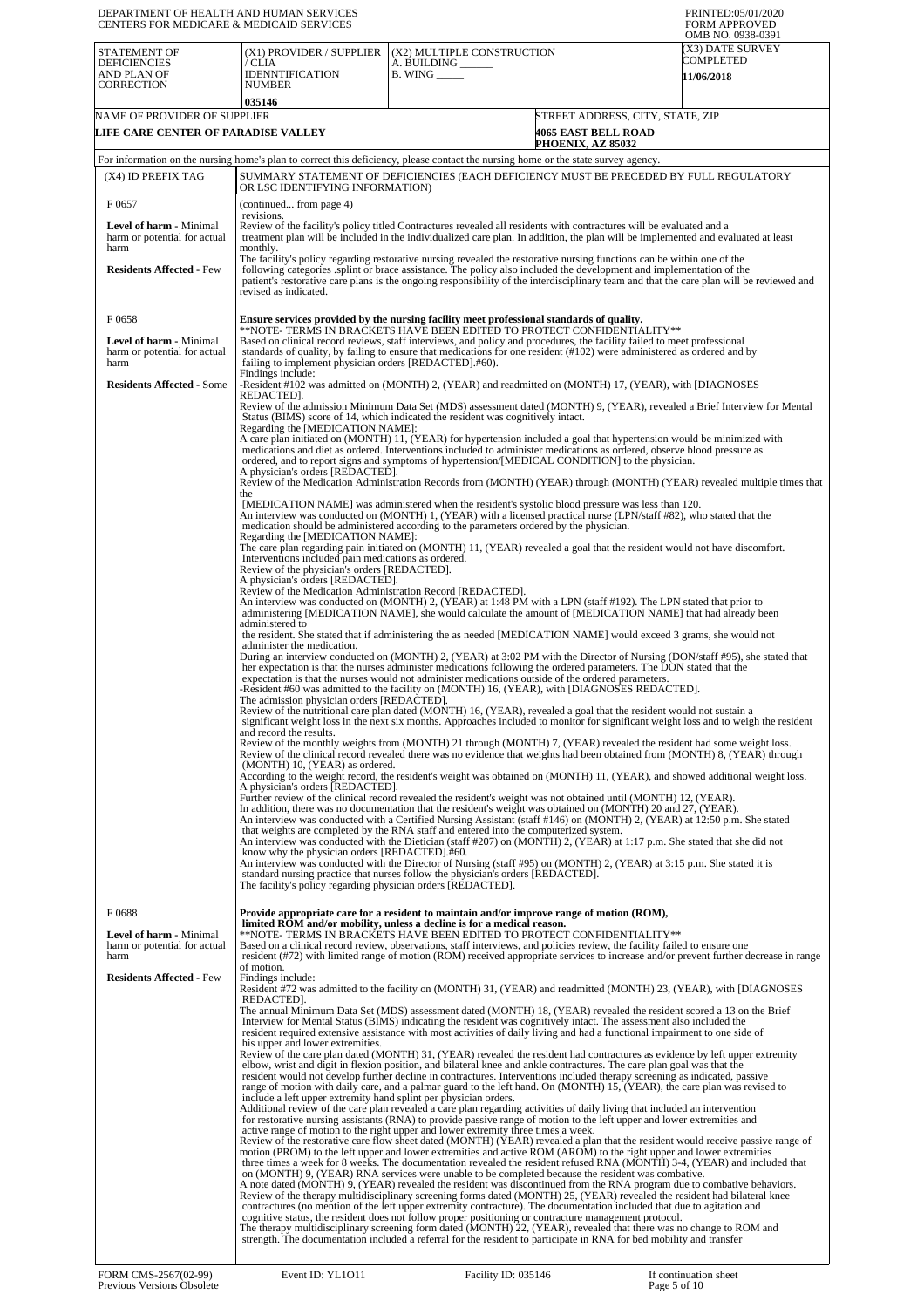| DEPARTMENT OF HEALTH AND HUMAN SERVICES<br><b>CENTERS FOR MEDICARE &amp; MEDICAID SERVICES</b>               |                                                                                                                                                                                                                                                                                                                                                                                                                                                                                                                                                                                      |                                                                                                                                                                                                                                                                                                                                                                                                                                                                                                                                                                                                                                                                                                                                                                                                                                                                                                                                                                                                                                                                                                                                                                                                                                                                                                                                                                                                                                                                                                                                                                                   | PRINTED:05/01/2020<br><b>FORM APPROVED</b><br>OMB NO. 0938-0391 |  |  |
|--------------------------------------------------------------------------------------------------------------|--------------------------------------------------------------------------------------------------------------------------------------------------------------------------------------------------------------------------------------------------------------------------------------------------------------------------------------------------------------------------------------------------------------------------------------------------------------------------------------------------------------------------------------------------------------------------------------|-----------------------------------------------------------------------------------------------------------------------------------------------------------------------------------------------------------------------------------------------------------------------------------------------------------------------------------------------------------------------------------------------------------------------------------------------------------------------------------------------------------------------------------------------------------------------------------------------------------------------------------------------------------------------------------------------------------------------------------------------------------------------------------------------------------------------------------------------------------------------------------------------------------------------------------------------------------------------------------------------------------------------------------------------------------------------------------------------------------------------------------------------------------------------------------------------------------------------------------------------------------------------------------------------------------------------------------------------------------------------------------------------------------------------------------------------------------------------------------------------------------------------------------------------------------------------------------|-----------------------------------------------------------------|--|--|
| <b>STATEMENT OF</b><br><b>DEFICIENCIES</b><br>AND PLAN OF<br><b>CORRECTION</b>                               | (X1) PROVIDER / SUPPLIER<br>/ CLIA<br><b>IDENNTIFICATION</b><br><b>NUMBER</b>                                                                                                                                                                                                                                                                                                                                                                                                                                                                                                        | (X2) MULTIPLE CONSTRUCTION<br>A. BUILDING _<br>$B.$ WING $\_\_\_\_\_\_\_\$                                                                                                                                                                                                                                                                                                                                                                                                                                                                                                                                                                                                                                                                                                                                                                                                                                                                                                                                                                                                                                                                                                                                                                                                                                                                                                                                                                                                                                                                                                        | (X3) DATE SURVEY<br>COMPLETED<br><b>11/06/2018</b>              |  |  |
| NAME OF PROVIDER OF SUPPLIER                                                                                 | 035146                                                                                                                                                                                                                                                                                                                                                                                                                                                                                                                                                                               |                                                                                                                                                                                                                                                                                                                                                                                                                                                                                                                                                                                                                                                                                                                                                                                                                                                                                                                                                                                                                                                                                                                                                                                                                                                                                                                                                                                                                                                                                                                                                                                   | STREET ADDRESS, CITY, STATE, ZIP                                |  |  |
| LIFE CARE CENTER OF PARADISE VALLEY                                                                          |                                                                                                                                                                                                                                                                                                                                                                                                                                                                                                                                                                                      | <b>4065 EAST BELL ROAD</b>                                                                                                                                                                                                                                                                                                                                                                                                                                                                                                                                                                                                                                                                                                                                                                                                                                                                                                                                                                                                                                                                                                                                                                                                                                                                                                                                                                                                                                                                                                                                                        |                                                                 |  |  |
|                                                                                                              |                                                                                                                                                                                                                                                                                                                                                                                                                                                                                                                                                                                      | PHOENIX, AZ 85032<br>For information on the nursing home's plan to correct this deficiency, please contact the nursing home or the state survey agency.                                                                                                                                                                                                                                                                                                                                                                                                                                                                                                                                                                                                                                                                                                                                                                                                                                                                                                                                                                                                                                                                                                                                                                                                                                                                                                                                                                                                                           |                                                                 |  |  |
| (X4) ID PREFIX TAG                                                                                           |                                                                                                                                                                                                                                                                                                                                                                                                                                                                                                                                                                                      | SUMMARY STATEMENT OF DEFICIENCIES (EACH DEFICIENCY MUST BE PRECEDED BY FULL REGULATORY                                                                                                                                                                                                                                                                                                                                                                                                                                                                                                                                                                                                                                                                                                                                                                                                                                                                                                                                                                                                                                                                                                                                                                                                                                                                                                                                                                                                                                                                                            |                                                                 |  |  |
| F0657                                                                                                        | OR LSC IDENTIFYING INFORMATION)<br>(continued from page 4)                                                                                                                                                                                                                                                                                                                                                                                                                                                                                                                           |                                                                                                                                                                                                                                                                                                                                                                                                                                                                                                                                                                                                                                                                                                                                                                                                                                                                                                                                                                                                                                                                                                                                                                                                                                                                                                                                                                                                                                                                                                                                                                                   |                                                                 |  |  |
| Level of harm - Minimal<br>harm or potential for actual                                                      | revisions.                                                                                                                                                                                                                                                                                                                                                                                                                                                                                                                                                                           | Review of the facility's policy titled Contractures revealed all residents with contractures will be evaluated and a<br>treatment plan will be included in the individualized care plan. In addition, the plan will be implemented and evaluated at least                                                                                                                                                                                                                                                                                                                                                                                                                                                                                                                                                                                                                                                                                                                                                                                                                                                                                                                                                                                                                                                                                                                                                                                                                                                                                                                         |                                                                 |  |  |
| harm<br><b>Residents Affected - Few</b>                                                                      | monthly.<br>The facility's policy regarding restorative nursing revealed the restorative nursing functions can be within one of the<br>following categories splint or brace assistance. The policy also included the development and implementation of the<br>patient's restorative care plans is the ongoing responsibility of the interdisciplinary team and that the care plan will be reviewed and<br>revised as indicated.                                                                                                                                                      |                                                                                                                                                                                                                                                                                                                                                                                                                                                                                                                                                                                                                                                                                                                                                                                                                                                                                                                                                                                                                                                                                                                                                                                                                                                                                                                                                                                                                                                                                                                                                                                   |                                                                 |  |  |
| F0658<br>Level of harm - Minimal<br>harm or potential for actual<br>harm<br><b>Residents Affected - Some</b> | failing to implement physician orders [REDACTED].#60).<br>Findings include:<br>REDACTEDI.<br>Regarding the [MEDICATION NAME]:                                                                                                                                                                                                                                                                                                                                                                                                                                                        | Ensure services provided by the nursing facility meet professional standards of quality.<br>**NOTE- TERMS IN BRACKETS HAVE BEEN EDITED TO PROTECT CONFIDENTIALITY**<br>Based on clinical record reviews, staff interviews, and policy and procedures, the facility failed to meet professional<br>standards of quality, by failing to ensure that medications for one resident (#102) were administered as ordered and by<br>-Resident #102 was admitted on (MONTH) 2, (YEAR) and readmitted on (MONTH) 17, (YEAR), with [DIAGNOSES<br>Review of the admission Minimum Data Set (MDS) assessment dated (MONTH) 9, (YEAR), revealed a Brief Interview for Mental<br>Status (BIMS) score of 14, which indicated the resident was cognitively intact.<br>A care plan initiated on (MONTH) 11, (YEAR) for hypertension included a goal that hypertension would be minimized with                                                                                                                                                                                                                                                                                                                                                                                                                                                                                                                                                                                                                                                                                                      |                                                                 |  |  |
|                                                                                                              | A physician's orders [REDACTED].                                                                                                                                                                                                                                                                                                                                                                                                                                                                                                                                                     | medications and diet as ordered. Interventions included to administer medications as ordered, observe blood pressure as<br>ordered, and to report signs and symptoms of hypertension/[MEDICAL CONDITION] to the physician.<br>Review of the Medication Administration Records from (MONTH) (YEAR) through (MONTH) (YEAR) revealed multiple times that                                                                                                                                                                                                                                                                                                                                                                                                                                                                                                                                                                                                                                                                                                                                                                                                                                                                                                                                                                                                                                                                                                                                                                                                                             |                                                                 |  |  |
|                                                                                                              | the                                                                                                                                                                                                                                                                                                                                                                                                                                                                                                                                                                                  | [MEDICATION NAME] was administered when the resident's systolic blood pressure was less than 120.<br>An interview was conducted on (MONTH) 1, (YEAR) with a licensed practical nurse (LPN/staff #82), who stated that the<br>medication should be administered according to the parameters ordered by the physician.                                                                                                                                                                                                                                                                                                                                                                                                                                                                                                                                                                                                                                                                                                                                                                                                                                                                                                                                                                                                                                                                                                                                                                                                                                                              |                                                                 |  |  |
|                                                                                                              | Regarding the [MEDICATION NAME]:<br>The care plan regarding pain initiated on (MONTH) 11, (YEAR) revealed a goal that the resident would not have discomfort.<br>Interventions included pain medications as ordered.<br>Review of the physician's orders [REDACTED].                                                                                                                                                                                                                                                                                                                 |                                                                                                                                                                                                                                                                                                                                                                                                                                                                                                                                                                                                                                                                                                                                                                                                                                                                                                                                                                                                                                                                                                                                                                                                                                                                                                                                                                                                                                                                                                                                                                                   |                                                                 |  |  |
|                                                                                                              | A physician's orders [REDACTED].<br>Review of the Medication Administration Record [REDACTED].<br>An interview was conducted on (MONTH) 2, (YEAR) at 1:48 PM with a LPN (staff #192). The LPN stated that prior to<br>administering [MEDICATION NAME], she would calculate the amount of [MEDICATION NAME] that had already been<br>administered to                                                                                                                                                                                                                                  |                                                                                                                                                                                                                                                                                                                                                                                                                                                                                                                                                                                                                                                                                                                                                                                                                                                                                                                                                                                                                                                                                                                                                                                                                                                                                                                                                                                                                                                                                                                                                                                   |                                                                 |  |  |
|                                                                                                              | the resident. She stated that if administering the as needed [MEDICATION NAME] would exceed 3 grams, she would not<br>administer the medication.                                                                                                                                                                                                                                                                                                                                                                                                                                     |                                                                                                                                                                                                                                                                                                                                                                                                                                                                                                                                                                                                                                                                                                                                                                                                                                                                                                                                                                                                                                                                                                                                                                                                                                                                                                                                                                                                                                                                                                                                                                                   |                                                                 |  |  |
|                                                                                                              | During an interview conducted on (MONTH) 2, (YEAR) at 3:02 PM with the Director of Nursing (DON/staff #95), she stated that<br>her expectation is that the nurses administer medications following the ordered parameters. The DON stated that the<br>expectation is that the nurses would not administer medications outside of the ordered parameters.<br>-Resident #60 was admitted to the facility on (MONTH) 16, (YEAR), with [DIAGNOSES REDACTED].<br>The admission physician orders [REDACTED].                                                                               |                                                                                                                                                                                                                                                                                                                                                                                                                                                                                                                                                                                                                                                                                                                                                                                                                                                                                                                                                                                                                                                                                                                                                                                                                                                                                                                                                                                                                                                                                                                                                                                   |                                                                 |  |  |
|                                                                                                              | Review of the nutritional care plan dated (MONTH) 16, (YEAR), revealed a goal that the resident would not sustain a<br>significant weight loss in the next six months. Approaches included to monitor for significant weight loss and to weigh the resident<br>and record the results.                                                                                                                                                                                                                                                                                               |                                                                                                                                                                                                                                                                                                                                                                                                                                                                                                                                                                                                                                                                                                                                                                                                                                                                                                                                                                                                                                                                                                                                                                                                                                                                                                                                                                                                                                                                                                                                                                                   |                                                                 |  |  |
|                                                                                                              | Review of the monthly weights from (MONTH) 21 through (MONTH) 7, (YEAR) revealed the resident had some weight loss.<br>Review of the clinical record revealed there was no evidence that weights had been obtained from (MONTH) 8, (YEAR) through<br>(MONTH) 10, (YEAR) as ordered.<br>According to the weight record, the resident's weight was obtained on (MONTH) 11, (YEAR), and showed additional weight loss.                                                                                                                                                                  |                                                                                                                                                                                                                                                                                                                                                                                                                                                                                                                                                                                                                                                                                                                                                                                                                                                                                                                                                                                                                                                                                                                                                                                                                                                                                                                                                                                                                                                                                                                                                                                   |                                                                 |  |  |
|                                                                                                              | A physician's orders [REDACTED].                                                                                                                                                                                                                                                                                                                                                                                                                                                                                                                                                     | Further review of the clinical record revealed the resident's weight was not obtained until (MONTH) 12, (YEAR).<br>In addition, there was no documentation that the resident's weight was obtained on (MONTH) 20 and 27, (YEAR).<br>An interview was conducted with a Certified Nursing Assistant (staff #146) on (MONTH) 2, (YEAR) at 12:50 p.m. She stated                                                                                                                                                                                                                                                                                                                                                                                                                                                                                                                                                                                                                                                                                                                                                                                                                                                                                                                                                                                                                                                                                                                                                                                                                      |                                                                 |  |  |
|                                                                                                              | know why the physician orders [REDACTED].#60.                                                                                                                                                                                                                                                                                                                                                                                                                                                                                                                                        | that weights are completed by the RNA staff and entered into the computerized system.<br>An interview was conducted with the Dietician (staff #207) on (MONTH) 2, (YEAR) at 1:17 p.m. She stated that she did not<br>An interview was conducted with the Director of Nursing (staff #95) on (MONTH) 2, (YEAR) at 3:15 p.m. She stated it is                                                                                                                                                                                                                                                                                                                                                                                                                                                                                                                                                                                                                                                                                                                                                                                                                                                                                                                                                                                                                                                                                                                                                                                                                                       |                                                                 |  |  |
|                                                                                                              | The facility's policy regarding physician orders [REDACTED].                                                                                                                                                                                                                                                                                                                                                                                                                                                                                                                         | standard nursing practice that nurses follow the physician's orders [REDACTED].                                                                                                                                                                                                                                                                                                                                                                                                                                                                                                                                                                                                                                                                                                                                                                                                                                                                                                                                                                                                                                                                                                                                                                                                                                                                                                                                                                                                                                                                                                   |                                                                 |  |  |
| F0688<br>Level of harm - Minimal<br>harm or potential for actual<br>harm                                     |                                                                                                                                                                                                                                                                                                                                                                                                                                                                                                                                                                                      | Provide appropriate care for a resident to maintain and/or improve range of motion (ROM),<br>limited ROM and/or mobility, unless a decline is for a medical reason.<br>**NOTE- TERMS IN BRACKETS HAVE BEEN EDITED TO PROTECT CONFIDENTIALITY**<br>Based on a clinical record review, observations, staff interviews, and policies review, the facility failed to ensure one<br>resident (#72) with limited range of motion (ROM) received appropriate services to increase and/or prevent further decrease in range                                                                                                                                                                                                                                                                                                                                                                                                                                                                                                                                                                                                                                                                                                                                                                                                                                                                                                                                                                                                                                                               |                                                                 |  |  |
| <b>Residents Affected - Few</b>                                                                              | of motion.<br>Findings include:<br>REDACTED].                                                                                                                                                                                                                                                                                                                                                                                                                                                                                                                                        | Resident #72 was admitted to the facility on (MONTH) 31, (YEAR) and readmitted (MONTH) 23, (YEAR), with [DIAGNOSES                                                                                                                                                                                                                                                                                                                                                                                                                                                                                                                                                                                                                                                                                                                                                                                                                                                                                                                                                                                                                                                                                                                                                                                                                                                                                                                                                                                                                                                                |                                                                 |  |  |
|                                                                                                              | The annual Minimum Data Set (MDS) assessment dated (MONTH) 18, (YEAR) revealed the resident scored a 13 on the Brief<br>Interview for Mental Status (BIMS) indicating the resident was cognitively intact. The assessment also included the<br>resident required extensive assistance with most activities of daily living and had a functional impairment to one side of<br>his upper and lower extremities.                                                                                                                                                                        |                                                                                                                                                                                                                                                                                                                                                                                                                                                                                                                                                                                                                                                                                                                                                                                                                                                                                                                                                                                                                                                                                                                                                                                                                                                                                                                                                                                                                                                                                                                                                                                   |                                                                 |  |  |
|                                                                                                              | Review of the care plan dated (MONTH) 31, (YEAR) revealed the resident had contractures as evidence by left upper extremity<br>elbow, wrist and digit in flexion position, and bilateral knee and ankle contractures. The care plan goal was that the<br>resident would not develop further decline in contractures. Interventions included therapy screening as indicated, passive<br>range of motion with daily care, and a palmar guard to the left hand. On (MONTH) 15, (YEAR), the care plan was revised to<br>include a left upper extremity hand splint per physician orders. |                                                                                                                                                                                                                                                                                                                                                                                                                                                                                                                                                                                                                                                                                                                                                                                                                                                                                                                                                                                                                                                                                                                                                                                                                                                                                                                                                                                                                                                                                                                                                                                   |                                                                 |  |  |
|                                                                                                              |                                                                                                                                                                                                                                                                                                                                                                                                                                                                                                                                                                                      | Additional review of the care plan revealed a care plan regarding activities of daily living that included an intervention<br>for restorative nursing assistants (RNA) to provide passive range of motion to the left upper and lower extremities and<br>active range of motion to the right upper and lower extremity three times a week.<br>Review of the restorative care flow sheet dated (MONTH) (YEAR) revealed a plan that the resident would receive passive range of<br>motion (PROM) to the left upper and lower extremities and active ROM (AROM) to the right upper and lower extremities<br>three times a week for 8 weeks. The documentation revealed the resident refused RNA (MONTH) 3-4, (YEAR) and included that<br>on (MONTH) 9, (YEAR) RNA services were unable to be completed because the resident was combative.<br>A note dated (MONTH) 9, (YEAR) revealed the resident was discontinued from the RNA program due to combative behaviors.<br>Review of the therapy multidisciplinary screening forms dated (MONTH) 25, (YEAR) revealed the resident had bilateral knee<br>contractures (no mention of the left upper extremity contracture). The documentation included that due to agitation and<br>cognitive status, the resident does not follow proper positioning or contracture management protocol.<br>The therapy multidisciplinary screening form dated (MONTH) 22, (YEAR), revealed that there was no change to ROM and<br>strength. The documentation included a referral for the resident to participate in RNA for bed mobility and transfer |                                                                 |  |  |
| FORM CMS-2567(02-99)                                                                                         | Event ID: YL1011                                                                                                                                                                                                                                                                                                                                                                                                                                                                                                                                                                     | Facility ID: 035146                                                                                                                                                                                                                                                                                                                                                                                                                                                                                                                                                                                                                                                                                                                                                                                                                                                                                                                                                                                                                                                                                                                                                                                                                                                                                                                                                                                                                                                                                                                                                               | If continuation sheet                                           |  |  |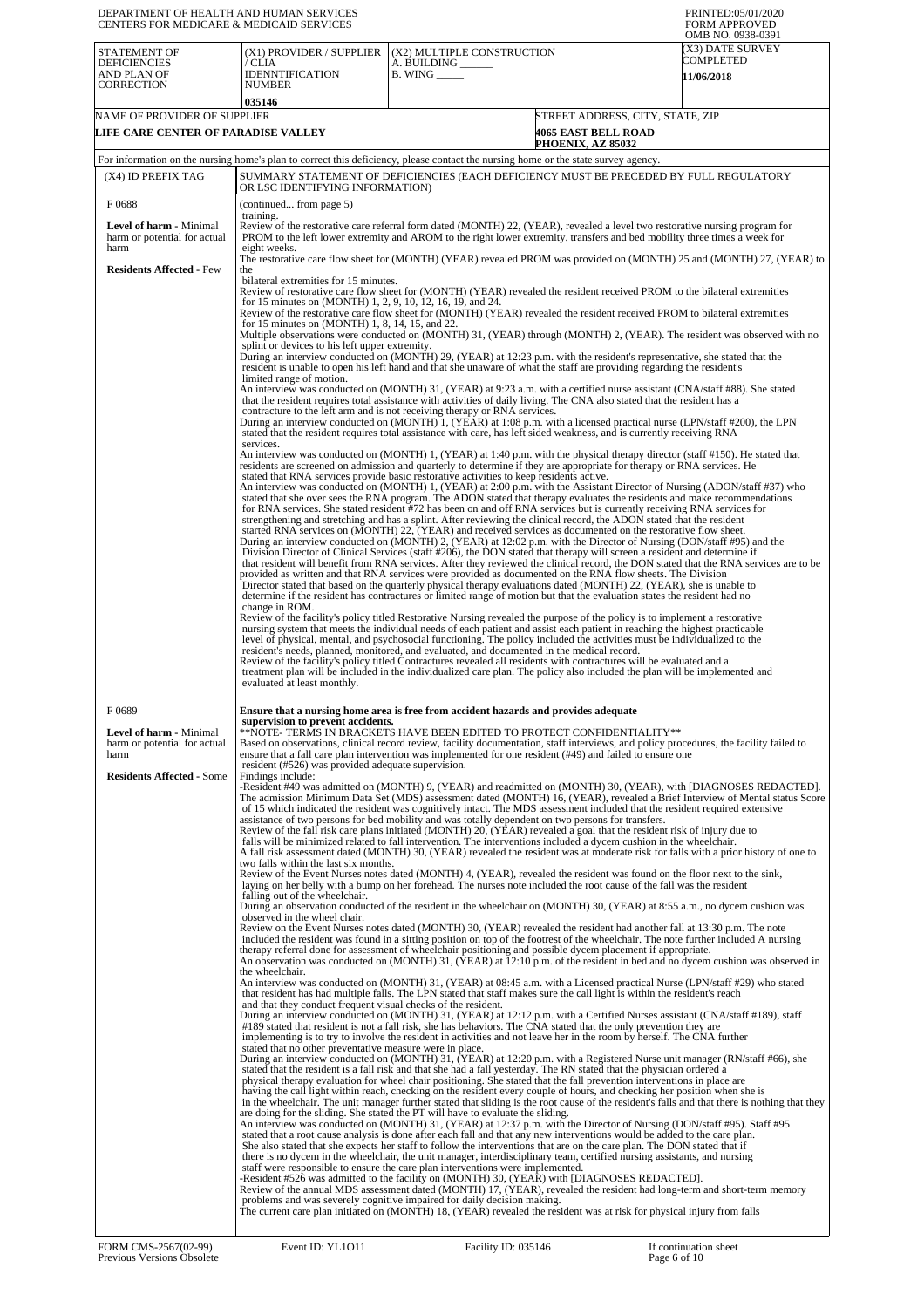| DEPARTMENT OF HEALTH AND HUMAN SERVICES<br>CENTERS FOR MEDICARE & MEDICAID SERVICES                                |                                                                                                                                                                                                                                                                                                     |                                                                                                                                                                                                                                                                                                                                                                                                                                                                                                                                                                                                                                                                                                                                                                                                                                                                                                                                                                                                                                                                                                                                                                                                                                                                                                                                                                                                                                                                                                                                                                                                                                                                                                                                                                                                                                                                                                                                                                                                                                                                                                                                                                                                                       | PRINTED:05/01/2020<br><b>FORM APPROVED</b><br>OMB NO. 0938-0391                                                                                                                                                                                                                                                                                                                                        |
|--------------------------------------------------------------------------------------------------------------------|-----------------------------------------------------------------------------------------------------------------------------------------------------------------------------------------------------------------------------------------------------------------------------------------------------|-----------------------------------------------------------------------------------------------------------------------------------------------------------------------------------------------------------------------------------------------------------------------------------------------------------------------------------------------------------------------------------------------------------------------------------------------------------------------------------------------------------------------------------------------------------------------------------------------------------------------------------------------------------------------------------------------------------------------------------------------------------------------------------------------------------------------------------------------------------------------------------------------------------------------------------------------------------------------------------------------------------------------------------------------------------------------------------------------------------------------------------------------------------------------------------------------------------------------------------------------------------------------------------------------------------------------------------------------------------------------------------------------------------------------------------------------------------------------------------------------------------------------------------------------------------------------------------------------------------------------------------------------------------------------------------------------------------------------------------------------------------------------------------------------------------------------------------------------------------------------------------------------------------------------------------------------------------------------------------------------------------------------------------------------------------------------------------------------------------------------------------------------------------------------------------------------------------------------|--------------------------------------------------------------------------------------------------------------------------------------------------------------------------------------------------------------------------------------------------------------------------------------------------------------------------------------------------------------------------------------------------------|
| <b>STATEMENT OF</b><br><b>DEFICIENCIES</b><br>AND PLAN OF<br><b>CORRECTION</b>                                     | (X1) PROVIDER / SUPPLIER<br>/ CLIA<br><b>IDENNTIFICATION</b><br><b>NUMBER</b><br>035146                                                                                                                                                                                                             | (X2) MULTIPLE CONSTRUCTION<br>A. BUILDING _<br>$B.$ WING $\_\_\_\_\_\_\$                                                                                                                                                                                                                                                                                                                                                                                                                                                                                                                                                                                                                                                                                                                                                                                                                                                                                                                                                                                                                                                                                                                                                                                                                                                                                                                                                                                                                                                                                                                                                                                                                                                                                                                                                                                                                                                                                                                                                                                                                                                                                                                                              | (X3) DATE SURVEY<br>COMPLETED<br><b>11/06/2018</b>                                                                                                                                                                                                                                                                                                                                                     |
| NAME OF PROVIDER OF SUPPLIER                                                                                       |                                                                                                                                                                                                                                                                                                     |                                                                                                                                                                                                                                                                                                                                                                                                                                                                                                                                                                                                                                                                                                                                                                                                                                                                                                                                                                                                                                                                                                                                                                                                                                                                                                                                                                                                                                                                                                                                                                                                                                                                                                                                                                                                                                                                                                                                                                                                                                                                                                                                                                                                                       | STREET ADDRESS, CITY, STATE, ZIP                                                                                                                                                                                                                                                                                                                                                                       |
| LIFE CARE CENTER OF PARADISE VALLEY                                                                                |                                                                                                                                                                                                                                                                                                     | <b>4065 EAST BELL ROAD</b><br>PHOENIX, AZ 85032                                                                                                                                                                                                                                                                                                                                                                                                                                                                                                                                                                                                                                                                                                                                                                                                                                                                                                                                                                                                                                                                                                                                                                                                                                                                                                                                                                                                                                                                                                                                                                                                                                                                                                                                                                                                                                                                                                                                                                                                                                                                                                                                                                       |                                                                                                                                                                                                                                                                                                                                                                                                        |
|                                                                                                                    |                                                                                                                                                                                                                                                                                                     | For information on the nursing home's plan to correct this deficiency, please contact the nursing home or the state survey agency.                                                                                                                                                                                                                                                                                                                                                                                                                                                                                                                                                                                                                                                                                                                                                                                                                                                                                                                                                                                                                                                                                                                                                                                                                                                                                                                                                                                                                                                                                                                                                                                                                                                                                                                                                                                                                                                                                                                                                                                                                                                                                    |                                                                                                                                                                                                                                                                                                                                                                                                        |
| (X4) ID PREFIX TAG                                                                                                 | OR LSC IDENTIFYING INFORMATION)                                                                                                                                                                                                                                                                     | SUMMARY STATEMENT OF DEFICIENCIES (EACH DEFICIENCY MUST BE PRECEDED BY FULL REGULATORY                                                                                                                                                                                                                                                                                                                                                                                                                                                                                                                                                                                                                                                                                                                                                                                                                                                                                                                                                                                                                                                                                                                                                                                                                                                                                                                                                                                                                                                                                                                                                                                                                                                                                                                                                                                                                                                                                                                                                                                                                                                                                                                                |                                                                                                                                                                                                                                                                                                                                                                                                        |
| F0688<br><b>Level of harm - Minimal</b><br>harm or potential for actual<br>harm<br><b>Residents Affected - Few</b> | (continued from page 5)<br>training.<br>eight weeks.<br>the<br>bilateral extremities for 15 minutes.<br>for 15 minutes on (MONTH) 1, 2, 9, 10, 12, 16, 19, and 24.<br>for 15 minutes on (MONTH) 1, 8, 14, 15, and 22.<br>splint or devices to his left upper extremity.<br>limited range of motion. | Review of the restorative care referral form dated (MONTH) 22, (YEAR), revealed a level two restorative nursing program for<br>PROM to the left lower extremity and AROM to the right lower extremity, transfers and bed mobility three times a week for<br>Review of restorative care flow sheet for (MONTH) (YEAR) revealed the resident received PROM to the bilateral extremities<br>Review of the restorative care flow sheet for (MONTH) (YEAR) revealed the resident received PROM to bilateral extremities<br>During an interview conducted on (MONTH) 29, (YEAR) at 12:23 p.m. with the resident's representative, she stated that the<br>resident is unable to open his left hand and that she unaware of what the staff are providing regarding the resident's<br>An interview was conducted on (MONTH) 31, (YEAR) at 9:23 a.m. with a certified nurse assistant (CNA/staff #88). She stated<br>that the resident requires total assistance with activities of daily living. The CNA also stated that the resident has a<br>contracture to the left arm and is not receiving therapy or RNA services.<br>During an interview conducted on (MONTH) 1, (YEAR) at 1:08 p.m. with a licensed practical nurse (LPN/staff #200), the LPN<br>stated that the resident requires total assistance with care, has left sided weakness, and is currently receiving RNA                                                                                                                                                                                                                                                                                                                                                                                                                                                                                                                                                                                                                                                                                                                                                                                                                                                | The restorative care flow sheet for (MONTH) (YEAR) revealed PROM was provided on (MONTH) 25 and (MONTH) 27, (YEAR) to<br>Multiple observations were conducted on (MONTH) 31, (YEAR) through (MONTH) 2, (YEAR). The resident was observed with no                                                                                                                                                       |
|                                                                                                                    | services.<br>change in ROM.<br>evaluated at least monthly.                                                                                                                                                                                                                                          | An interview was conducted on (MONTH) 1, (YEAR) at 1:40 p.m. with the physical therapy director (staff #150). He stated that<br>residents are screened on admission and quarterly to determine if they are appropriate for therapy or RNA services. He<br>stated that RNA services provide basic restorative activities to keep residents active.<br>stated that she over sees the RNA program. The ADON stated that therapy evaluates the residents and make recommendations<br>for RNA services. She stated resident #72 has been on and off RNA services but is currently receiving RNA services for<br>strengthening and stretching and has a splint. After reviewing the clinical record, the ADON stated that the resident<br>started RNA services on (MONTH) 22, (YEAR) and received services as documented on the restorative flow sheet.<br>During an interview conducted on (MONTH) 2, (YEAR) at 12:02 p.m. with the Director of Nursing (DON/staff #95) and the<br>Division Director of Clinical Services (staff #206), the DON stated that therapy will screen a resident and determine if<br>provided as written and that RNA services were provided as documented on the RNA flow sheets. The Division<br>Director stated that based on the quarterly physical therapy evaluations dated (MONTH) 22, (YEAR), she is unable to<br>determine if the resident has contractures or limited range of motion but that the evaluation states the resident had no<br>Review of the facility's policy titled Restorative Nursing revealed the purpose of the policy is to implement a restorative<br>nursing system that meets the individual needs of each patient and assist each patient in reaching the highest practicable<br>level of physical, mental, and psychosocial functioning. The policy included the activities must be individualized to the<br>resident's needs, planned, monitored, and evaluated, and documented in the medical record.<br>Review of the facility's policy titled Contractures revealed all residents with contractures will be evaluated and a<br>treatment plan will be included in the individualized care plan. The policy also included the plan will be implemented and | An interview was conducted on (MONTH) 1, (YEAR) at 2:00 p.m. with the Assistant Director of Nursing (ADON/staff #37) who<br>that resident will benefit from RNA services. After they reviewed the clinical record, the DON stated that the RNA services are to be                                                                                                                                      |
| F0689                                                                                                              |                                                                                                                                                                                                                                                                                                     | Ensure that a nursing home area is free from accident hazards and provides adequate                                                                                                                                                                                                                                                                                                                                                                                                                                                                                                                                                                                                                                                                                                                                                                                                                                                                                                                                                                                                                                                                                                                                                                                                                                                                                                                                                                                                                                                                                                                                                                                                                                                                                                                                                                                                                                                                                                                                                                                                                                                                                                                                   |                                                                                                                                                                                                                                                                                                                                                                                                        |
| Level of harm - Minimal                                                                                            | supervision to prevent accidents.                                                                                                                                                                                                                                                                   | **NOTE- TERMS IN BRACKETS HAVE BEEN EDITED TO PROTECT CONFIDENTIALITY**                                                                                                                                                                                                                                                                                                                                                                                                                                                                                                                                                                                                                                                                                                                                                                                                                                                                                                                                                                                                                                                                                                                                                                                                                                                                                                                                                                                                                                                                                                                                                                                                                                                                                                                                                                                                                                                                                                                                                                                                                                                                                                                                               |                                                                                                                                                                                                                                                                                                                                                                                                        |
| harm or potential for actual<br>harm<br><b>Residents Affected - Some</b>                                           | resident (#526) was provided adequate supervision.<br>Findings include:                                                                                                                                                                                                                             | ensure that a fall care plan intervention was implemented for one resident (#49) and failed to ensure one                                                                                                                                                                                                                                                                                                                                                                                                                                                                                                                                                                                                                                                                                                                                                                                                                                                                                                                                                                                                                                                                                                                                                                                                                                                                                                                                                                                                                                                                                                                                                                                                                                                                                                                                                                                                                                                                                                                                                                                                                                                                                                             | Based on observations, clinical record review, facility documentation, staff interviews, and policy procedures, the facility failed to                                                                                                                                                                                                                                                                 |
|                                                                                                                    | two falls within the last six months.                                                                                                                                                                                                                                                               | of 15 which indicated the resident was cognitively intact. The MDS assessment included that the resident required extensive<br>assistance of two persons for bed mobility and was totally dependent on two persons for transfers.<br>Review of the fall risk care plans initiated (MONTH) 20, (YEAR) revealed a goal that the resident risk of injury due to<br>falls will be minimized related to fall intervention. The interventions included a dycem cushion in the wheelchair.                                                                                                                                                                                                                                                                                                                                                                                                                                                                                                                                                                                                                                                                                                                                                                                                                                                                                                                                                                                                                                                                                                                                                                                                                                                                                                                                                                                                                                                                                                                                                                                                                                                                                                                                   | -Resident #49 was admitted on (MONTH) 9, (YEAR) and readmitted on (MONTH) 30, (YEAR), with [DIAGNOSES REDACTED].<br>The admission Minimum Data Set (MDS) assessment dated (MONTH) 16, (YEAR), revealed a Brief Interview of Mental status Score<br>A fall risk assessment dated (MONTH) 30, (YEAR) revealed the resident was at moderate risk for falls with a prior history of one to                 |
|                                                                                                                    | falling out of the wheelchair.                                                                                                                                                                                                                                                                      | Review of the Event Nurses notes dated (MONTH) 4, (YEAR), revealed the resident was found on the floor next to the sink,<br>laying on her belly with a bump on her forehead. The nurses note included the root cause of the fall was the resident                                                                                                                                                                                                                                                                                                                                                                                                                                                                                                                                                                                                                                                                                                                                                                                                                                                                                                                                                                                                                                                                                                                                                                                                                                                                                                                                                                                                                                                                                                                                                                                                                                                                                                                                                                                                                                                                                                                                                                     |                                                                                                                                                                                                                                                                                                                                                                                                        |
|                                                                                                                    | observed in the wheel chair.<br>the wheelchair.                                                                                                                                                                                                                                                     | During an observation conducted of the resident in the wheelchair on (MONTH) 30, (YEAR) at 8:55 a.m., no dycem cushion was<br>Review on the Event Nurses notes dated (MONTH) 30, (YEAR) revealed the resident had another fall at 13:30 p.m. The note<br>included the resident was found in a sitting position on top of the footrest of the wheelchair. The note further included A nursing<br>therapy referral done for assessment of wheelchair positioning and possible dycem placement if appropriate.                                                                                                                                                                                                                                                                                                                                                                                                                                                                                                                                                                                                                                                                                                                                                                                                                                                                                                                                                                                                                                                                                                                                                                                                                                                                                                                                                                                                                                                                                                                                                                                                                                                                                                           | An observation was conducted on (MONTH) 31, (YEAR) at 12:10 p.m. of the resident in bed and no dycem cushion was observed in                                                                                                                                                                                                                                                                           |
|                                                                                                                    | and that they conduct frequent visual checks of the resident.                                                                                                                                                                                                                                       | An interview was conducted on (MONTH) 31, (YEAR) at 08:45 a.m. with a Licensed practical Nurse (LPN/staff #29) who stated<br>that resident has had multiple falls. The LPN stated that staff makes sure the call light is within the resident's reach<br>During an interview conducted on (MONTH) 31, (YEAR) at 12:12 p.m. with a Certified Nurses assistant (CNA/staff #189), staff<br>#189 stated that resident is not a fall risk, she has behaviors. The CNA stated that the only prevention they are<br>implementing is to try to involve the resident in activities and not leave her in the room by herself. The CNA further                                                                                                                                                                                                                                                                                                                                                                                                                                                                                                                                                                                                                                                                                                                                                                                                                                                                                                                                                                                                                                                                                                                                                                                                                                                                                                                                                                                                                                                                                                                                                                                   |                                                                                                                                                                                                                                                                                                                                                                                                        |
|                                                                                                                    | stated that no other preventative measure were in place.                                                                                                                                                                                                                                            | stated that the resident is a fall risk and that she had a fall yesterday. The RN stated that the physician ordered a<br>physical therapy evaluation for wheel chair positioning. She stated that the fall prevention interventions in place are<br>having the call light within reach, checking on the resident every couple of hours, and checking her position when she is<br>are doing for the sliding. She stated the PT will have to evaluate the sliding.<br>An interview was conducted on (MONTH) 31, (YEAR) at 12:37 p.m. with the Director of Nursing (DON/staff #95). Staff #95<br>stated that a root cause analysis is done after each fall and that any new interventions would be added to the care plan.<br>She also stated that she expects her staff to follow the interventions that are on the care plan. The DON stated that if<br>there is no dycem in the wheelchair, the unit manager, interdisciplinary team, certified nursing assistants, and nursing<br>staff were responsible to ensure the care plan interventions were implemented.<br>-Resident #526 was admitted to the facility on (MONTH) 30, (YEAR) with [DIAGNOSES REDACTED].<br>problems and was severely cognitive impaired for daily decision making.<br>The current care plan initiated on (MONTH) 18, (YEAR) revealed the resident was at risk for physical injury from falls                                                                                                                                                                                                                                                                                                                                                                                                                                                                                                                                                                                                                                                                                                                                                                                                                                                | During an interview conducted on (MONTH) 31, (YEAR) at 12:20 p.m. with a Registered Nurse unit manager (RN/staff #66), she<br>in the wheelchair. The unit manager further stated that sliding is the root cause of the resident's falls and that there is nothing that they<br>Review of the annual MDS assessment dated (MONTH) 17, (YEAR), revealed the resident had long-term and short-term memory |
| FORM CMS-2567(02-99)                                                                                               | Event ID: YL1011                                                                                                                                                                                                                                                                                    | Facility ID: 035146                                                                                                                                                                                                                                                                                                                                                                                                                                                                                                                                                                                                                                                                                                                                                                                                                                                                                                                                                                                                                                                                                                                                                                                                                                                                                                                                                                                                                                                                                                                                                                                                                                                                                                                                                                                                                                                                                                                                                                                                                                                                                                                                                                                                   | If continuation sheet                                                                                                                                                                                                                                                                                                                                                                                  |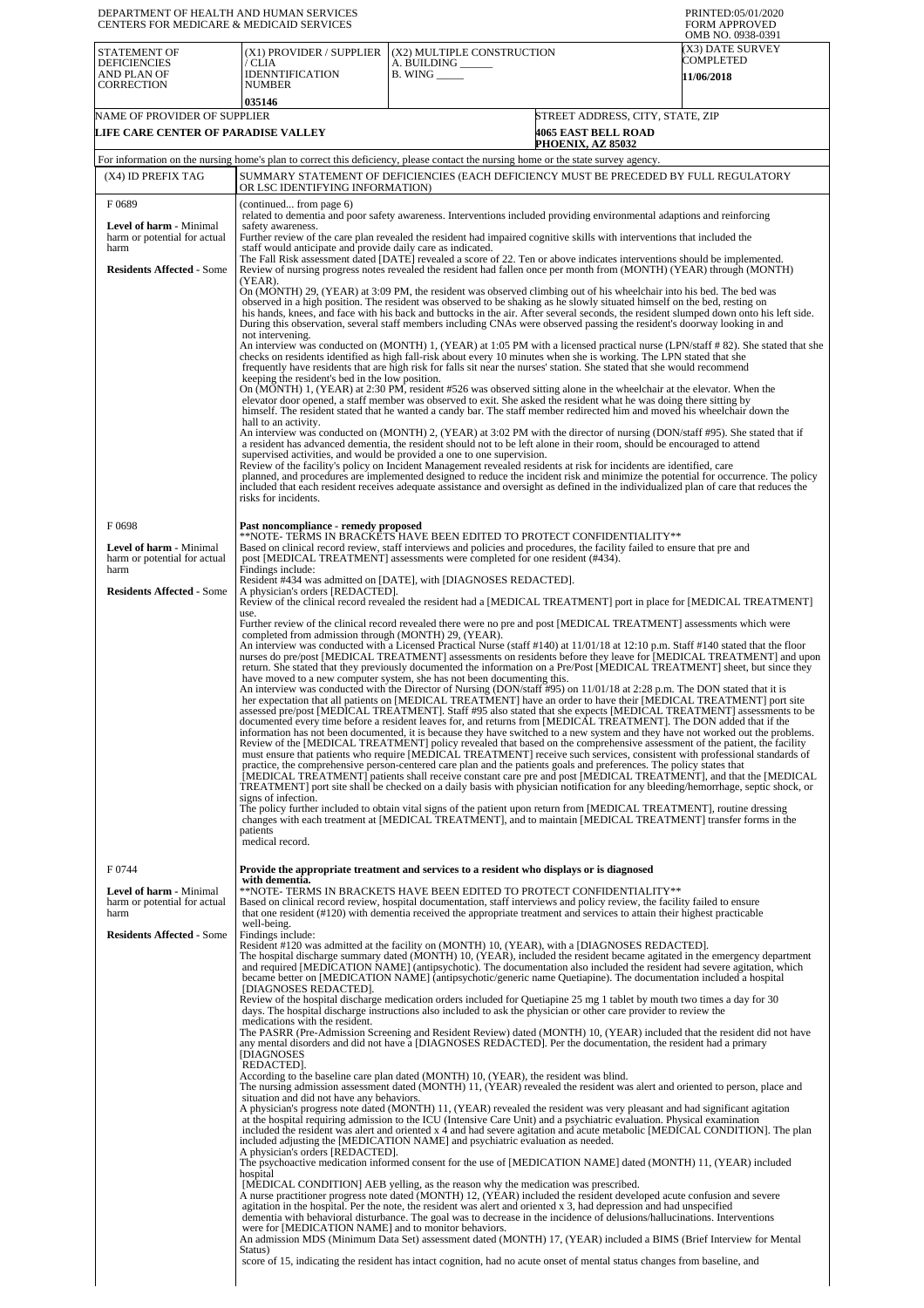| DEPARTMENT OF HEALTH AND HUMAN SERVICES<br><b>CENTERS FOR MEDICARE &amp; MEDICAID SERVICES</b>                                                                                                                                                                                                                                                                   |                                                                                                                                                                                                                                                                                                                                                                                                                                                                                                                                                                                                                                                                                                                                                                                                                                                                                                                                                                                                                                                                                                                                                                                                                                                                                                                                                                                                                                                                                                                                                                                 |                                                                                                                                                                                                                                                                                                                                                                                                                                                                                                                                                                                                                                                              | PRINTED:05/01/2020<br><b>FORM APPROVED</b><br>OMB NO. 0938-0391 |
|------------------------------------------------------------------------------------------------------------------------------------------------------------------------------------------------------------------------------------------------------------------------------------------------------------------------------------------------------------------|---------------------------------------------------------------------------------------------------------------------------------------------------------------------------------------------------------------------------------------------------------------------------------------------------------------------------------------------------------------------------------------------------------------------------------------------------------------------------------------------------------------------------------------------------------------------------------------------------------------------------------------------------------------------------------------------------------------------------------------------------------------------------------------------------------------------------------------------------------------------------------------------------------------------------------------------------------------------------------------------------------------------------------------------------------------------------------------------------------------------------------------------------------------------------------------------------------------------------------------------------------------------------------------------------------------------------------------------------------------------------------------------------------------------------------------------------------------------------------------------------------------------------------------------------------------------------------|--------------------------------------------------------------------------------------------------------------------------------------------------------------------------------------------------------------------------------------------------------------------------------------------------------------------------------------------------------------------------------------------------------------------------------------------------------------------------------------------------------------------------------------------------------------------------------------------------------------------------------------------------------------|-----------------------------------------------------------------|
| <b>STATEMENT OF</b><br><b>DEFICIENCIES</b><br>AND PLAN OF<br><b>CORRECTION</b>                                                                                                                                                                                                                                                                                   | (X1) PROVIDER / SUPPLIER<br>/ CLIA<br><b>IDENNTIFICATION</b><br><b>NUMBER</b><br>035146                                                                                                                                                                                                                                                                                                                                                                                                                                                                                                                                                                                                                                                                                                                                                                                                                                                                                                                                                                                                                                                                                                                                                                                                                                                                                                                                                                                                                                                                                         | (X2) MULTIPLE CONSTRUCTION<br>A. BUILDING _<br><b>B.</b> WING ______                                                                                                                                                                                                                                                                                                                                                                                                                                                                                                                                                                                         | (X3) DATE SURVEY<br>COMPLETED<br><b>11/06/2018</b>              |
| NAME OF PROVIDER OF SUPPLIER                                                                                                                                                                                                                                                                                                                                     |                                                                                                                                                                                                                                                                                                                                                                                                                                                                                                                                                                                                                                                                                                                                                                                                                                                                                                                                                                                                                                                                                                                                                                                                                                                                                                                                                                                                                                                                                                                                                                                 |                                                                                                                                                                                                                                                                                                                                                                                                                                                                                                                                                                                                                                                              | STREET ADDRESS, CITY, STATE, ZIP                                |
| LIFE CARE CENTER OF PARADISE VALLEY                                                                                                                                                                                                                                                                                                                              |                                                                                                                                                                                                                                                                                                                                                                                                                                                                                                                                                                                                                                                                                                                                                                                                                                                                                                                                                                                                                                                                                                                                                                                                                                                                                                                                                                                                                                                                                                                                                                                 | <b>4065 EAST BELL ROAD</b><br>PHOENIX, AZ 85032                                                                                                                                                                                                                                                                                                                                                                                                                                                                                                                                                                                                              |                                                                 |
| (X4) ID PREFIX TAG                                                                                                                                                                                                                                                                                                                                               |                                                                                                                                                                                                                                                                                                                                                                                                                                                                                                                                                                                                                                                                                                                                                                                                                                                                                                                                                                                                                                                                                                                                                                                                                                                                                                                                                                                                                                                                                                                                                                                 | For information on the nursing home's plan to correct this deficiency, please contact the nursing home or the state survey agency.<br>SUMMARY STATEMENT OF DEFICIENCIES (EACH DEFICIENCY MUST BE PRECEDED BY FULL REGULATORY                                                                                                                                                                                                                                                                                                                                                                                                                                 |                                                                 |
|                                                                                                                                                                                                                                                                                                                                                                  | OR LSC IDENTIFYING INFORMATION)                                                                                                                                                                                                                                                                                                                                                                                                                                                                                                                                                                                                                                                                                                                                                                                                                                                                                                                                                                                                                                                                                                                                                                                                                                                                                                                                                                                                                                                                                                                                                 |                                                                                                                                                                                                                                                                                                                                                                                                                                                                                                                                                                                                                                                              |                                                                 |
| F0689<br><b>Level of harm - Minimal</b><br>harm or potential for actual<br>harm                                                                                                                                                                                                                                                                                  | (continued from page 6)<br>safety awareness.<br>staff would anticipate and provide daily care as indicated.                                                                                                                                                                                                                                                                                                                                                                                                                                                                                                                                                                                                                                                                                                                                                                                                                                                                                                                                                                                                                                                                                                                                                                                                                                                                                                                                                                                                                                                                     | related to dementia and poor safety awareness. Interventions included providing environmental adaptions and reinforcing<br>Further review of the care plan revealed the resident had impaired cognitive skills with interventions that included the                                                                                                                                                                                                                                                                                                                                                                                                          |                                                                 |
| <b>Residents Affected - Some</b>                                                                                                                                                                                                                                                                                                                                 | (YEAR).                                                                                                                                                                                                                                                                                                                                                                                                                                                                                                                                                                                                                                                                                                                                                                                                                                                                                                                                                                                                                                                                                                                                                                                                                                                                                                                                                                                                                                                                                                                                                                         | The Fall Risk assessment dated [DATE] revealed a score of 22. Ten or above indicates interventions should be implemented.<br>Review of nursing progress notes revealed the resident had fallen once per month from (MONTH) (YEAR) through (MONTH)                                                                                                                                                                                                                                                                                                                                                                                                            |                                                                 |
|                                                                                                                                                                                                                                                                                                                                                                  | not intervening.                                                                                                                                                                                                                                                                                                                                                                                                                                                                                                                                                                                                                                                                                                                                                                                                                                                                                                                                                                                                                                                                                                                                                                                                                                                                                                                                                                                                                                                                                                                                                                | On (MONTH) 29, (YEAR) at 3:09 PM, the resident was observed climbing out of his wheelchair into his bed. The bed was<br>observed in a high position. The resident was observed to be shaking as he slowly situated himself on the bed, resting on<br>his hands, knees, and face with his back and buttocks in the air. After several seconds, the resident slumped down onto his left side.<br>During this observation, several staff members including CNAs were observed passing the resident's doorway looking in and<br>An interview was conducted on (MONTH) 1, (YEAR) at 1:05 PM with a licensed practical nurse (LPN/staff # 82). She stated that she |                                                                 |
|                                                                                                                                                                                                                                                                                                                                                                  | keeping the resident's bed in the low position.                                                                                                                                                                                                                                                                                                                                                                                                                                                                                                                                                                                                                                                                                                                                                                                                                                                                                                                                                                                                                                                                                                                                                                                                                                                                                                                                                                                                                                                                                                                                 | checks on residents identified as high fall-risk about every 10 minutes when she is working. The LPN stated that she<br>frequently have residents that are high risk for falls sit near the nurses' station. She stated that she would recommend<br>On (MONTH) 1, (YEAR) at 2:30 PM, resident #526 was observed sitting alone in the wheelchair at the elevator. When the                                                                                                                                                                                                                                                                                    |                                                                 |
|                                                                                                                                                                                                                                                                                                                                                                  | hall to an activity.                                                                                                                                                                                                                                                                                                                                                                                                                                                                                                                                                                                                                                                                                                                                                                                                                                                                                                                                                                                                                                                                                                                                                                                                                                                                                                                                                                                                                                                                                                                                                            | elevator door opened, a staff member was observed to exit. She asked the resident what he was doing there sitting by<br>himself. The resident stated that he wanted a candy bar. The staff member redirected him and moved his wheelchair down the<br>An interview was conducted on (MONTH) 2, (YEAR) at 3:02 PM with the director of nursing (DON/staff #95). She stated that if                                                                                                                                                                                                                                                                            |                                                                 |
|                                                                                                                                                                                                                                                                                                                                                                  |                                                                                                                                                                                                                                                                                                                                                                                                                                                                                                                                                                                                                                                                                                                                                                                                                                                                                                                                                                                                                                                                                                                                                                                                                                                                                                                                                                                                                                                                                                                                                                                 | a resident has advanced dementia, the resident should not to be left alone in their room, should be encouraged to attend<br>supervised activities, and would be provided a one to one supervision.<br>Review of the facility's policy on Incident Management revealed residents at risk for incidents are identified, care<br>planned, and procedures are implemented designed to reduce the incident risk and minimize the potential for occurrence. The policy                                                                                                                                                                                             |                                                                 |
|                                                                                                                                                                                                                                                                                                                                                                  | risks for incidents.                                                                                                                                                                                                                                                                                                                                                                                                                                                                                                                                                                                                                                                                                                                                                                                                                                                                                                                                                                                                                                                                                                                                                                                                                                                                                                                                                                                                                                                                                                                                                            | included that each resident receives adequate assistance and oversight as defined in the individualized plan of care that reduces the                                                                                                                                                                                                                                                                                                                                                                                                                                                                                                                        |                                                                 |
| F0698<br>Level of harm - Minimal                                                                                                                                                                                                                                                                                                                                 | Past noncompliance - remedy proposed                                                                                                                                                                                                                                                                                                                                                                                                                                                                                                                                                                                                                                                                                                                                                                                                                                                                                                                                                                                                                                                                                                                                                                                                                                                                                                                                                                                                                                                                                                                                            | **NOTE- TERMS IN BRACKETS HAVE BEEN EDITED TO PROTECT CONFIDENTIALITY**                                                                                                                                                                                                                                                                                                                                                                                                                                                                                                                                                                                      |                                                                 |
| harm or potential for actual<br>harm                                                                                                                                                                                                                                                                                                                             | Findings include:                                                                                                                                                                                                                                                                                                                                                                                                                                                                                                                                                                                                                                                                                                                                                                                                                                                                                                                                                                                                                                                                                                                                                                                                                                                                                                                                                                                                                                                                                                                                                               | Based on clinical record review, staff interviews and policies and procedures, the facility failed to ensure that pre and<br>post [MEDICAL TREATMENT] assessments were completed for one resident (#434).                                                                                                                                                                                                                                                                                                                                                                                                                                                    |                                                                 |
| <b>Residents Affected - Some</b>                                                                                                                                                                                                                                                                                                                                 | A physician's orders [REDACTED].                                                                                                                                                                                                                                                                                                                                                                                                                                                                                                                                                                                                                                                                                                                                                                                                                                                                                                                                                                                                                                                                                                                                                                                                                                                                                                                                                                                                                                                                                                                                                | Resident #434 was admitted on [DATE], with [DIAGNOSES REDACTED].<br>Review of the clinical record revealed the resident had a [MEDICAL TREATMENT] port in place for [MEDICAL TREATMENT]                                                                                                                                                                                                                                                                                                                                                                                                                                                                      |                                                                 |
|                                                                                                                                                                                                                                                                                                                                                                  | use.                                                                                                                                                                                                                                                                                                                                                                                                                                                                                                                                                                                                                                                                                                                                                                                                                                                                                                                                                                                                                                                                                                                                                                                                                                                                                                                                                                                                                                                                                                                                                                            | Further review of the clinical record revealed there were no pre and post [MEDICAL TREATMENT] assessments which were                                                                                                                                                                                                                                                                                                                                                                                                                                                                                                                                         |                                                                 |
|                                                                                                                                                                                                                                                                                                                                                                  | completed from admission through (MONTH) 29, (YEAR).                                                                                                                                                                                                                                                                                                                                                                                                                                                                                                                                                                                                                                                                                                                                                                                                                                                                                                                                                                                                                                                                                                                                                                                                                                                                                                                                                                                                                                                                                                                            | An interview was conducted with a Licensed Practical Nurse (staff #140) at 11/01/18 at 12:10 p.m. Staff #140 stated that the floor<br>nurses do pre/post [MEDICAL TREATMENT] assessments on residents before they leave for [MEDICAL TREATMENT] and upon<br>return. She stated that they previously documented the information on a Pre/Post [MEDICAL TREATMENT] sheet, but since they<br>have moved to a new computer system, she has not been documenting this.                                                                                                                                                                                            |                                                                 |
|                                                                                                                                                                                                                                                                                                                                                                  | An interview was conducted with the Director of Nursing (DON/staff #95) on 11/01/18 at 2:28 p.m. The DON stated that it is<br>her expectation that all patients on [MEDICAL TREATMENT] have an order to have their [MEDICAL TREATMENT] port site<br>assessed pre/post [MEDICAL TREATMENT]. Staff #95 also stated that she expects [MEDICAL TREATMENT] assessments to be<br>documented every time before a resident leaves for, and returns from [MEDICAL TREATMENT]. The DON added that if the<br>information has not been documented, it is because they have switched to a new system and they have not worked out the problems.<br>Review of the [MEDICAL TREATMENT] policy revealed that based on the comprehensive assessment of the patient, the facility<br>must ensure that patients who require [MEDICAL TREATMENT] receive such services, consistent with professional standards of<br>practice, the comprehensive person-centered care plan and the patients goals and preferences. The policy states that<br>[MEDICAL TREATMENT] patients shall receive constant care pre and post [MEDICAL TREATMENT], and that the [MEDICAL<br>TREATMENT] port site shall be checked on a daily basis with physician notification for any bleeding/hemorrhage, septic shock, or<br>signs of infection.<br>The policy further included to obtain vital signs of the patient upon return from [MEDICAL TREATMENT], routine dressing<br>changes with each treatment at [MEDICAL TREATMENT], and to maintain [MEDICAL TREATMENT] transfer forms in the<br>patients<br>medical record. |                                                                                                                                                                                                                                                                                                                                                                                                                                                                                                                                                                                                                                                              |                                                                 |
|                                                                                                                                                                                                                                                                                                                                                                  |                                                                                                                                                                                                                                                                                                                                                                                                                                                                                                                                                                                                                                                                                                                                                                                                                                                                                                                                                                                                                                                                                                                                                                                                                                                                                                                                                                                                                                                                                                                                                                                 |                                                                                                                                                                                                                                                                                                                                                                                                                                                                                                                                                                                                                                                              |                                                                 |
| F0744                                                                                                                                                                                                                                                                                                                                                            |                                                                                                                                                                                                                                                                                                                                                                                                                                                                                                                                                                                                                                                                                                                                                                                                                                                                                                                                                                                                                                                                                                                                                                                                                                                                                                                                                                                                                                                                                                                                                                                 | Provide the appropriate treatment and services to a resident who displays or is diagnosed                                                                                                                                                                                                                                                                                                                                                                                                                                                                                                                                                                    |                                                                 |
| Level of harm - Minimal<br>harm or potential for actual<br>harm                                                                                                                                                                                                                                                                                                  | with dementia.<br>well-being.                                                                                                                                                                                                                                                                                                                                                                                                                                                                                                                                                                                                                                                                                                                                                                                                                                                                                                                                                                                                                                                                                                                                                                                                                                                                                                                                                                                                                                                                                                                                                   | **NOTE- TERMS IN BRACKETS HAVE BEEN EDITED TO PROTECT CONFIDENTIALITY**<br>Based on clinical record review, hospital documentation, staff interviews and policy review, the facility failed to ensure<br>that one resident (#120) with dementia received the appropriate treatment and services to attain their highest practicable                                                                                                                                                                                                                                                                                                                          |                                                                 |
| <b>Residents Affected - Some</b>                                                                                                                                                                                                                                                                                                                                 | Findings include:<br>[DIAGNOSES REDACTED].                                                                                                                                                                                                                                                                                                                                                                                                                                                                                                                                                                                                                                                                                                                                                                                                                                                                                                                                                                                                                                                                                                                                                                                                                                                                                                                                                                                                                                                                                                                                      | Resident #120 was admitted at the facility on (MONTH) 10, (YEAR), with a [DIAGNOSES REDACTED].<br>The hospital discharge summary dated (MONTH) 10, (YEAR), included the resident became agitated in the emergency department<br>and required [MEDICATION NAME] (antipsychotic). The documentation also included the resident had severe agitation, which<br>became better on [MEDICATION NAME] (antipsychotic/generic name Quetiapine). The documentation included a hospital                                                                                                                                                                                |                                                                 |
|                                                                                                                                                                                                                                                                                                                                                                  | medications with the resident.                                                                                                                                                                                                                                                                                                                                                                                                                                                                                                                                                                                                                                                                                                                                                                                                                                                                                                                                                                                                                                                                                                                                                                                                                                                                                                                                                                                                                                                                                                                                                  | Review of the hospital discharge medication orders included for Quetiapine 25 mg 1 tablet by mouth two times a day for 30<br>days. The hospital discharge instructions also included to ask the physician or other care provider to review the                                                                                                                                                                                                                                                                                                                                                                                                               |                                                                 |
| The PASRR (Pre-Admission Screening and Resident Review) dated (MONTH) 10, (YEAR) included that the resident did not have<br>any mental disorders and did not have a [DIAGNOSES REDACTED]. Per the documentation, the resident had a primary<br>[DIAGNOSES<br>REDACTED].<br>According to the baseline care plan dated (MONTH) 10, (YEAR), the resident was blind. |                                                                                                                                                                                                                                                                                                                                                                                                                                                                                                                                                                                                                                                                                                                                                                                                                                                                                                                                                                                                                                                                                                                                                                                                                                                                                                                                                                                                                                                                                                                                                                                 |                                                                                                                                                                                                                                                                                                                                                                                                                                                                                                                                                                                                                                                              |                                                                 |
|                                                                                                                                                                                                                                                                                                                                                                  | situation and did not have any behaviors.                                                                                                                                                                                                                                                                                                                                                                                                                                                                                                                                                                                                                                                                                                                                                                                                                                                                                                                                                                                                                                                                                                                                                                                                                                                                                                                                                                                                                                                                                                                                       | The nursing admission assessment dated (MONTH) 11, (YEAR) revealed the resident was alert and oriented to person, place and<br>A physician's progress note dated (MONTH) 11, (YEAR) revealed the resident was very pleasant and had significant agitation<br>at the hospital requiring admission to the ICU (Intensive Care Unit) and a psychiatric evaluation. Physical examination                                                                                                                                                                                                                                                                         |                                                                 |
|                                                                                                                                                                                                                                                                                                                                                                  | A physician's orders [REDACTED].                                                                                                                                                                                                                                                                                                                                                                                                                                                                                                                                                                                                                                                                                                                                                                                                                                                                                                                                                                                                                                                                                                                                                                                                                                                                                                                                                                                                                                                                                                                                                | included the resident was alert and oriented x 4 and had severe agitation and acute metabolic [MEDICAL CONDITION]. The plan<br>included adjusting the [MEDICATION NAME] and psychiatric evaluation as needed.<br>The psychoactive medication informed consent for the use of [MEDICATION NAME] dated (MONTH) 11, (YEAR) included                                                                                                                                                                                                                                                                                                                             |                                                                 |
|                                                                                                                                                                                                                                                                                                                                                                  | hospital<br>were for [MEDICATION NAME] and to monitor behaviors.                                                                                                                                                                                                                                                                                                                                                                                                                                                                                                                                                                                                                                                                                                                                                                                                                                                                                                                                                                                                                                                                                                                                                                                                                                                                                                                                                                                                                                                                                                                | [MEDICAL CONDITION] AEB yelling, as the reason why the medication was prescribed.<br>A nurse practitioner progress note dated (MONTH) 12, (YEAR) included the resident developed acute confusion and severe<br>agitation in the hospital. Per the note, the resident was alert and oriented x 3, had depression and had unspecified<br>dementia with behavioral disturbance. The goal was to decrease in the incidence of delusions/hallucinations. Interventions<br>An admission MDS (Minimum Data Set) assessment dated (MONTH) 17, (YEAR) included a BIMS (Brief Interview for Mental                                                                     |                                                                 |
|                                                                                                                                                                                                                                                                                                                                                                  | Status)                                                                                                                                                                                                                                                                                                                                                                                                                                                                                                                                                                                                                                                                                                                                                                                                                                                                                                                                                                                                                                                                                                                                                                                                                                                                                                                                                                                                                                                                                                                                                                         | score of 15, indicating the resident has intact cognition, had no acute onset of mental status changes from baseline, and                                                                                                                                                                                                                                                                                                                                                                                                                                                                                                                                    |                                                                 |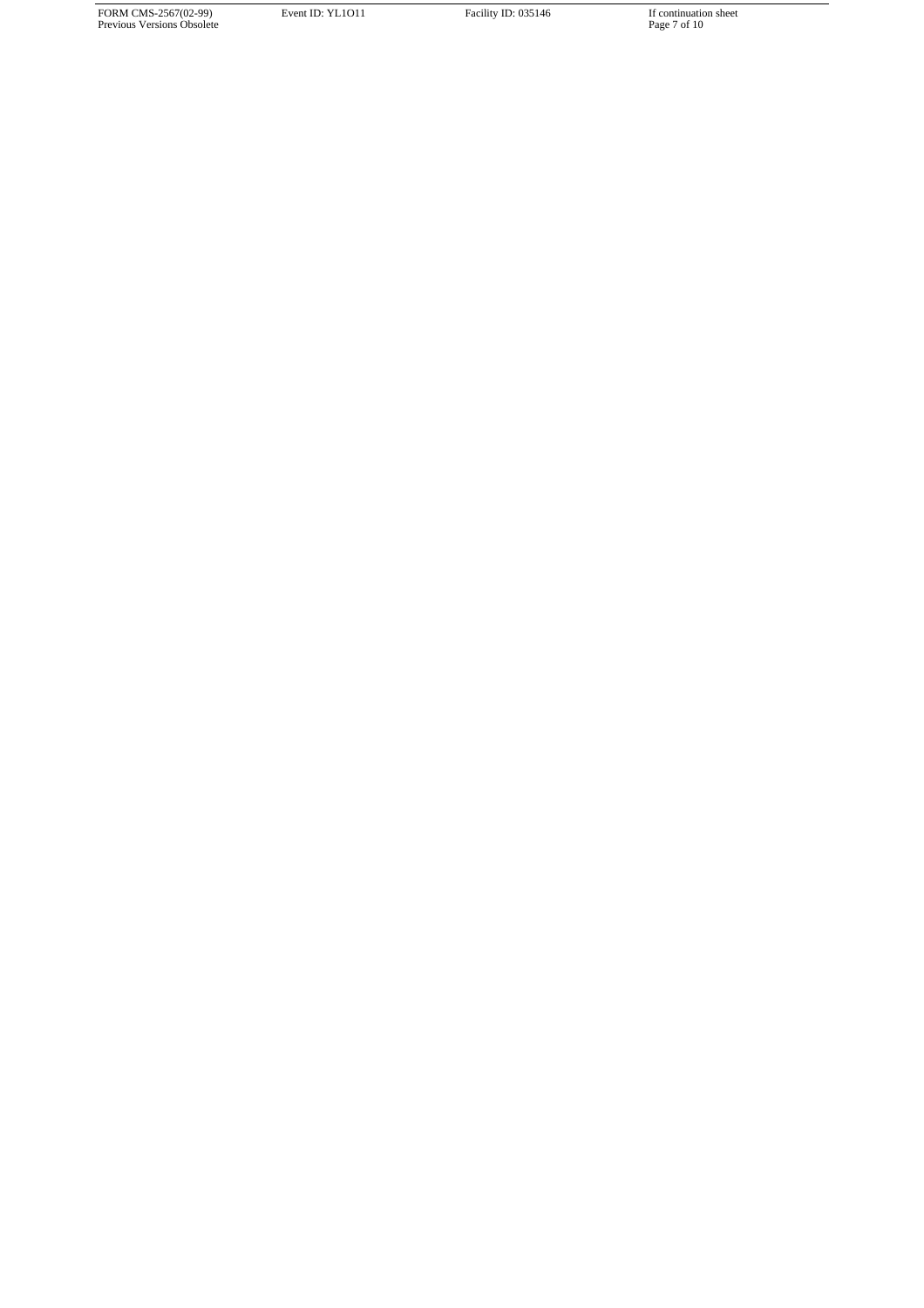FORM CMS-2567(02-99) Previous Versions Obsolete

Event ID: YL1O11 Facility ID: 035146 If continuation sheet<br>Page 7 of 10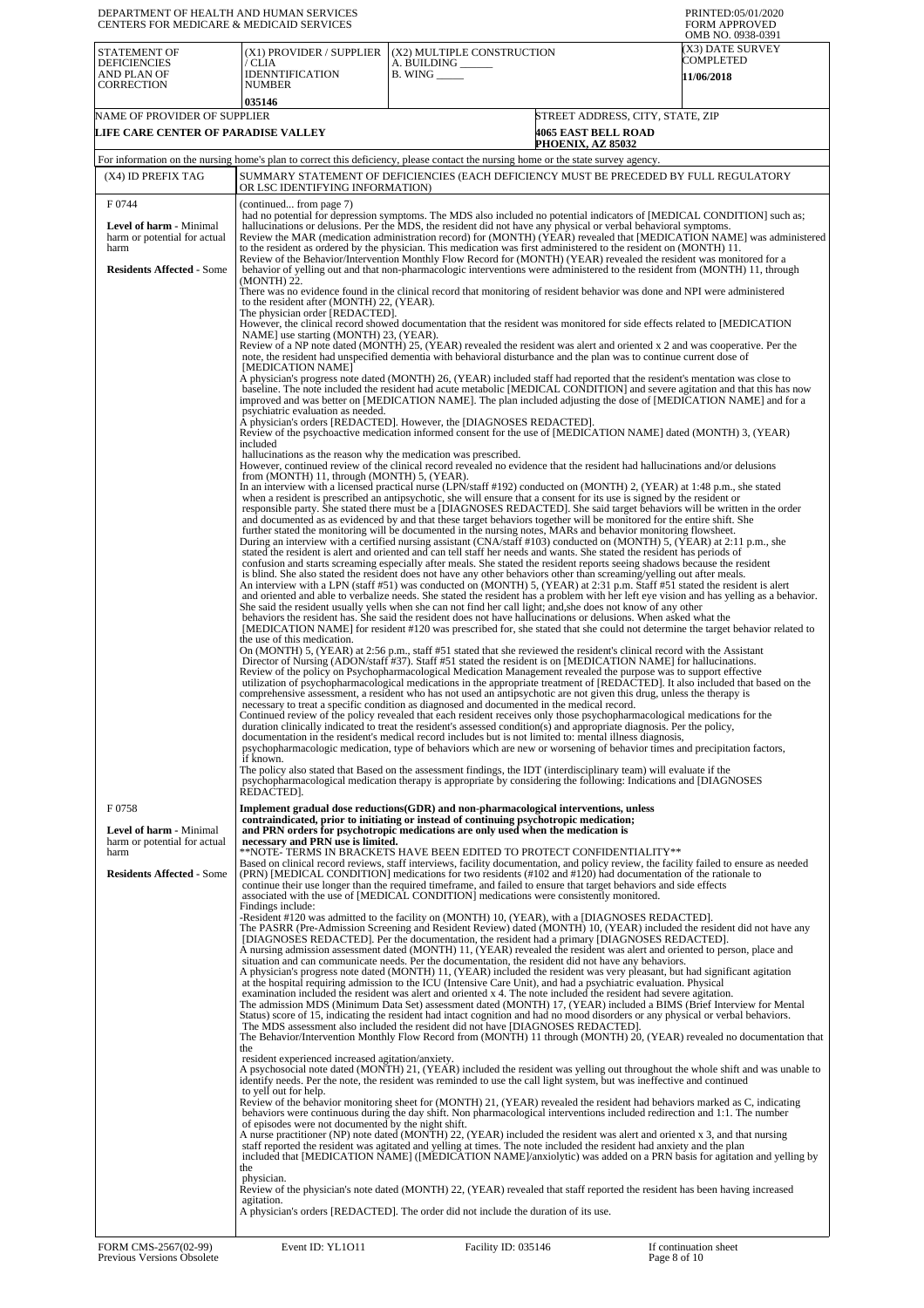| (X3) DATE SURVEY<br>(X1) PROVIDER / SUPPLIER<br>STATEMENT OF<br>(X2) MULTIPLE CONSTRUCTION<br>COMPLETED<br><b>DEFICIENCIES</b><br>/ CLIA<br>A. BUILDING<br>AND PLAN OF<br>IDENNTIFICATION<br><b>B. WING</b><br>11/06/2018<br>CORRECTION<br><b>NUMBER</b><br>035146<br>NAME OF PROVIDER OF SUPPLIER<br>STREET ADDRESS, CITY, STATE, ZIP<br><b>LIFE CARE CENTER OF PARADISE VALLEY</b><br><b>4065 EAST BELL ROAD</b><br>PHOENIX, AZ 85032<br>For information on the nursing home's plan to correct this deficiency, please contact the nursing home or the state survey agency.<br>(X4) ID PREFIX TAG<br>SUMMARY STATEMENT OF DEFICIENCIES (EACH DEFICIENCY MUST BE PRECEDED BY FULL REGULATORY<br>OR LSC IDENTIFYING INFORMATION)<br>F0744<br>(continued from page 7)<br>had no potential for depression symptoms. The MDS also included no potential indicators of [MEDICAL CONDITION] such as;<br>Level of harm - Minimal<br>hallucinations or delusions. Per the MDS, the resident did not have any physical or verbal behavioral symptoms.<br>harm or potential for actual<br>to the resident as ordered by the physician. This medication was first administered to the resident on (MONTH) 11.<br>harm<br>Review of the Behavior/Intervention Monthly Flow Record for (MONTH) (YEAR) revealed the resident was monitored for a<br>behavior of yelling out and that non-pharmacologic interventions were administered to the resident from (MONTH) 11, through<br><b>Residents Affected - Some</b><br>(MONTH) 22.<br>There was no evidence found in the clinical record that monitoring of resident behavior was done and NPI were administered<br>to the resident after (MONTH) 22, (YEAR).<br>The physician order [REDACTED].<br>However, the clinical record showed documentation that the resident was monitored for side effects related to [MEDICATION<br>NAME] use starting (MONTH) 23, (YEAR).<br>Review of a NP note dated (MONTH) 25, (YEAR) revealed the resident was alert and oriented x 2 and was cooperative. Per the<br>note, the resident had unspecified dementia with behavioral disturbance and the plan was to continue current dose of<br>[MEDICATION NAME]<br>A physician's progress note dated (MONTH) 26, (YEAR) included staff had reported that the resident's mentation was close to<br>baseline. The note included the resident had acute metabolic [MEDICAL CONDITION] and severe agitation and that this has now<br>improved and was better on [MEDICATION NAME]. The plan included adjusting the dose of [MEDICATION NAME] and for a<br>psychiatric evaluation as needed.<br>A physician's orders [REDACTED]. However, the [DIAGNOSES REDACTED].<br>Review of the psychoactive medication informed consent for the use of [MEDICATION NAME] dated (MONTH) 3, (YEAR)<br>included<br>hallucinations as the reason why the medication was prescribed.<br>However, continued review of the clinical record revealed no evidence that the resident had hallucinations and/or delusions<br>from (MONTH) 11, through (MONTH) 5, (YEAR).<br>In an interview with a licensed practical nurse (LPN/staff #192) conducted on (MONTH) 2, (YEAR) at 1:48 p.m., she stated<br>when a resident is prescribed an antipsychotic, she will ensure that a consent for its use is signed by the resident or<br>responsible party. She stated there must be a [DIAGNOSES REDACTED]. She said target behaviors will be written in the order<br>and documented as as evidenced by and that these target behaviors together will be monitored for the entire shift. She<br>further stated the monitoring will be documented in the nursing notes, MARs and behavior monitoring flowsheet.<br>During an interview with a certified nursing assistant (CNA/staff #103) conducted on (MONTH) 5, (YEAR) at 2:11 p.m., she<br>stated the resident is alert and oriented and can tell staff her needs and wants. She stated the resident has periods of<br>confusion and starts screaming especially after meals. She stated the resident reports seeing shadows because the resident<br>is blind. She also stated the resident does not have any other behaviors other than screaming/yelling out after meals.<br>An interview with a LPN (staff #51) was conducted on (MONTH) 5, (YEAR) at 2:31 p.m. Staff #51 stated the resident is alert<br>and oriented and able to verbalize needs. She stated the resident has a problem with her left eye vision and has yelling as a behavior.<br>She said the resident usually yells when she can not find her call light; and, she does not know of any other<br>behaviors the resident has. She said the resident does not have hallucinations or delusions. When asked what the<br>[MEDICATION NAME] for resident #120 was prescribed for, she stated that she could not determine the target behavior related to<br>the use of this medication.<br>On (MONTH) 5, (YEAR) at 2:56 p.m., staff #51 stated that she reviewed the resident's clinical record with the Assistant<br>Director of Nursing (ADON/staff #37). Staff #51 stated the resident is on [MEDICATION NAME] for hallucinations.<br>Review of the policy on Psychopharmacological Medication Management revealed the purpose was to support effective<br>utilization of psychopharmacological medications in the appropriate treatment of [REDACTED]. It also included that based on the<br>comprehensive assessment, a resident who has not used an antipsychotic are not given this drug, unless the therapy is<br>necessary to treat a specific condition as diagnosed and documented in the medical record.<br>Continued review of the policy revealed that each resident receives only those psychopharmacological medications for the<br>duration clinically indicated to treat the resident's assessed condition(s) and appropriate diagnosis. Per the policy,<br>documentation in the resident's medical record includes but is not limited to: mental illness diagnosis,<br>psychopharmacologic medication, type of behaviors which are new or worsening of behavior times and precipitation factors,<br>if known.<br>The policy also stated that Based on the assessment findings, the IDT (interdisciplinary team) will evaluate if the<br>psychopharmacological medication therapy is appropriate by considering the following: Indications and [DIAGNOSES]<br>REDACTED].<br>F0758<br>Implement gradual dose reductions (GDR) and non-pharmacological interventions, unless<br>contraindicated, prior to initiating or instead of continuing psychotropic medication;<br>Level of harm - Minimal<br>and PRN orders for psychotropic medications are only used when the medication is<br>harm or potential for actual<br>necessary and PRN use is limited.<br>**NOTE- TERMS IN BRACKETS HAVE BEEN EDITED TO PROTECT CONFIDENTIALITY**<br>harm<br>Based on clinical record reviews, staff interviews, facility documentation, and policy review, the facility failed to ensure as needed<br><b>Residents Affected - Some</b><br>(PRN) [MEDICAL CONDITION] medications for two residents (#102 and #120) had documentation of the rationale to<br>continue their use longer than the required timeframe, and failed to ensure that target behaviors and side effects<br>associated with the use of [MEDICAL CONDITION] medications were consistently monitored.<br>Findings include:<br>-Resident #120 was admitted to the facility on (MONTH) 10, (YEAR), with a [DIAGNOSES REDACTED].<br>The PASRR (Pre-Admission Screening and Resident Review) dated (MONTH) 10, (YEAR) included the resident did not have any<br>[DIAGNOSES REDACTED]. Per the documentation, the resident had a primary [DIAGNOSES REDACTED].<br>A nursing admission assessment dated (MONTH) 11, (YEAR) revealed the resident was alert and oriented to person, place and<br>situation and can communicate needs. Per the documentation, the resident did not have any behaviors.<br>A physician's progress note dated (MONTH) 11, (YEAR) included the resident was very pleasant, but had significant agitation<br>at the hospital requiring admission to the ICU (Intensive Care Unit), and had a psychiatric evaluation. Physical<br>examination included the resident was alert and oriented x 4. The note included the resident had severe agitation.<br>The admission MDS (Minimum Data Set) assessment dated (MONTH) 17, (YEAR) included a BIMS (Brief Interview for Mental<br>Status) score of 15, indicating the resident had intact cognition and had no mood disorders or any physical or verbal behaviors.<br>The MDS assessment also included the resident did not have [DIAGNOSES REDACTED].<br>The Behavior/Intervention Monthly Flow Record from (MONTH) 11 through (MONTH) 20, (YEAR) revealed no documentation that<br>the<br>resident experienced increased agitation/anxiety.<br>A psychosocial note dated (MONTH) 21, (YEAR) included the resident was yelling out throughout the whole shift and was unable to<br>identify needs. Per the note, the resident was reminded to use the call light system, but was ineffective and continued<br>to yell out for help.<br>Review of the behavior monitoring sheet for (MONTH) 21, (YEAR) revealed the resident had behaviors marked as C, indicating<br>behaviors were continuous during the day shift. Non pharmacological interventions included redirection and 1:1. The number<br>of episodes were not documented by the night shift.<br>A nurse practitioner (NP) note dated (MONTH) 22, (YEAR) included the resident was alert and oriented x 3, and that nursing<br>staff reported the resident was agitated and yelling at times. The note included the resident had anxiety and the plan<br>included that [MEDICATION NAME] ([MEDICATION NAME]/anxiolytic) was added on a PRN basis for agitation and yelling by<br>the<br>physician.<br>Review of the physician's note dated (MONTH) 22, (YEAR) revealed that staff reported the resident has been having increased<br>agitation.<br>A physician's orders [REDACTED]. The order did not include the duration of its use. | DEPARTMENT OF HEALTH AND HUMAN SERVICES<br><b>CENTERS FOR MEDICARE &amp; MEDICAID SERVICES</b> |                                                                                                                       |  | PRINTED:05/01/2020<br><b>FORM APPROVED</b> |  |
|--------------------------------------------------------------------------------------------------------------------------------------------------------------------------------------------------------------------------------------------------------------------------------------------------------------------------------------------------------------------------------------------------------------------------------------------------------------------------------------------------------------------------------------------------------------------------------------------------------------------------------------------------------------------------------------------------------------------------------------------------------------------------------------------------------------------------------------------------------------------------------------------------------------------------------------------------------------------------------------------------------------------------------------------------------------------------------------------------------------------------------------------------------------------------------------------------------------------------------------------------------------------------------------------------------------------------------------------------------------------------------------------------------------------------------------------------------------------------------------------------------------------------------------------------------------------------------------------------------------------------------------------------------------------------------------------------------------------------------------------------------------------------------------------------------------------------------------------------------------------------------------------------------------------------------------------------------------------------------------------------------------------------------------------------------------------------------------------------------------------------------------------------------------------------------------------------------------------------------------------------------------------------------------------------------------------------------------------------------------------------------------------------------------------------------------------------------------------------------------------------------------------------------------------------------------------------------------------------------------------------------------------------------------------------------------------------------------------------------------------------------------------------------------------------------------------------------------------------------------------------------------------------------------------------------------------------------------------------------------------------------------------------------------------------------------------------------------------------------------------------------------------------------------------------------------------------------------------------------------------------------------------------------------------------------------------------------------------------------------------------------------------------------------------------------------------------------------------------------------------------------------------------------------------------------------------------------------------------------------------------------------------------------------------------------------------------------------------------------------------------------------------------------------------------------------------------------------------------------------------------------------------------------------------------------------------------------------------------------------------------------------------------------------------------------------------------------------------------------------------------------------------------------------------------------------------------------------------------------------------------------------------------------------------------------------------------------------------------------------------------------------------------------------------------------------------------------------------------------------------------------------------------------------------------------------------------------------------------------------------------------------------------------------------------------------------------------------------------------------------------------------------------------------------------------------------------------------------------------------------------------------------------------------------------------------------------------------------------------------------------------------------------------------------------------------------------------------------------------------------------------------------------------------------------------------------------------------------------------------------------------------------------------------------------------------------------------------------------------------------------------------------------------------------------------------------------------------------------------------------------------------------------------------------------------------------------------------------------------------------------------------------------------------------------------------------------------------------------------------------------------------------------------------------------------------------------------------------------------------------------------------------------------------------------------------------------------------------------------------------------------------------------------------------------------------------------------------------------------------------------------------------------------------------------------------------------------------------------------------------------------------------------------------------------------------------------------------------------------------------------------------------------------------------------------------------------------------------------------------------------------------------------------------------------------------------------------------------------------------------------------------------------------------------------------------------------------------------------------------------------------------------------------------------------------------------------------------------------------------------------------------------------------------------------------------------------------------------------------------------------------------------------------------------------------------------------------------------------------------------------------------------------------------------------------------------------------------------------------------------------------------------------------------------------------------------------------------------------------------------------------------------------------------------------------------------------------------------------------------------------------------------------------------------------------------------------------------------------------------------------------------------------------------------------------------------------------------------------------------------------------------------------------------------------------------------------------------------------------------------------------------------------------------------------------------------------------------------------------------------------------------------------------------------------------------------------------------------------------------------------------------------------------------------------------------------------------------------------------------------------------------------------------------------------------------------------------------------------------------------------------------------------------------------------------------------------------------------------------------------------------------------------------------------------------------------------------------------------------------------------------------------------------------------------------------------------------------------------------------------------------------------------------------------------------------------------------------------------------------------------------------------------------------------------------------------------------------------------------------------------------------------------------------------------------------------------------------------------------------------------------------------------------------------------------------------------------------------------------------------------------------------------------------------------------------------------------------------------------------------------------------------------------------------------------------------------------------------------------------------------------------------------------------------------------------------------------------------------------------------------------------------------------------------------------------------------------------------------------------------------------------------------------------------------------------------------------------------------------------------------------------------------------------------------------------------------------------------------------------------------------------------------------------------------------------------------------------------------------------------------------------------------------|------------------------------------------------------------------------------------------------|-----------------------------------------------------------------------------------------------------------------------|--|--------------------------------------------|--|
|                                                                                                                                                                                                                                                                                                                                                                                                                                                                                                                                                                                                                                                                                                                                                                                                                                                                                                                                                                                                                                                                                                                                                                                                                                                                                                                                                                                                                                                                                                                                                                                                                                                                                                                                                                                                                                                                                                                                                                                                                                                                                                                                                                                                                                                                                                                                                                                                                                                                                                                                                                                                                                                                                                                                                                                                                                                                                                                                                                                                                                                                                                                                                                                                                                                                                                                                                                                                                                                                                                                                                                                                                                                                                                                                                                                                                                                                                                                                                                                                                                                                                                                                                                                                                                                                                                                                                                                                                                                                                                                                                                                                                                                                                                                                                                                                                                                                                                                                                                                                                                                                                                                                                                                                                                                                                                                                                                                                                                                                                                                                                                                                                                                                                                                                                                                                                                                                                                                                                                                                                                                                                                                                                                                                                                                                                                                                                                                                                                                                                                                                                                                                                                                                                                                                                                                                                                                                                                                                                                                                                                                                                                                                                                                                                                                                                                                                                                                                                                                                                                                                                                                                                                                                                                                                                                                                                                                                                                                                                                                                                                                                                                                                                                                                                                                                                                                                                                                                                                                                                                                                                                                                                                                                                                                                                                                                                                                                                                                                                                                                                                                                                                                                                                                                                                                                                                                                                                                                                                                                                                                                                                                                                                                                                                                                                                                                                                                                                                                                                                                                                                                                                                                                                        |                                                                                                |                                                                                                                       |  | OMB NO. 0938-0391                          |  |
|                                                                                                                                                                                                                                                                                                                                                                                                                                                                                                                                                                                                                                                                                                                                                                                                                                                                                                                                                                                                                                                                                                                                                                                                                                                                                                                                                                                                                                                                                                                                                                                                                                                                                                                                                                                                                                                                                                                                                                                                                                                                                                                                                                                                                                                                                                                                                                                                                                                                                                                                                                                                                                                                                                                                                                                                                                                                                                                                                                                                                                                                                                                                                                                                                                                                                                                                                                                                                                                                                                                                                                                                                                                                                                                                                                                                                                                                                                                                                                                                                                                                                                                                                                                                                                                                                                                                                                                                                                                                                                                                                                                                                                                                                                                                                                                                                                                                                                                                                                                                                                                                                                                                                                                                                                                                                                                                                                                                                                                                                                                                                                                                                                                                                                                                                                                                                                                                                                                                                                                                                                                                                                                                                                                                                                                                                                                                                                                                                                                                                                                                                                                                                                                                                                                                                                                                                                                                                                                                                                                                                                                                                                                                                                                                                                                                                                                                                                                                                                                                                                                                                                                                                                                                                                                                                                                                                                                                                                                                                                                                                                                                                                                                                                                                                                                                                                                                                                                                                                                                                                                                                                                                                                                                                                                                                                                                                                                                                                                                                                                                                                                                                                                                                                                                                                                                                                                                                                                                                                                                                                                                                                                                                                                                                                                                                                                                                                                                                                                                                                                                                                                                                                                                                        |                                                                                                |                                                                                                                       |  |                                            |  |
|                                                                                                                                                                                                                                                                                                                                                                                                                                                                                                                                                                                                                                                                                                                                                                                                                                                                                                                                                                                                                                                                                                                                                                                                                                                                                                                                                                                                                                                                                                                                                                                                                                                                                                                                                                                                                                                                                                                                                                                                                                                                                                                                                                                                                                                                                                                                                                                                                                                                                                                                                                                                                                                                                                                                                                                                                                                                                                                                                                                                                                                                                                                                                                                                                                                                                                                                                                                                                                                                                                                                                                                                                                                                                                                                                                                                                                                                                                                                                                                                                                                                                                                                                                                                                                                                                                                                                                                                                                                                                                                                                                                                                                                                                                                                                                                                                                                                                                                                                                                                                                                                                                                                                                                                                                                                                                                                                                                                                                                                                                                                                                                                                                                                                                                                                                                                                                                                                                                                                                                                                                                                                                                                                                                                                                                                                                                                                                                                                                                                                                                                                                                                                                                                                                                                                                                                                                                                                                                                                                                                                                                                                                                                                                                                                                                                                                                                                                                                                                                                                                                                                                                                                                                                                                                                                                                                                                                                                                                                                                                                                                                                                                                                                                                                                                                                                                                                                                                                                                                                                                                                                                                                                                                                                                                                                                                                                                                                                                                                                                                                                                                                                                                                                                                                                                                                                                                                                                                                                                                                                                                                                                                                                                                                                                                                                                                                                                                                                                                                                                                                                                                                                                                                                        |                                                                                                |                                                                                                                       |  |                                            |  |
|                                                                                                                                                                                                                                                                                                                                                                                                                                                                                                                                                                                                                                                                                                                                                                                                                                                                                                                                                                                                                                                                                                                                                                                                                                                                                                                                                                                                                                                                                                                                                                                                                                                                                                                                                                                                                                                                                                                                                                                                                                                                                                                                                                                                                                                                                                                                                                                                                                                                                                                                                                                                                                                                                                                                                                                                                                                                                                                                                                                                                                                                                                                                                                                                                                                                                                                                                                                                                                                                                                                                                                                                                                                                                                                                                                                                                                                                                                                                                                                                                                                                                                                                                                                                                                                                                                                                                                                                                                                                                                                                                                                                                                                                                                                                                                                                                                                                                                                                                                                                                                                                                                                                                                                                                                                                                                                                                                                                                                                                                                                                                                                                                                                                                                                                                                                                                                                                                                                                                                                                                                                                                                                                                                                                                                                                                                                                                                                                                                                                                                                                                                                                                                                                                                                                                                                                                                                                                                                                                                                                                                                                                                                                                                                                                                                                                                                                                                                                                                                                                                                                                                                                                                                                                                                                                                                                                                                                                                                                                                                                                                                                                                                                                                                                                                                                                                                                                                                                                                                                                                                                                                                                                                                                                                                                                                                                                                                                                                                                                                                                                                                                                                                                                                                                                                                                                                                                                                                                                                                                                                                                                                                                                                                                                                                                                                                                                                                                                                                                                                                                                                                                                                                                                        |                                                                                                |                                                                                                                       |  |                                            |  |
|                                                                                                                                                                                                                                                                                                                                                                                                                                                                                                                                                                                                                                                                                                                                                                                                                                                                                                                                                                                                                                                                                                                                                                                                                                                                                                                                                                                                                                                                                                                                                                                                                                                                                                                                                                                                                                                                                                                                                                                                                                                                                                                                                                                                                                                                                                                                                                                                                                                                                                                                                                                                                                                                                                                                                                                                                                                                                                                                                                                                                                                                                                                                                                                                                                                                                                                                                                                                                                                                                                                                                                                                                                                                                                                                                                                                                                                                                                                                                                                                                                                                                                                                                                                                                                                                                                                                                                                                                                                                                                                                                                                                                                                                                                                                                                                                                                                                                                                                                                                                                                                                                                                                                                                                                                                                                                                                                                                                                                                                                                                                                                                                                                                                                                                                                                                                                                                                                                                                                                                                                                                                                                                                                                                                                                                                                                                                                                                                                                                                                                                                                                                                                                                                                                                                                                                                                                                                                                                                                                                                                                                                                                                                                                                                                                                                                                                                                                                                                                                                                                                                                                                                                                                                                                                                                                                                                                                                                                                                                                                                                                                                                                                                                                                                                                                                                                                                                                                                                                                                                                                                                                                                                                                                                                                                                                                                                                                                                                                                                                                                                                                                                                                                                                                                                                                                                                                                                                                                                                                                                                                                                                                                                                                                                                                                                                                                                                                                                                                                                                                                                                                                                                                                                        |                                                                                                |                                                                                                                       |  |                                            |  |
|                                                                                                                                                                                                                                                                                                                                                                                                                                                                                                                                                                                                                                                                                                                                                                                                                                                                                                                                                                                                                                                                                                                                                                                                                                                                                                                                                                                                                                                                                                                                                                                                                                                                                                                                                                                                                                                                                                                                                                                                                                                                                                                                                                                                                                                                                                                                                                                                                                                                                                                                                                                                                                                                                                                                                                                                                                                                                                                                                                                                                                                                                                                                                                                                                                                                                                                                                                                                                                                                                                                                                                                                                                                                                                                                                                                                                                                                                                                                                                                                                                                                                                                                                                                                                                                                                                                                                                                                                                                                                                                                                                                                                                                                                                                                                                                                                                                                                                                                                                                                                                                                                                                                                                                                                                                                                                                                                                                                                                                                                                                                                                                                                                                                                                                                                                                                                                                                                                                                                                                                                                                                                                                                                                                                                                                                                                                                                                                                                                                                                                                                                                                                                                                                                                                                                                                                                                                                                                                                                                                                                                                                                                                                                                                                                                                                                                                                                                                                                                                                                                                                                                                                                                                                                                                                                                                                                                                                                                                                                                                                                                                                                                                                                                                                                                                                                                                                                                                                                                                                                                                                                                                                                                                                                                                                                                                                                                                                                                                                                                                                                                                                                                                                                                                                                                                                                                                                                                                                                                                                                                                                                                                                                                                                                                                                                                                                                                                                                                                                                                                                                                                                                                                                                        |                                                                                                | Review the MAR (medication administration record) for (MONTH) (YEAR) revealed that [MEDICATION NAME] was administered |  |                                            |  |
|                                                                                                                                                                                                                                                                                                                                                                                                                                                                                                                                                                                                                                                                                                                                                                                                                                                                                                                                                                                                                                                                                                                                                                                                                                                                                                                                                                                                                                                                                                                                                                                                                                                                                                                                                                                                                                                                                                                                                                                                                                                                                                                                                                                                                                                                                                                                                                                                                                                                                                                                                                                                                                                                                                                                                                                                                                                                                                                                                                                                                                                                                                                                                                                                                                                                                                                                                                                                                                                                                                                                                                                                                                                                                                                                                                                                                                                                                                                                                                                                                                                                                                                                                                                                                                                                                                                                                                                                                                                                                                                                                                                                                                                                                                                                                                                                                                                                                                                                                                                                                                                                                                                                                                                                                                                                                                                                                                                                                                                                                                                                                                                                                                                                                                                                                                                                                                                                                                                                                                                                                                                                                                                                                                                                                                                                                                                                                                                                                                                                                                                                                                                                                                                                                                                                                                                                                                                                                                                                                                                                                                                                                                                                                                                                                                                                                                                                                                                                                                                                                                                                                                                                                                                                                                                                                                                                                                                                                                                                                                                                                                                                                                                                                                                                                                                                                                                                                                                                                                                                                                                                                                                                                                                                                                                                                                                                                                                                                                                                                                                                                                                                                                                                                                                                                                                                                                                                                                                                                                                                                                                                                                                                                                                                                                                                                                                                                                                                                                                                                                                                                                                                                                                                                        |                                                                                                |                                                                                                                       |  |                                            |  |
|                                                                                                                                                                                                                                                                                                                                                                                                                                                                                                                                                                                                                                                                                                                                                                                                                                                                                                                                                                                                                                                                                                                                                                                                                                                                                                                                                                                                                                                                                                                                                                                                                                                                                                                                                                                                                                                                                                                                                                                                                                                                                                                                                                                                                                                                                                                                                                                                                                                                                                                                                                                                                                                                                                                                                                                                                                                                                                                                                                                                                                                                                                                                                                                                                                                                                                                                                                                                                                                                                                                                                                                                                                                                                                                                                                                                                                                                                                                                                                                                                                                                                                                                                                                                                                                                                                                                                                                                                                                                                                                                                                                                                                                                                                                                                                                                                                                                                                                                                                                                                                                                                                                                                                                                                                                                                                                                                                                                                                                                                                                                                                                                                                                                                                                                                                                                                                                                                                                                                                                                                                                                                                                                                                                                                                                                                                                                                                                                                                                                                                                                                                                                                                                                                                                                                                                                                                                                                                                                                                                                                                                                                                                                                                                                                                                                                                                                                                                                                                                                                                                                                                                                                                                                                                                                                                                                                                                                                                                                                                                                                                                                                                                                                                                                                                                                                                                                                                                                                                                                                                                                                                                                                                                                                                                                                                                                                                                                                                                                                                                                                                                                                                                                                                                                                                                                                                                                                                                                                                                                                                                                                                                                                                                                                                                                                                                                                                                                                                                                                                                                                                                                                                                                                        |                                                                                                |                                                                                                                       |  |                                            |  |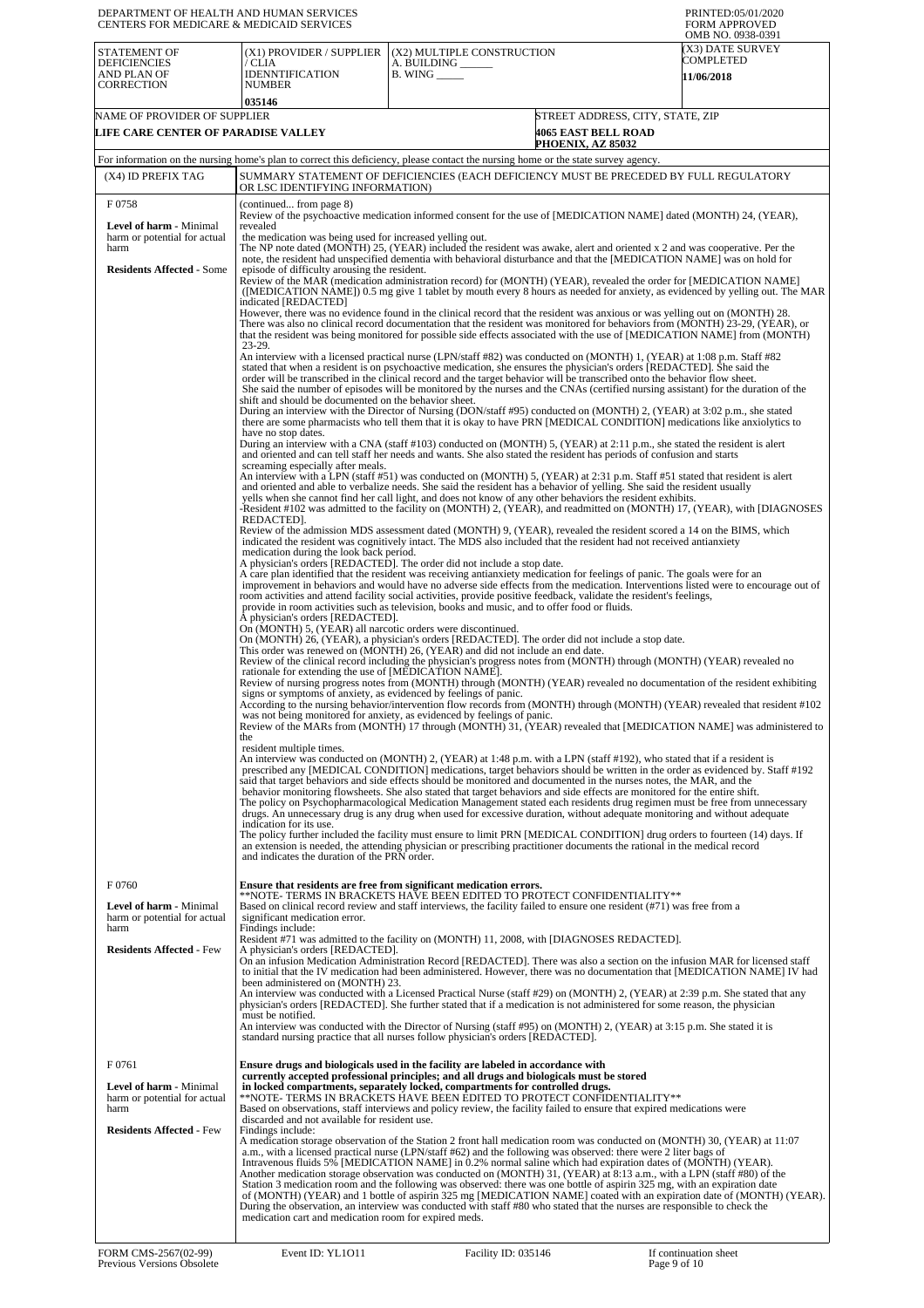| DEPARTMENT OF HEALTH AND HUMAN SERVICES<br><b>CENTERS FOR MEDICARE &amp; MEDICAID SERVICES</b> |                                                                                                                                                                                                                                                                                                                                                                                                                                                                                                                                                                                                               |                                                                                                                                                                                                                                                                                                                                                                                                                                                                                                                                                                                                                                                                                                                                                  | PRINTED:05/01/2020<br><b>FORM APPROVED</b><br>OMB NO. 0938-0391                                                                                                                                                                                           |  |
|------------------------------------------------------------------------------------------------|---------------------------------------------------------------------------------------------------------------------------------------------------------------------------------------------------------------------------------------------------------------------------------------------------------------------------------------------------------------------------------------------------------------------------------------------------------------------------------------------------------------------------------------------------------------------------------------------------------------|--------------------------------------------------------------------------------------------------------------------------------------------------------------------------------------------------------------------------------------------------------------------------------------------------------------------------------------------------------------------------------------------------------------------------------------------------------------------------------------------------------------------------------------------------------------------------------------------------------------------------------------------------------------------------------------------------------------------------------------------------|-----------------------------------------------------------------------------------------------------------------------------------------------------------------------------------------------------------------------------------------------------------|--|
| STATEMENT OF<br><b>DEFICIENCIES</b><br>AND PLAN OF<br><b>CORRECTION</b>                        | (X1) PROVIDER / SUPPLIER<br>/ CLIA<br>IDENNTIFICATION<br>NUMBER<br>035146                                                                                                                                                                                                                                                                                                                                                                                                                                                                                                                                     | (X2) MULTIPLE CONSTRUCTION<br>A. BUILDING _<br>$B.$ WING $\_\_\_\_\_\_\$                                                                                                                                                                                                                                                                                                                                                                                                                                                                                                                                                                                                                                                                         | (X3) DATE SURVEY<br>COMPLETED<br>11/06/2018                                                                                                                                                                                                               |  |
| NAME OF PROVIDER OF SUPPLIER<br><b>LIFE CARE CENTER OF PARADISE VALLEY</b>                     |                                                                                                                                                                                                                                                                                                                                                                                                                                                                                                                                                                                                               | <b>4065 EAST BELL ROAD</b><br>PHOENIX, AZ 85032                                                                                                                                                                                                                                                                                                                                                                                                                                                                                                                                                                                                                                                                                                  | STREET ADDRESS, CITY, STATE, ZIP                                                                                                                                                                                                                          |  |
|                                                                                                |                                                                                                                                                                                                                                                                                                                                                                                                                                                                                                                                                                                                               | For information on the nursing home's plan to correct this deficiency, please contact the nursing home or the state survey agency.                                                                                                                                                                                                                                                                                                                                                                                                                                                                                                                                                                                                               |                                                                                                                                                                                                                                                           |  |
| (X4) ID PREFIX TAG                                                                             | OR LSC IDENTIFYING INFORMATION)                                                                                                                                                                                                                                                                                                                                                                                                                                                                                                                                                                               | SUMMARY STATEMENT OF DEFICIENCIES (EACH DEFICIENCY MUST BE PRECEDED BY FULL REGULATORY                                                                                                                                                                                                                                                                                                                                                                                                                                                                                                                                                                                                                                                           |                                                                                                                                                                                                                                                           |  |
| F0758<br><b>Level of harm - Minimal</b>                                                        | (continued from page 8)                                                                                                                                                                                                                                                                                                                                                                                                                                                                                                                                                                                       | Review of the psychoactive medication informed consent for the use of [MEDICATION NAME] dated (MONTH) 24, (YEAR),                                                                                                                                                                                                                                                                                                                                                                                                                                                                                                                                                                                                                                |                                                                                                                                                                                                                                                           |  |
| harm or potential for actual<br>harm<br><b>Residents Affected - Some</b>                       | revealed<br>the medication was being used for increased yelling out.                                                                                                                                                                                                                                                                                                                                                                                                                                                                                                                                          | The NP note dated (MONTH) 25, (YEAR) included the resident was awake, alert and oriented x 2 and was cooperative. Per the<br>note, the resident had unspecified dementia with behavioral disturbance and that the [MEDICATION NAME] was on hold for                                                                                                                                                                                                                                                                                                                                                                                                                                                                                              |                                                                                                                                                                                                                                                           |  |
|                                                                                                | episode of difficulty arousing the resident.<br>indicated [REDACTED]                                                                                                                                                                                                                                                                                                                                                                                                                                                                                                                                          | Review of the MAR (medication administration record) for (MONTH) (YEAR), revealed the order for [MEDICATION NAME]<br>However, there was no evidence found in the clinical record that the resident was anxious or was yelling out on (MONTH) 28.                                                                                                                                                                                                                                                                                                                                                                                                                                                                                                 | ([MEDICATION NAME]) 0.5 mg give 1 tablet by mouth every 8 hours as needed for anxiety, as evidenced by yelling out. The MAR                                                                                                                               |  |
|                                                                                                | $23-29.$                                                                                                                                                                                                                                                                                                                                                                                                                                                                                                                                                                                                      |                                                                                                                                                                                                                                                                                                                                                                                                                                                                                                                                                                                                                                                                                                                                                  | There was also no clinical record documentation that the resident was monitored for behaviors from (MONTH) 23-29, (YEAR), or<br>that the resident was being monitored for possible side effects associated with the use of [MEDICATION NAME] from (MONTH) |  |
|                                                                                                | shift and should be documented on the behavior sheet.                                                                                                                                                                                                                                                                                                                                                                                                                                                                                                                                                         | An interview with a licensed practical nurse (LPN/staff #82) was conducted on (MONTH) 1, (YEAR) at 1:08 p.m. Staff #82<br>stated that when a resident is on psychoactive medication, she ensures the physician's orders [REDACTED]. She said the<br>order will be transcribed in the clinical record and the target behavior will be transcribed onto the behavior flow sheet.                                                                                                                                                                                                                                                                                                                                                                   | She said the number of episodes will be monitored by the nurses and the CNAs (certified nursing assistant) for the duration of the                                                                                                                        |  |
|                                                                                                | have no stop dates.                                                                                                                                                                                                                                                                                                                                                                                                                                                                                                                                                                                           | During an interview with the Director of Nursing (DON/staff #95) conducted on (MONTH) 2, (YEAR) at 3:02 p.m., she stated<br>there are some pharmacists who tell them that it is okay to have PRN [MEDICAL CONDITION] medications like anxiolytics to                                                                                                                                                                                                                                                                                                                                                                                                                                                                                             |                                                                                                                                                                                                                                                           |  |
|                                                                                                | screaming especially after meals.                                                                                                                                                                                                                                                                                                                                                                                                                                                                                                                                                                             | During an interview with a CNA (staff #103) conducted on (MONTH) 5, (YEAR) at 2:11 p.m., she stated the resident is alert<br>and oriented and can tell staff her needs and wants. She also stated the resident has periods of confusion and starts                                                                                                                                                                                                                                                                                                                                                                                                                                                                                               |                                                                                                                                                                                                                                                           |  |
|                                                                                                |                                                                                                                                                                                                                                                                                                                                                                                                                                                                                                                                                                                                               | An interview with a LPN (staff #51) was conducted on (MONTH) 5, (YEAR) at 2:31 p.m. Staff #51 stated that resident is alert<br>and oriented and able to verbalize needs. She said the resident has a behavior of yelling. She said the resident usually<br>yells when she cannot find her call light, and does not know of any other behaviors the resident exhibits.                                                                                                                                                                                                                                                                                                                                                                            |                                                                                                                                                                                                                                                           |  |
|                                                                                                | -Resident #102 was admitted to the facility on (MONTH) 2, (YEAR), and readmitted on (MONTH) 17, (YEAR), with [DIAGNOSES<br>REDACTED].<br>Review of the admission MDS assessment dated (MONTH) 9, (YEAR), revealed the resident scored a 14 on the BIMS, which<br>indicated the resident was cognitively intact. The MDS also included that the resident had not received antianxiety                                                                                                                                                                                                                          |                                                                                                                                                                                                                                                                                                                                                                                                                                                                                                                                                                                                                                                                                                                                                  |                                                                                                                                                                                                                                                           |  |
|                                                                                                | medication during the look back period.<br>A physician's orders [REDACTED]. The order did not include a stop date.<br>A care plan identified that the resident was receiving antianxiety medication for feelings of panic. The goals were for an<br>improvement in behaviors and would have no adverse side effects from the medication. Interventions listed were to encourage out of<br>room activities and attend facility social activities, provide positive feedback, validate the resident's feelings,<br>provide in room activities such as television, books and music, and to offer food or fluids. |                                                                                                                                                                                                                                                                                                                                                                                                                                                                                                                                                                                                                                                                                                                                                  |                                                                                                                                                                                                                                                           |  |
|                                                                                                | A physician's orders [REDACTED].<br>On (MONTH) 5, (YEAR) all narcotic orders were discontinued.                                                                                                                                                                                                                                                                                                                                                                                                                                                                                                               | On (MONTH) 26, (YEAR), a physician's orders [REDACTED]. The order did not include a stop date.<br>This order was renewed on (MONTH) 26, (YEAR) and did not include an end date.<br>Review of the clinical record including the physician's progress notes from (MONTH) through (MONTH) (YEAR) revealed no                                                                                                                                                                                                                                                                                                                                                                                                                                        |                                                                                                                                                                                                                                                           |  |
|                                                                                                | rationale for extending the use of [MEDICATION NAME].<br>signs or symptoms of anxiety, as evidenced by feelings of panic.                                                                                                                                                                                                                                                                                                                                                                                                                                                                                     |                                                                                                                                                                                                                                                                                                                                                                                                                                                                                                                                                                                                                                                                                                                                                  | Review of nursing progress notes from (MONTH) through (MONTH) (YEAR) revealed no documentation of the resident exhibiting                                                                                                                                 |  |
|                                                                                                | the                                                                                                                                                                                                                                                                                                                                                                                                                                                                                                                                                                                                           | was not being monitored for anxiety, as evidenced by feelings of panic.                                                                                                                                                                                                                                                                                                                                                                                                                                                                                                                                                                                                                                                                          | According to the nursing behavior/intervention flow records from (MONTH) through (MONTH) (YEAR) revealed that resident #102<br>Review of the MARs from (MONTH) 17 through (MONTH) 31, (YEAR) revealed that [MEDICATION NAME] was administered to          |  |
|                                                                                                | resident multiple times.<br>indication for its use.                                                                                                                                                                                                                                                                                                                                                                                                                                                                                                                                                           | An interview was conducted on (MONTH) 2, (YEAR) at 1:48 p.m. with a LPN (staff #192), who stated that if a resident is<br>said that target behaviors and side effects should be monitored and documented in the nurses notes, the MAR, and the<br>behavior monitoring flowsheets. She also stated that target behaviors and side effects are monitored for the entire shift.<br>drugs. An unnecessary drug is any drug when used for excessive duration, without adequate monitoring and without adequate                                                                                                                                                                                                                                        | prescribed any [MEDICAL CONDITION] medications, target behaviors should be written in the order as evidenced by. Staff #192<br>The policy on Psychopharmacological Medication Management stated each residents drug regimen must be free from unnecessary |  |
|                                                                                                | and indicates the duration of the PRN order.                                                                                                                                                                                                                                                                                                                                                                                                                                                                                                                                                                  | The policy further included the facility must ensure to limit PRN [MEDICAL CONDITION] drug orders to fourteen (14) days. If<br>an extension is needed, the attending physician or prescribing practitioner documents the rational in the medical record                                                                                                                                                                                                                                                                                                                                                                                                                                                                                          |                                                                                                                                                                                                                                                           |  |
| F0760<br>Level of harm - Minimal<br>harm or potential for actual                               | significant medication error.                                                                                                                                                                                                                                                                                                                                                                                                                                                                                                                                                                                 | Ensure that residents are free from significant medication errors.<br>**NOTE- TERMS IN BRACKETS HAVE BEEN EDITED TO PROTECT CONFIDENTIALITY**<br>Based on clinical record review and staff interviews, the facility failed to ensure one resident (#71) was free from a                                                                                                                                                                                                                                                                                                                                                                                                                                                                          |                                                                                                                                                                                                                                                           |  |
| harm<br><b>Residents Affected - Few</b>                                                        | Findings include:<br>A physician's orders [REDACTED].                                                                                                                                                                                                                                                                                                                                                                                                                                                                                                                                                         | Resident #71 was admitted to the facility on (MONTH) 11, 2008, with [DIAGNOSES REDACTED].                                                                                                                                                                                                                                                                                                                                                                                                                                                                                                                                                                                                                                                        | On an infusion Medication Administration Record [REDACTED]. There was also a section on the infusion MAR for licensed staff<br>to initial that the IV medication had been administered. However, there was no documentation that [MEDICATION NAME] IV had |  |
|                                                                                                | been administered on (MONTH) 23.<br>An interview was conducted with a Licensed Practical Nurse (staff #29) on (MONTH) 2, (YEAR) at 2:39 p.m. She stated that any<br>physician's orders [REDACTED]. She further stated that if a medication is not administered for some reason, the physician<br>must be notified.                                                                                                                                                                                                                                                                                            |                                                                                                                                                                                                                                                                                                                                                                                                                                                                                                                                                                                                                                                                                                                                                  |                                                                                                                                                                                                                                                           |  |
|                                                                                                |                                                                                                                                                                                                                                                                                                                                                                                                                                                                                                                                                                                                               | An interview was conducted with the Director of Nursing (staff #95) on (MONTH) 2, (YEAR) at 3:15 p.m. She stated it is<br>standard nursing practice that all nurses follow physician's orders [REDACTED].                                                                                                                                                                                                                                                                                                                                                                                                                                                                                                                                        |                                                                                                                                                                                                                                                           |  |
| F0761<br>Level of harm - Minimal<br>harm or potential for actual<br>harm                       | discarded and not available for resident use.                                                                                                                                                                                                                                                                                                                                                                                                                                                                                                                                                                 | Ensure drugs and biologicals used in the facility are labeled in accordance with<br>currently accepted professional principles; and all drugs and biologicals must be stored<br>in locked compartments, separately locked, compartments for controlled drugs.<br>**NOTE- TERMS IN BRACKETS HAVE BEEN EDITED TO PROTECT CONFIDENTIALITY**<br>Based on observations, staff interviews and policy review, the facility failed to ensure that expired medications were                                                                                                                                                                                                                                                                               |                                                                                                                                                                                                                                                           |  |
| <b>Residents Affected - Few</b>                                                                | Findings include:<br>medication cart and medication room for expired meds.                                                                                                                                                                                                                                                                                                                                                                                                                                                                                                                                    | A medication storage observation of the Station 2 front hall medication room was conducted on (MONTH) 30, (YEAR) at 11:07<br>a.m., with a licensed practical nurse (LPN/staff #62) and the following was observed: there were 2 liter bags of<br>Intravenous fluids 5% [MEDICATION NAME] in 0.2% normal saline which had expiration dates of (MONTH) (YEAR).<br>Another medication storage observation was conducted on (MONTH) 31, (YEAR) at 8:13 a.m., with a LPN (staff #80) of the<br>Station 3 medication room and the following was observed: there was one bottle of aspirin 325 mg, with an expiration date<br>During the observation, an interview was conducted with staff #80 who stated that the nurses are responsible to check the | of (MONTH) (YEAR) and 1 bottle of aspirin 325 mg [MEDICATION NAME] coated with an expiration date of (MONTH) (YEAR).                                                                                                                                      |  |
| FORM CMS-2567(02-99)<br>Previous Versions Obsolete                                             | Event ID: YL1011                                                                                                                                                                                                                                                                                                                                                                                                                                                                                                                                                                                              | Facility ID: 035146                                                                                                                                                                                                                                                                                                                                                                                                                                                                                                                                                                                                                                                                                                                              | If continuation sheet<br>Page 9 of 10                                                                                                                                                                                                                     |  |